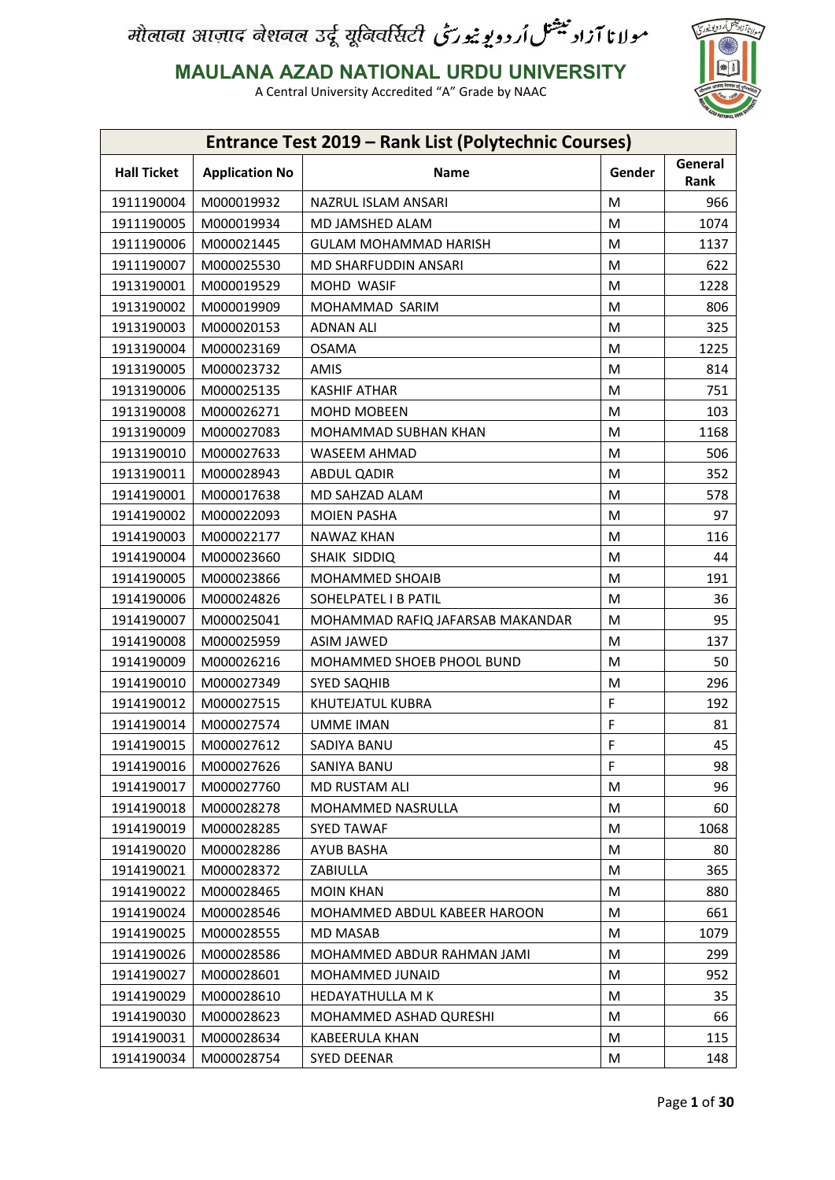

**MAULANA AZAD NATIONAL URDU UNIVERSITY**

|                    |                       | Entrance Test 2019 - Rank List (Polytechnic Courses) |        |                 |
|--------------------|-----------------------|------------------------------------------------------|--------|-----------------|
| <b>Hall Ticket</b> | <b>Application No</b> | <b>Name</b>                                          | Gender | General<br>Rank |
| 1911190004         | M000019932            | NAZRUL ISLAM ANSARI                                  | M      | 966             |
| 1911190005         | M000019934            | MD JAMSHED ALAM                                      | M      | 1074            |
| 1911190006         | M000021445            | <b>GULAM MOHAMMAD HARISH</b>                         | M      | 1137            |
| 1911190007         | M000025530            | MD SHARFUDDIN ANSARI                                 | M      | 622             |
| 1913190001         | M000019529            | MOHD WASIF                                           | M      | 1228            |
| 1913190002         | M000019909            | MOHAMMAD SARIM                                       | M      | 806             |
| 1913190003         | M000020153            | <b>ADNAN ALI</b>                                     | M      | 325             |
| 1913190004         | M000023169            | <b>OSAMA</b>                                         | M      | 1225            |
| 1913190005         | M000023732            | AMIS                                                 | M      | 814             |
| 1913190006         | M000025135            | <b>KASHIF ATHAR</b>                                  | M      | 751             |
| 1913190008         | M000026271            | <b>MOHD MOBEEN</b>                                   | M      | 103             |
| 1913190009         | M000027083            | MOHAMMAD SUBHAN KHAN                                 | М      | 1168            |
| 1913190010         | M000027633            | WASEEM AHMAD                                         | M      | 506             |
| 1913190011         | M000028943            | <b>ABDUL QADIR</b>                                   | M      | 352             |
| 1914190001         | M000017638            | MD SAHZAD ALAM                                       | M      | 578             |
| 1914190002         | M000022093            | <b>MOIEN PASHA</b>                                   | M      | 97              |
| 1914190003         | M000022177            | NAWAZ KHAN                                           | M      | 116             |
| 1914190004         | M000023660            | SHAIK SIDDIQ                                         | M      | 44              |
| 1914190005         | M000023866            | MOHAMMED SHOAIB                                      | M      | 191             |
| 1914190006         | M000024826            | SOHELPATEL I B PATIL                                 | M      | 36              |
| 1914190007         | M000025041            | MOHAMMAD RAFIQ JAFARSAB MAKANDAR                     | M      | 95              |
| 1914190008         | M000025959            | <b>ASIM JAWED</b>                                    | M      | 137             |
| 1914190009         | M000026216            | MOHAMMED SHOEB PHOOL BUND                            | M      | 50              |
| 1914190010         | M000027349            | <b>SYED SAQHIB</b>                                   | M      | 296             |
| 1914190012         | M000027515            | KHUTEJATUL KUBRA                                     | F      | 192             |
| 1914190014         | M000027574            | <b>UMME IMAN</b>                                     | F      | 81              |
|                    |                       |                                                      |        |                 |
| 1914190015         | M000027612            | SADIYA BANU                                          | F      | 45              |
| 1914190016         | M000027626            | SANIYA BANU                                          | F      | 98              |
| 1914190017         | M000027760            | <b>MD RUSTAM ALI</b>                                 | M      | 96              |
| 1914190018         | M000028278            | MOHAMMED NASRULLA                                    | М      | 60              |
| 1914190019         | M000028285            | <b>SYED TAWAF</b>                                    | M      | 1068            |
| 1914190020         | M000028286            | AYUB BASHA                                           | М      | 80              |
| 1914190021         | M000028372            | ZABIULLA                                             | M      | 365             |
| 1914190022         | M000028465            | <b>MOIN KHAN</b>                                     | М      | 880             |
| 1914190024         | M000028546            | MOHAMMED ABDUL KABEER HAROON                         | M      | 661             |
| 1914190025         | M000028555            | <b>MD MASAB</b>                                      | M      | 1079            |
| 1914190026         | M000028586            | MOHAMMED ABDUR RAHMAN JAMI                           | M      | 299             |
| 1914190027         | M000028601            | MOHAMMED JUNAID                                      | M      | 952             |
| 1914190029         | M000028610            | <b>HEDAYATHULLA M K</b>                              | M      | 35              |
| 1914190030         | M000028623            | MOHAMMED ASHAD QURESHI                               | M      | 66              |
| 1914190031         | M000028634            | <b>KABEERULA KHAN</b>                                | M      | 115             |
| 1914190034         | M000028754            | SYED DEENAR                                          | М      | 148             |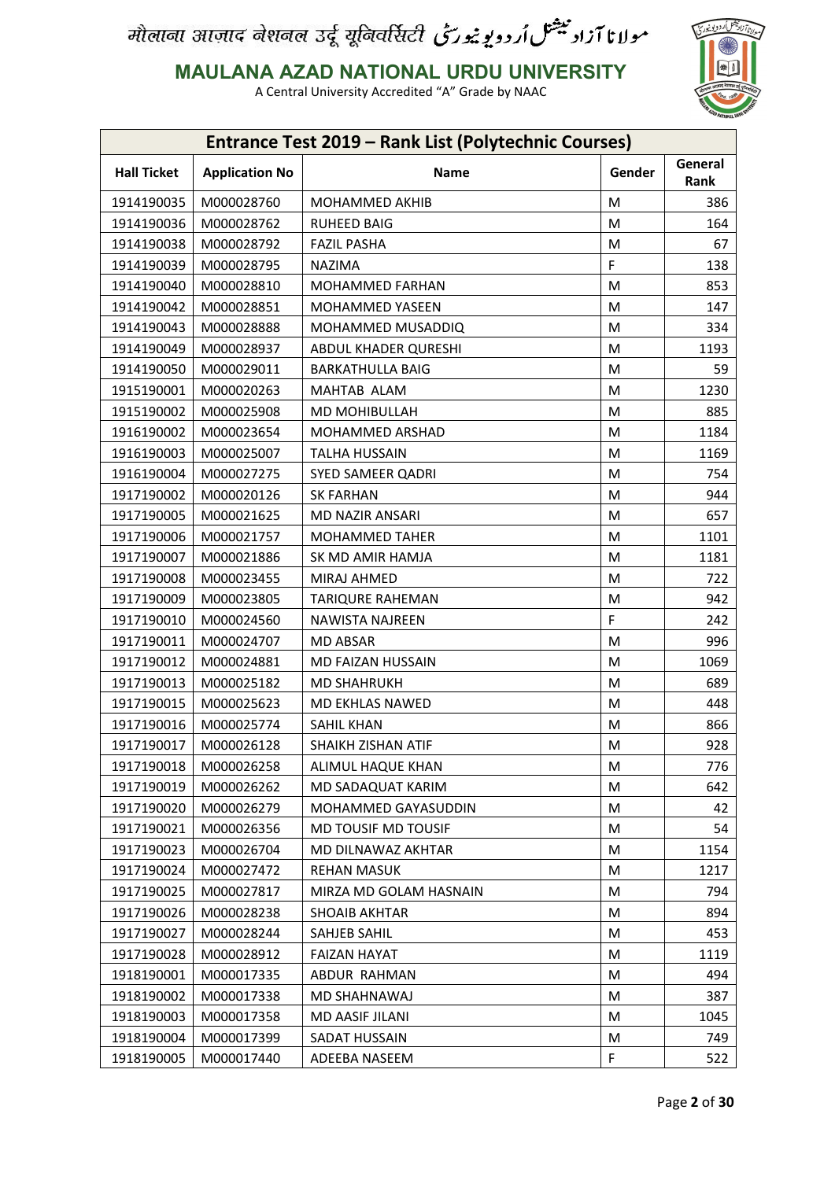

**MAULANA AZAD NATIONAL URDU UNIVERSITY**

| Entrance Test 2019 - Rank List (Polytechnic Courses) |                       |                         |        |                 |  |
|------------------------------------------------------|-----------------------|-------------------------|--------|-----------------|--|
| <b>Hall Ticket</b>                                   | <b>Application No</b> | <b>Name</b>             | Gender | General<br>Rank |  |
| 1914190035                                           | M000028760            | MOHAMMED AKHIB          | M      | 386             |  |
| 1914190036                                           | M000028762            | RUHEED BAIG             | M      | 164             |  |
| 1914190038                                           | M000028792            | <b>FAZIL PASHA</b>      | M      | 67              |  |
| 1914190039                                           | M000028795            | <b>NAZIMA</b>           | F      | 138             |  |
| 1914190040                                           | M000028810            | <b>MOHAMMED FARHAN</b>  | M      | 853             |  |
| 1914190042                                           | M000028851            | MOHAMMED YASEEN         | M      | 147             |  |
| 1914190043                                           | M000028888            | MOHAMMED MUSADDIQ       | M      | 334             |  |
| 1914190049                                           | M000028937            | ABDUL KHADER QURESHI    | M      | 1193            |  |
| 1914190050                                           | M000029011            | <b>BARKATHULLA BAIG</b> | М      | 59              |  |
| 1915190001                                           | M000020263            | MAHTAB ALAM             | M      | 1230            |  |
| 1915190002                                           | M000025908            | MD MOHIBULLAH           | M      | 885             |  |
| 1916190002                                           | M000023654            | <b>MOHAMMED ARSHAD</b>  | М      | 1184            |  |
| 1916190003                                           | M000025007            | <b>TALHA HUSSAIN</b>    | M      | 1169            |  |
| 1916190004                                           | M000027275            | SYED SAMEER QADRI       | M      | 754             |  |
| 1917190002                                           | M000020126            | <b>SK FARHAN</b>        | M      | 944             |  |
| 1917190005                                           | M000021625            | <b>MD NAZIR ANSARI</b>  | M      | 657             |  |
| 1917190006                                           | M000021757            | <b>MOHAMMED TAHER</b>   | M      | 1101            |  |
| 1917190007                                           | M000021886            | SK MD AMIR HAMJA        | M      | 1181            |  |
| 1917190008                                           | M000023455            | MIRAJ AHMED             | M      | 722             |  |
| 1917190009                                           | M000023805            | <b>TARIQURE RAHEMAN</b> | M      | 942             |  |
| 1917190010                                           | M000024560            | NAWISTA NAJREEN         | F      | 242             |  |
| 1917190011                                           | M000024707            | <b>MD ABSAR</b>         | M      | 996             |  |
| 1917190012                                           | M000024881            | MD FAIZAN HUSSAIN       | M      | 1069            |  |
| 1917190013                                           | M000025182            | <b>MD SHAHRUKH</b>      | M      | 689             |  |
| 1917190015                                           | M000025623            | MD EKHLAS NAWED         | M      | 448             |  |
| 1917190016                                           | M000025774            | <b>SAHIL KHAN</b>       | M      | 866             |  |
| 1917190017                                           | M000026128            | SHAIKH ZISHAN ATIF      | M      | 928             |  |
| 1917190018                                           | M000026258            | ALIMUL HAQUE KHAN       | M      | 776             |  |
| 1917190019                                           | M000026262            | MD SADAQUAT KARIM       | M      | 642             |  |
| 1917190020                                           | M000026279            | MOHAMMED GAYASUDDIN     | M      | 42              |  |
| 1917190021                                           | M000026356            | MD TOUSIF MD TOUSIF     | М      | 54              |  |
| 1917190023                                           | M000026704            | MD DILNAWAZ AKHTAR      | M      | 1154            |  |
| 1917190024                                           | M000027472            | <b>REHAN MASUK</b>      | М      | 1217            |  |
| 1917190025                                           | M000027817            | MIRZA MD GOLAM HASNAIN  | M      | 794             |  |
| 1917190026                                           | M000028238            | <b>SHOAIB AKHTAR</b>    | М      | 894             |  |
| 1917190027                                           | M000028244            | SAHJEB SAHIL            | M      | 453             |  |
| 1917190028                                           | M000028912            | <b>FAIZAN HAYAT</b>     | М      | 1119            |  |
| 1918190001                                           | M000017335            | ABDUR RAHMAN            | M      | 494             |  |
| 1918190002                                           | M000017338            | MD SHAHNAWAJ            | М      | 387             |  |
| 1918190003                                           | M000017358            | MD AASIF JILANI         | M      | 1045            |  |
| 1918190004                                           | M000017399            | SADAT HUSSAIN           | M      | 749             |  |
| 1918190005                                           | M000017440            | ADEEBA NASEEM           | F      | 522             |  |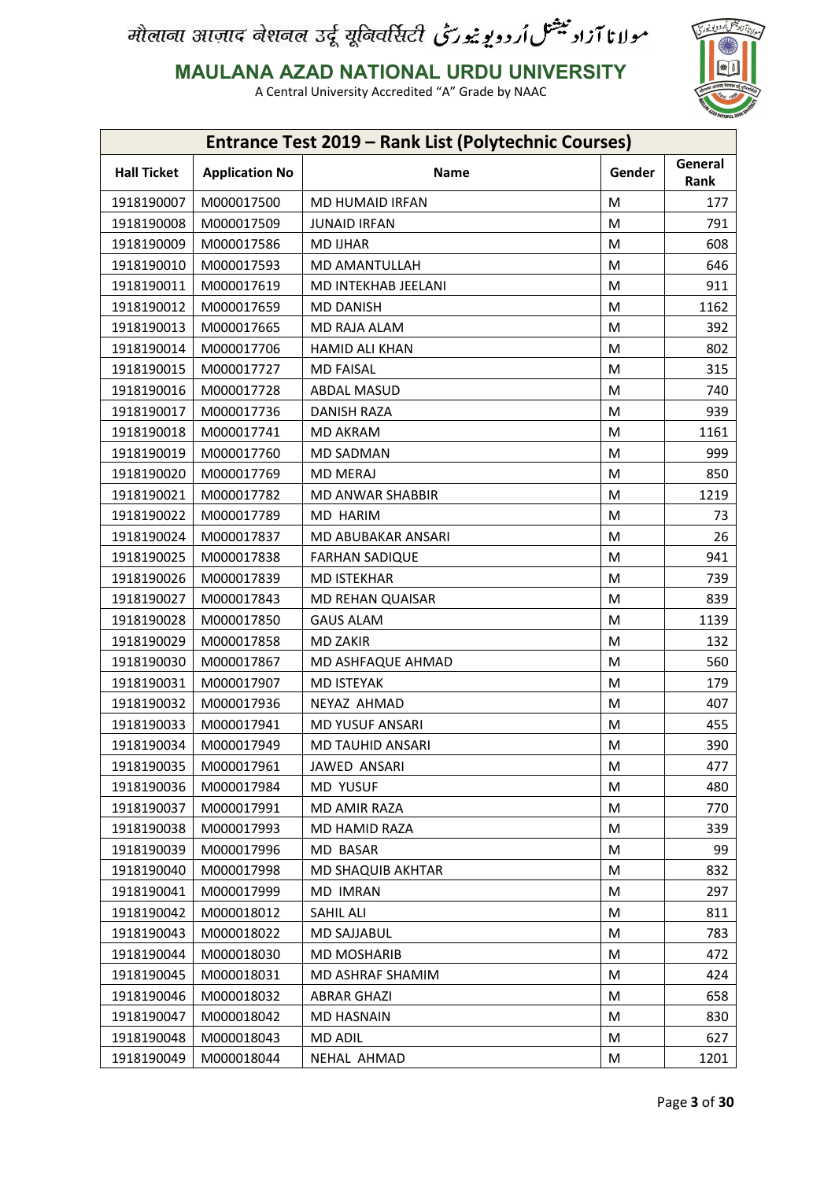

**MAULANA AZAD NATIONAL URDU UNIVERSITY**

|                    |                       | <b>Entrance Test 2019 - Rank List (Polytechnic Courses)</b> |        |                 |
|--------------------|-----------------------|-------------------------------------------------------------|--------|-----------------|
| <b>Hall Ticket</b> | <b>Application No</b> | <b>Name</b>                                                 | Gender | General<br>Rank |
| 1918190007         | M000017500            | <b>MD HUMAID IRFAN</b>                                      | M      | 177             |
| 1918190008         | M000017509            | <b>JUNAID IRFAN</b>                                         | M      | 791             |
| 1918190009         | M000017586            | <b>MD IJHAR</b>                                             | М      | 608             |
| 1918190010         | M000017593            | MD AMANTULLAH                                               | M      | 646             |
| 1918190011         | M000017619            | MD INTEKHAB JEELANI                                         | M      | 911             |
| 1918190012         | M000017659            | <b>MD DANISH</b>                                            | M      | 1162            |
| 1918190013         | M000017665            | MD RAJA ALAM                                                | М      | 392             |
| 1918190014         | M000017706            | HAMID ALI KHAN                                              | M      | 802             |
| 1918190015         | M000017727            | <b>MD FAISAL</b>                                            | M      | 315             |
| 1918190016         | M000017728            | <b>ABDAL MASUD</b>                                          | M      | 740             |
| 1918190017         | M000017736            | DANISH RAZA                                                 | M      | 939             |
| 1918190018         | M000017741            | <b>MD AKRAM</b>                                             | M      | 1161            |
| 1918190019         | M000017760            | <b>MD SADMAN</b>                                            | M      | 999             |
| 1918190020         | M000017769            | <b>MD MERAJ</b>                                             | M      | 850             |
| 1918190021         | M000017782            | MD ANWAR SHABBIR                                            | M      | 1219            |
| 1918190022         | M000017789            | MD HARIM                                                    | M      | 73              |
| 1918190024         | M000017837            | MD ABUBAKAR ANSARI                                          | M      | 26              |
| 1918190025         | M000017838            | <b>FARHAN SADIQUE</b>                                       | M      | 941             |
| 1918190026         | M000017839            | <b>MD ISTEKHAR</b>                                          | M      | 739             |
| 1918190027         | M000017843            | MD REHAN QUAISAR                                            | M      | 839             |
| 1918190028         | M000017850            | <b>GAUS ALAM</b>                                            | M      | 1139            |
| 1918190029         | M000017858            | <b>MD ZAKIR</b>                                             | M      | 132             |
| 1918190030         | M000017867            | MD ASHFAQUE AHMAD                                           | M      | 560             |
| 1918190031         | M000017907            | <b>MD ISTEYAK</b>                                           | M      | 179             |
| 1918190032         | M000017936            | NEYAZ AHMAD                                                 | M      | 407             |
| 1918190033         | M000017941            | <b>MD YUSUF ANSARI</b>                                      | М      | 455             |
| 1918190034         | M000017949            | MD TAUHID ANSARI                                            | M      | 390             |
| 1918190035         | M000017961            | JAWED ANSARI                                                | М      | 477             |
| 1918190036         | M000017984            | <b>MD YUSUF</b>                                             | M      | 480             |
| 1918190037         | M000017991            | MD AMIR RAZA                                                | М      | 770             |
| 1918190038         | M000017993            | MD HAMID RAZA                                               | M      | 339             |
| 1918190039         | M000017996            | MD BASAR                                                    | М      | 99              |
| 1918190040         | M000017998            | MD SHAQUIB AKHTAR                                           | M      | 832             |
| 1918190041         | M000017999            | <b>MD IMRAN</b>                                             | М      | 297             |
| 1918190042         | M000018012            | SAHIL ALI                                                   | M      | 811             |
| 1918190043         | M000018022            | MD SAJJABUL                                                 | М      | 783             |
| 1918190044         | M000018030            | <b>MD MOSHARIB</b>                                          | M      | 472             |
| 1918190045         | M000018031            | MD ASHRAF SHAMIM                                            | М      | 424             |
| 1918190046         | M000018032            | <b>ABRAR GHAZI</b>                                          | М      | 658             |
| 1918190047         | M000018042            | <b>MD HASNAIN</b>                                           | Μ      | 830             |
| 1918190048         | M000018043            | MD ADIL                                                     | M      | 627             |
| 1918190049         | M000018044            | NEHAL AHMAD                                                 | Μ      | 1201            |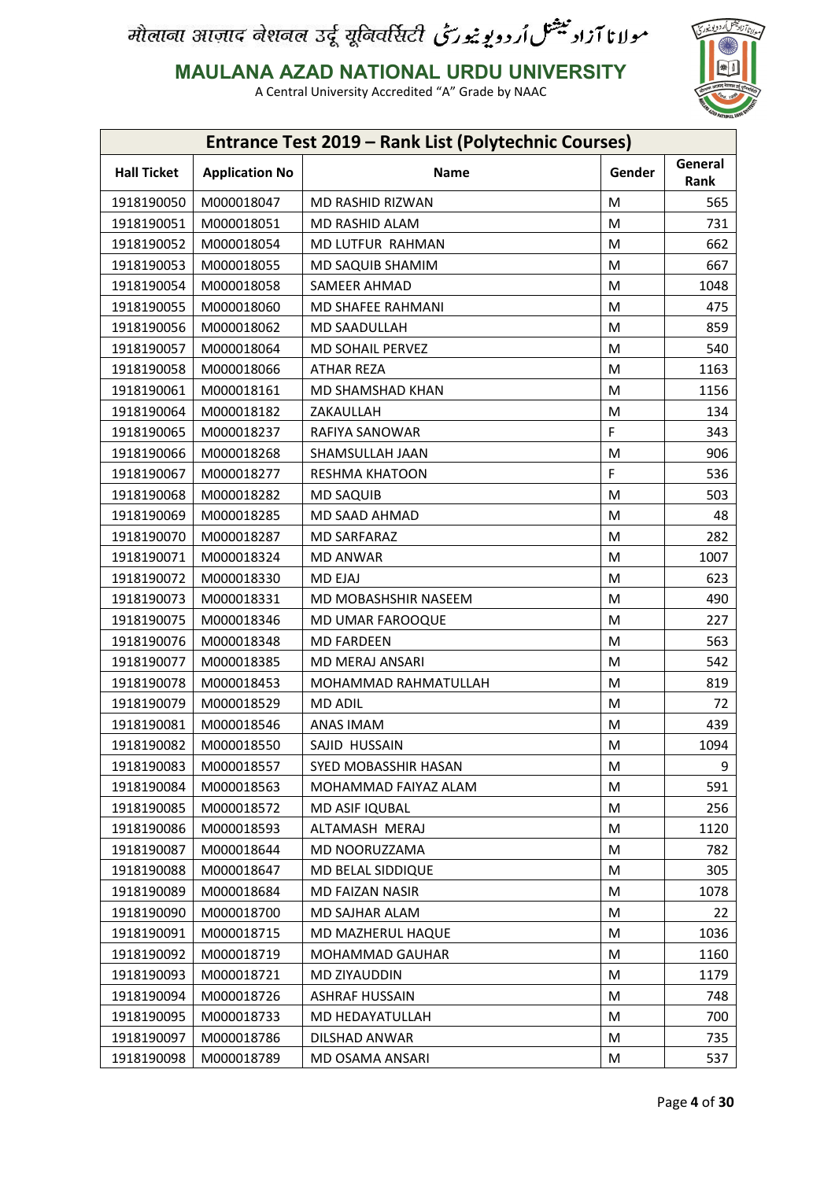

**MAULANA AZAD NATIONAL URDU UNIVERSITY**

|                    |                       | Entrance Test 2019 - Rank List (Polytechnic Courses) |        |                 |
|--------------------|-----------------------|------------------------------------------------------|--------|-----------------|
| <b>Hall Ticket</b> | <b>Application No</b> | Name                                                 | Gender | General<br>Rank |
| 1918190050         | M000018047            | MD RASHID RIZWAN                                     | M      | 565             |
| 1918190051         | M000018051            | MD RASHID ALAM                                       | М      | 731             |
| 1918190052         | M000018054            | MD LUTFUR RAHMAN                                     | M      | 662             |
| 1918190053         | M000018055            | MD SAQUIB SHAMIM                                     | M      | 667             |
| 1918190054         | M000018058            | SAMEER AHMAD                                         | M      | 1048            |
| 1918190055         | M000018060            | MD SHAFEE RAHMANI                                    | M      | 475             |
| 1918190056         | M000018062            | MD SAADULLAH                                         | M      | 859             |
| 1918190057         | M000018064            | MD SOHAIL PERVEZ                                     | М      | 540             |
| 1918190058         | M000018066            | ATHAR REZA                                           | М      | 1163            |
| 1918190061         | M000018161            | MD SHAMSHAD KHAN                                     | М      | 1156            |
| 1918190064         | M000018182            | ZAKAULLAH                                            | M      | 134             |
| 1918190065         | M000018237            | RAFIYA SANOWAR                                       | F      | 343             |
| 1918190066         | M000018268            | SHAMSULLAH JAAN                                      | M      | 906             |
| 1918190067         | M000018277            | <b>RESHMA KHATOON</b>                                | F      | 536             |
| 1918190068         | M000018282            | <b>MD SAQUIB</b>                                     | M      | 503             |
| 1918190069         | M000018285            | MD SAAD AHMAD                                        | М      | 48              |
| 1918190070         | M000018287            | <b>MD SARFARAZ</b>                                   | M      | 282             |
| 1918190071         | M000018324            | <b>MD ANWAR</b>                                      | М      | 1007            |
| 1918190072         | M000018330            | <b>MD EJAJ</b>                                       | M      | 623             |
| 1918190073         | M000018331            | MD MOBASHSHIR NASEEM                                 | M      | 490             |
| 1918190075         | M000018346            | MD UMAR FAROOQUE                                     | M      | 227             |
| 1918190076         | M000018348            | <b>MD FARDEEN</b>                                    | M      | 563             |
| 1918190077         | M000018385            | MD MERAJ ANSARI                                      | M      | 542             |
| 1918190078         | M000018453            | MOHAMMAD RAHMATULLAH                                 | M      | 819             |
| 1918190079         | M000018529            | <b>MD ADIL</b>                                       | M      | 72              |
| 1918190081         | M000018546            | ANAS IMAM                                            | M      | 439             |
| 1918190082         | M000018550            | SAJID HUSSAIN                                        | M      | 1094            |
| 1918190083         | M000018557            | SYED MOBASSHIR HASAN                                 | М      | 9               |
| 1918190084         | M000018563            | MOHAMMAD FAIYAZ ALAM                                 | M      | 591             |
| 1918190085         | M000018572            | MD ASIF IQUBAL                                       | M      | 256             |
| 1918190086         | M000018593            | ALTAMASH MERAJ                                       | M      | 1120            |
| 1918190087         | M000018644            | MD NOORUZZAMA                                        | M      | 782             |
| 1918190088         | M000018647            | MD BELAL SIDDIQUE                                    | M      | 305             |
| 1918190089         | M000018684            | MD FAIZAN NASIR                                      | M      | 1078            |
| 1918190090         | M000018700            | MD SAJHAR ALAM                                       | М      | 22              |
|                    |                       |                                                      |        |                 |
| 1918190091         | M000018715            | MD MAZHERUL HAQUE                                    | M      | 1036            |
| 1918190092         | M000018719            | MOHAMMAD GAUHAR                                      | М      | 1160            |
| 1918190093         | M000018721            | MD ZIYAUDDIN                                         | M      | 1179            |
| 1918190094         | M000018726            | <b>ASHRAF HUSSAIN</b>                                | M      | 748             |
| 1918190095         | M000018733            | MD HEDAYATULLAH                                      | M      | 700             |
| 1918190097         | M000018786            | DILSHAD ANWAR                                        | M      | 735             |
| 1918190098         | M000018789            | MD OSAMA ANSARI                                      | M      | 537             |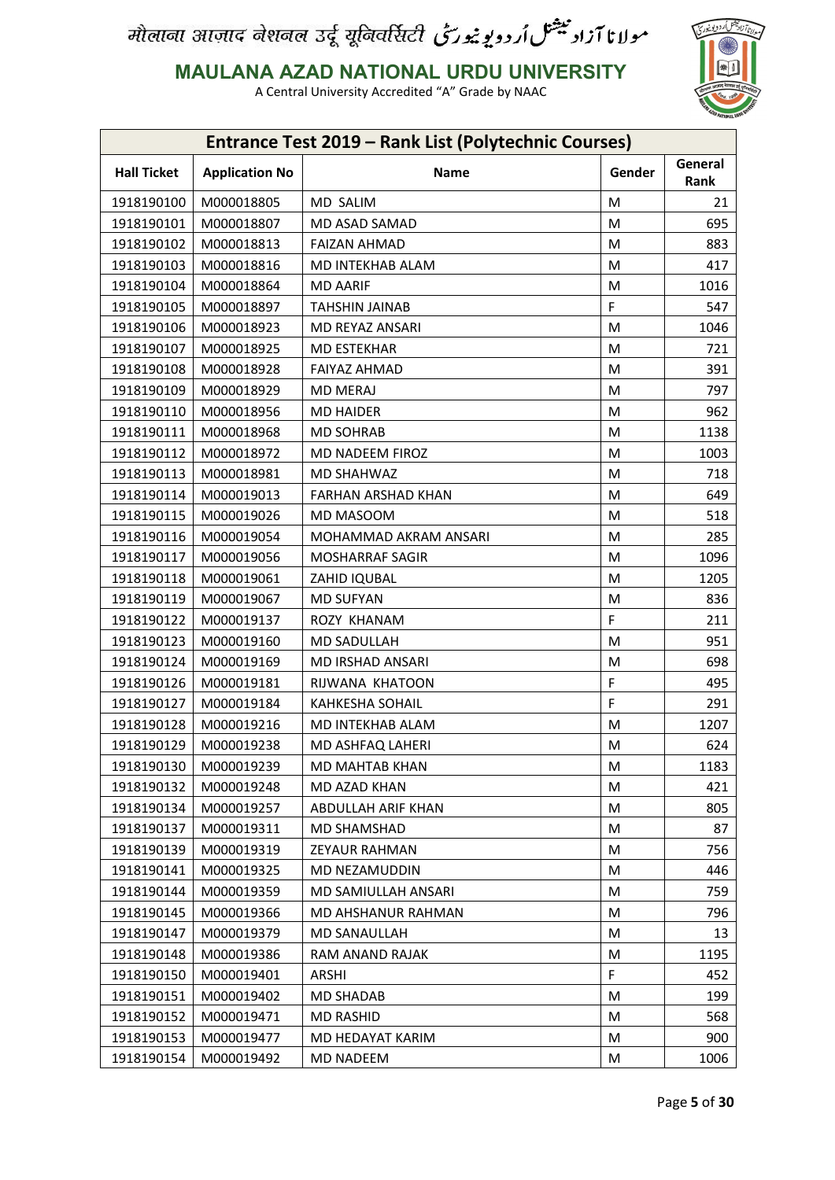

**MAULANA AZAD NATIONAL URDU UNIVERSITY**

| <b>Entrance Test 2019 - Rank List (Polytechnic Courses)</b> |                       |                           |        |                 |  |
|-------------------------------------------------------------|-----------------------|---------------------------|--------|-----------------|--|
| <b>Hall Ticket</b>                                          | <b>Application No</b> | Name                      | Gender | General<br>Rank |  |
| 1918190100                                                  | M000018805            | MD SALIM                  | M      | 21              |  |
| 1918190101                                                  | M000018807            | MD ASAD SAMAD             | M      | 695             |  |
| 1918190102                                                  | M000018813            | <b>FAIZAN AHMAD</b>       | M      | 883             |  |
| 1918190103                                                  | M000018816            | MD INTEKHAB ALAM          | M      | 417             |  |
| 1918190104                                                  | M000018864            | <b>MD AARIF</b>           | M      | 1016            |  |
| 1918190105                                                  | M000018897            | <b>TAHSHIN JAINAB</b>     | F      | 547             |  |
| 1918190106                                                  | M000018923            | MD REYAZ ANSARI           | M      | 1046            |  |
| 1918190107                                                  | M000018925            | <b>MD ESTEKHAR</b>        | M      | 721             |  |
| 1918190108                                                  | M000018928            | <b>FAIYAZ AHMAD</b>       | M      | 391             |  |
| 1918190109                                                  | M000018929            | <b>MD MERAJ</b>           | M      | 797             |  |
| 1918190110                                                  | M000018956            | <b>MD HAIDER</b>          | M      | 962             |  |
| 1918190111                                                  | M000018968            | <b>MD SOHRAB</b>          | M      | 1138            |  |
| 1918190112                                                  | M000018972            | MD NADEEM FIROZ           | M      | 1003            |  |
| 1918190113                                                  | M000018981            | MD SHAHWAZ                | M      | 718             |  |
| 1918190114                                                  | M000019013            | <b>FARHAN ARSHAD KHAN</b> | M      | 649             |  |
| 1918190115                                                  | M000019026            | MD MASOOM                 | M      | 518             |  |
| 1918190116                                                  | M000019054            | MOHAMMAD AKRAM ANSARI     | M      | 285             |  |
| 1918190117                                                  | M000019056            | <b>MOSHARRAF SAGIR</b>    | M      | 1096            |  |
| 1918190118                                                  | M000019061            | ZAHID IQUBAL              | M      | 1205            |  |
| 1918190119                                                  | M000019067            | <b>MD SUFYAN</b>          | M      | 836             |  |
| 1918190122                                                  | M000019137            | ROZY KHANAM               | F.     | 211             |  |
| 1918190123                                                  | M000019160            | MD SADULLAH               | M      | 951             |  |
| 1918190124                                                  | M000019169            | MD IRSHAD ANSARI          | M      | 698             |  |
| 1918190126                                                  | M000019181            | RIJWANA KHATOON           | F      | 495             |  |
| 1918190127                                                  | M000019184            | KAHKESHA SOHAIL           | F      | 291             |  |
| 1918190128                                                  | M000019216            | MD INTEKHAB ALAM          | M      | 1207            |  |
| 1918190129                                                  | M000019238            | <b>MD ASHFAQ LAHERI</b>   | M      | 624             |  |
| 1918190130                                                  | M000019239            | MD MAHTAB KHAN            | M      | 1183            |  |
| 1918190132                                                  | M000019248            | MD AZAD KHAN              | M      | 421             |  |
| 1918190134                                                  | M000019257            | ABDULLAH ARIF KHAN        | М      | 805             |  |
| 1918190137                                                  | M000019311            | MD SHAMSHAD               | M      | 87              |  |
| 1918190139                                                  | M000019319            | ZEYAUR RAHMAN             | М      | 756             |  |
| 1918190141                                                  | M000019325            | MD NEZAMUDDIN             | M      | 446             |  |
| 1918190144                                                  | M000019359            | MD SAMIULLAH ANSARI       | M      | 759             |  |
| 1918190145                                                  | M000019366            | MD AHSHANUR RAHMAN        | M      | 796             |  |
| 1918190147                                                  | M000019379            | MD SANAULLAH              | M      | 13              |  |
| 1918190148                                                  | M000019386            | RAM ANAND RAJAK           | M      | 1195            |  |
| 1918190150                                                  | M000019401            | ARSHI                     | F      | 452             |  |
| 1918190151                                                  | M000019402            | <b>MD SHADAB</b>          | М      | 199             |  |
| 1918190152                                                  | M000019471            | <b>MD RASHID</b>          | М      | 568             |  |
| 1918190153                                                  | M000019477            | MD HEDAYAT KARIM          | М      | 900             |  |
| 1918190154                                                  | M000019492            | MD NADEEM                 | M      | 1006            |  |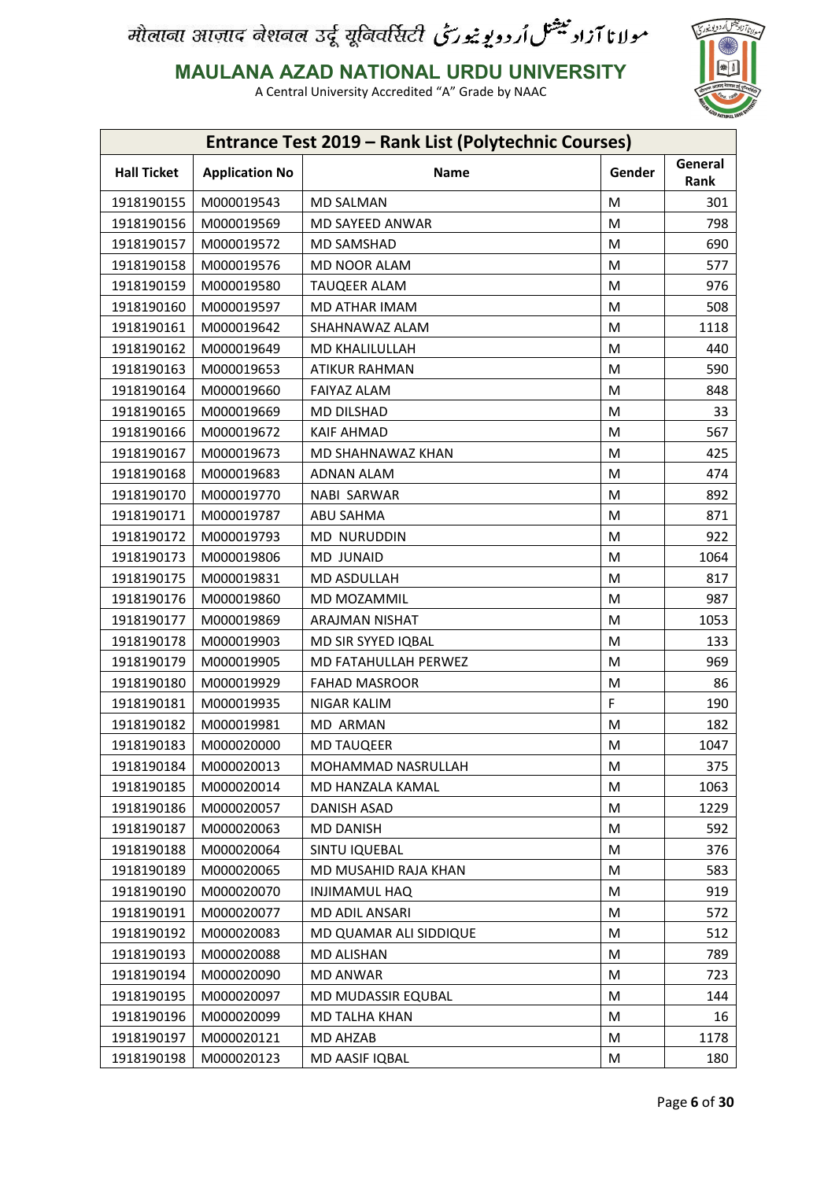

**MAULANA AZAD NATIONAL URDU UNIVERSITY**

| <b>Entrance Test 2019 - Rank List (Polytechnic Courses)</b> |                    |                       |                        |        |                 |  |
|-------------------------------------------------------------|--------------------|-----------------------|------------------------|--------|-----------------|--|
|                                                             | <b>Hall Ticket</b> | <b>Application No</b> | <b>Name</b>            | Gender | General<br>Rank |  |
|                                                             | 1918190155         | M000019543            | <b>MD SALMAN</b>       | M      | 301             |  |
|                                                             | 1918190156         | M000019569            | MD SAYEED ANWAR        | M      | 798             |  |
|                                                             | 1918190157         | M000019572            | <b>MD SAMSHAD</b>      | М      | 690             |  |
|                                                             | 1918190158         | M000019576            | MD NOOR ALAM           | M      | 577             |  |
|                                                             | 1918190159         | M000019580            | <b>TAUQEER ALAM</b>    | M      | 976             |  |
|                                                             | 1918190160         | M000019597            | MD ATHAR IMAM          | M      | 508             |  |
|                                                             | 1918190161         | M000019642            | SHAHNAWAZ ALAM         | М      | 1118            |  |
|                                                             | 1918190162         | M000019649            | MD KHALILULLAH         | M      | 440             |  |
|                                                             | 1918190163         | M000019653            | <b>ATIKUR RAHMAN</b>   | M      | 590             |  |
|                                                             | 1918190164         | M000019660            | <b>FAIYAZ ALAM</b>     | M      | 848             |  |
|                                                             | 1918190165         | M000019669            | <b>MD DILSHAD</b>      | M      | 33              |  |
|                                                             | 1918190166         | M000019672            | <b>KAIF AHMAD</b>      | M      | 567             |  |
|                                                             | 1918190167         | M000019673            | MD SHAHNAWAZ KHAN      | M      | 425             |  |
|                                                             | 1918190168         | M000019683            | ADNAN ALAM             | M      | 474             |  |
|                                                             | 1918190170         | M000019770            | <b>NABI SARWAR</b>     | M      | 892             |  |
|                                                             | 1918190171         | M000019787            | <b>ABU SAHMA</b>       | M      | 871             |  |
|                                                             | 1918190172         | M000019793            | <b>MD NURUDDIN</b>     | M      | 922             |  |
|                                                             | 1918190173         | M000019806            | <b>MD JUNAID</b>       | M      | 1064            |  |
|                                                             | 1918190175         | M000019831            | MD ASDULLAH            | M      | 817             |  |
|                                                             | 1918190176         | M000019860            | MD MOZAMMIL            | M      | 987             |  |
|                                                             | 1918190177         | M000019869            | ARAJMAN NISHAT         | M      | 1053            |  |
|                                                             | 1918190178         | M000019903            | MD SIR SYYED IQBAL     | M      | 133             |  |
|                                                             | 1918190179         | M000019905            | MD FATAHULLAH PERWEZ   | M      | 969             |  |
|                                                             | 1918190180         | M000019929            | <b>FAHAD MASROOR</b>   | М      | 86              |  |
|                                                             | 1918190181         | M000019935            | NIGAR KALIM            | F      | 190             |  |
|                                                             | 1918190182         | M000019981            | MD ARMAN               | М      | 182             |  |
|                                                             | 1918190183         | M000020000            | <b>MD TAUQEER</b>      | M      | 1047            |  |
|                                                             | 1918190184         | M000020013            | MOHAMMAD NASRULLAH     | М      | 375             |  |
|                                                             | 1918190185         | M000020014            | MD HANZALA KAMAL       | M      | 1063            |  |
|                                                             | 1918190186         | M000020057            | DANISH ASAD            | М      | 1229            |  |
|                                                             | 1918190187         | M000020063            | <b>MD DANISH</b>       | M      | 592             |  |
|                                                             | 1918190188         | M000020064            | SINTU IQUEBAL          | M      | 376             |  |
|                                                             | 1918190189         | M000020065            | MD MUSAHID RAJA KHAN   | M      | 583             |  |
|                                                             | 1918190190         | M000020070            | INJIMAMUL HAQ          | M      | 919             |  |
|                                                             | 1918190191         | M000020077            | MD ADIL ANSARI         | M      | 572             |  |
|                                                             | 1918190192         | M000020083            | MD QUAMAR ALI SIDDIQUE | М      | 512             |  |
|                                                             | 1918190193         | M000020088            | <b>MD ALISHAN</b>      | M      | 789             |  |
|                                                             | 1918190194         | M000020090            | <b>MD ANWAR</b>        | M      | 723             |  |
|                                                             | 1918190195         | M000020097            | MD MUDASSIR EQUBAL     | M      | 144             |  |
|                                                             | 1918190196         | M000020099            | MD TALHA KHAN          | Μ      | 16              |  |
|                                                             | 1918190197         | M000020121            | <b>MD AHZAB</b>        | M      | 1178            |  |
|                                                             | 1918190198         | M000020123            | MD AASIF IQBAL         | M      | 180             |  |
|                                                             |                    |                       |                        |        |                 |  |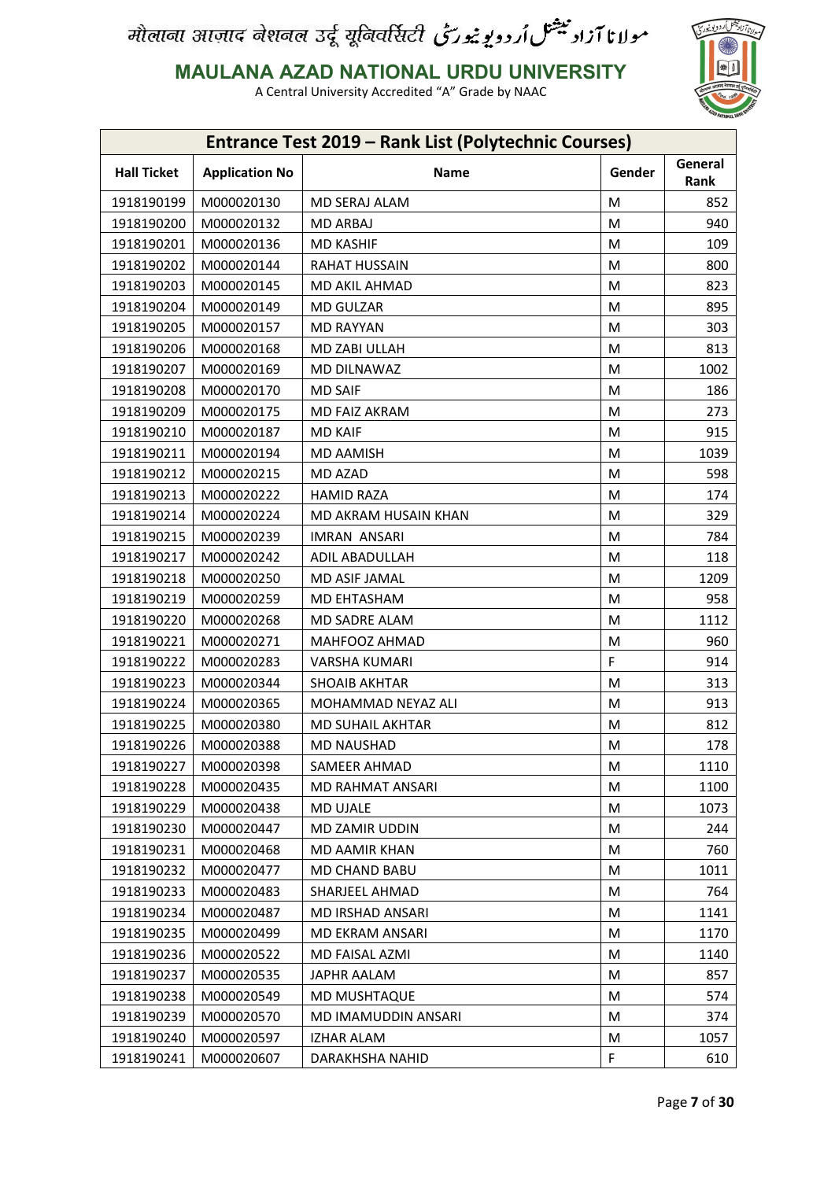

**MAULANA AZAD NATIONAL URDU UNIVERSITY**

| <b>Entrance Test 2019 - Rank List (Polytechnic Courses)</b> |                       |                         |        |                 |
|-------------------------------------------------------------|-----------------------|-------------------------|--------|-----------------|
| <b>Hall Ticket</b>                                          | <b>Application No</b> | <b>Name</b>             | Gender | General<br>Rank |
| 1918190199                                                  | M000020130            | MD SERAJ ALAM           | M      | 852             |
| 1918190200                                                  | M000020132            | MD ARBAJ                | M      | 940             |
| 1918190201                                                  | M000020136            | <b>MD KASHIF</b>        | M      | 109             |
| 1918190202                                                  | M000020144            | <b>RAHAT HUSSAIN</b>    | M      | 800             |
| 1918190203                                                  | M000020145            | MD AKIL AHMAD           | M      | 823             |
| 1918190204                                                  | M000020149            | <b>MD GULZAR</b>        | M      | 895             |
| 1918190205                                                  | M000020157            | <b>MD RAYYAN</b>        | M      | 303             |
| 1918190206                                                  | M000020168            | MD ZABI ULLAH           | M      | 813             |
| 1918190207                                                  | M000020169            | MD DILNAWAZ             | M      | 1002            |
| 1918190208                                                  | M000020170            | <b>MD SAIF</b>          | M      | 186             |
| 1918190209                                                  | M000020175            | <b>MD FAIZ AKRAM</b>    | M      | 273             |
| 1918190210                                                  | M000020187            | <b>MD KAIF</b>          | M      | 915             |
| 1918190211                                                  | M000020194            | <b>MD AAMISH</b>        | M      | 1039            |
| 1918190212                                                  | M000020215            | <b>MD AZAD</b>          | M      | 598             |
| 1918190213                                                  | M000020222            | <b>HAMID RAZA</b>       | M      | 174             |
| 1918190214                                                  | M000020224            | MD AKRAM HUSAIN KHAN    | M      | 329             |
| 1918190215                                                  | M000020239            | <b>IMRAN ANSARI</b>     | M      | 784             |
| 1918190217                                                  | M000020242            | ADIL ABADULLAH          | M      | 118             |
| 1918190218                                                  | M000020250            | MD ASIF JAMAL           | M      | 1209            |
| 1918190219                                                  | M000020259            | MD EHTASHAM             | M      | 958             |
| 1918190220                                                  | M000020268            | MD SADRE ALAM           | M      | 1112            |
| 1918190221                                                  | M000020271            | MAHFOOZ AHMAD           | M      | 960             |
| 1918190222                                                  | M000020283            | <b>VARSHA KUMARI</b>    | F      | 914             |
| 1918190223                                                  | M000020344            | <b>SHOAIB AKHTAR</b>    | M      | 313             |
| 1918190224                                                  | M000020365            | MOHAMMAD NEYAZ ALI      | M      | 913             |
| 1918190225                                                  | M000020380            | <b>MD SUHAIL AKHTAR</b> | M      | 812             |
| 1918190226                                                  | M000020388            | <b>MD NAUSHAD</b>       | M      | 178             |
| 1918190227                                                  | M000020398            | SAMEER AHMAD            | M      | 1110            |
| 1918190228                                                  | M000020435            | <b>MD RAHMAT ANSARI</b> | M      | 1100            |
| 1918190229                                                  | M000020438            | MD UJALE                | M      | 1073            |
| 1918190230                                                  | M000020447            | MD ZAMIR UDDIN          | M      | 244             |
| 1918190231                                                  | M000020468            | MD AAMIR KHAN           | M      | 760             |
| 1918190232                                                  | M000020477            | MD CHAND BABU           | M      | 1011            |
| 1918190233                                                  | M000020483            | SHARJEEL AHMAD          | M      | 764             |
| 1918190234                                                  | M000020487            | MD IRSHAD ANSARI        | M      | 1141            |
| 1918190235                                                  | M000020499            | MD EKRAM ANSARI         | M      | 1170            |
| 1918190236                                                  | M000020522            | MD FAISAL AZMI          | M      | 1140            |
| 1918190237                                                  | M000020535            | JAPHR AALAM             | M      | 857             |
| 1918190238                                                  | M000020549            | MD MUSHTAQUE            | M      | 574             |
| 1918190239                                                  | M000020570            | MD IMAMUDDIN ANSARI     | M      | 374             |
| 1918190240                                                  | M000020597            | IZHAR ALAM              | M      | 1057            |
| 1918190241                                                  | M000020607            | DARAKHSHA NAHID         | F      | 610             |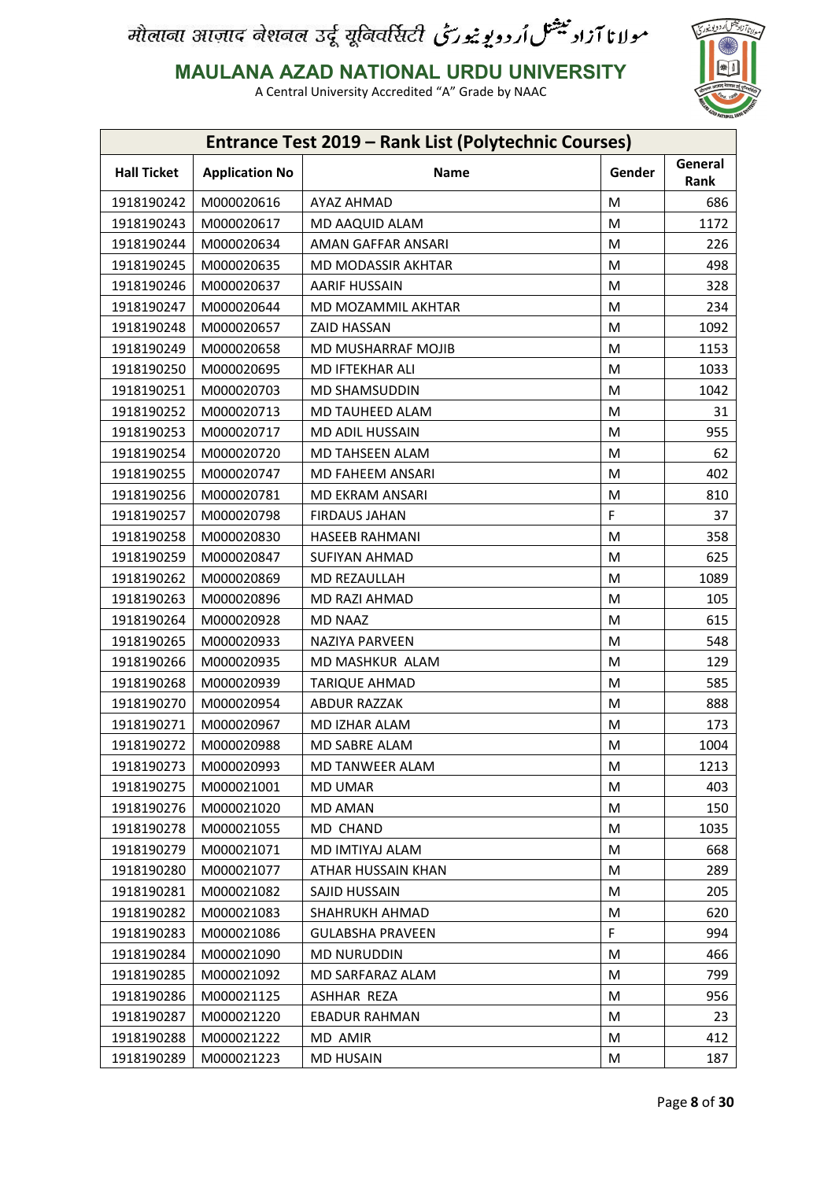

**MAULANA AZAD NATIONAL URDU UNIVERSITY**

|                    |                       | Entrance Test 2019 - Rank List (Polytechnic Courses) |        |                 |
|--------------------|-----------------------|------------------------------------------------------|--------|-----------------|
| <b>Hall Ticket</b> | <b>Application No</b> | Name                                                 | Gender | General<br>Rank |
| 1918190242         | M000020616            | AYAZ AHMAD                                           | M      | 686             |
| 1918190243         | M000020617            | MD AAQUID ALAM                                       | M      | 1172            |
| 1918190244         | M000020634            | AMAN GAFFAR ANSARI                                   | M      | 226             |
| 1918190245         | M000020635            | MD MODASSIR AKHTAR                                   | м      | 498             |
| 1918190246         | M000020637            | <b>AARIF HUSSAIN</b>                                 | M      | 328             |
| 1918190247         | M000020644            | MD MOZAMMIL AKHTAR                                   | M      | 234             |
| 1918190248         | M000020657            | ZAID HASSAN                                          | M      | 1092            |
| 1918190249         | M000020658            | MD MUSHARRAF MOJIB                                   | M      | 1153            |
| 1918190250         | M000020695            | MD IFTEKHAR ALI                                      | M      | 1033            |
| 1918190251         | M000020703            | MD SHAMSUDDIN                                        | M      | 1042            |
| 1918190252         | M000020713            | MD TAUHEED ALAM                                      | M      | 31              |
| 1918190253         | M000020717            | MD ADIL HUSSAIN                                      | M      | 955             |
| 1918190254         | M000020720            | MD TAHSEEN ALAM                                      | M      | 62              |
| 1918190255         | M000020747            | MD FAHEEM ANSARI                                     | M      | 402             |
| 1918190256         | M000020781            | <b>MD EKRAM ANSARI</b>                               | M      | 810             |
| 1918190257         | M000020798            | <b>FIRDAUS JAHAN</b>                                 | F      | 37              |
| 1918190258         | M000020830            | <b>HASEEB RAHMANI</b>                                | M      | 358             |
| 1918190259         | M000020847            | <b>SUFIYAN AHMAD</b>                                 | м      | 625             |
| 1918190262         | M000020869            | MD REZAULLAH                                         | M      | 1089            |
| 1918190263         | M000020896            | MD RAZI AHMAD                                        | M      | 105             |
| 1918190264         | M000020928            | <b>MD NAAZ</b>                                       | M      | 615             |
| 1918190265         | M000020933            | NAZIYA PARVEEN                                       | M      | 548             |
| 1918190266         | M000020935            | MD MASHKUR ALAM                                      | M      | 129             |
| 1918190268         | M000020939            | <b>TARIQUE AHMAD</b>                                 | M      | 585             |
| 1918190270         | M000020954            | <b>ABDUR RAZZAK</b>                                  | M      | 888             |
| 1918190271         | M000020967            | MD IZHAR ALAM                                        | M      | 173             |
| 1918190272         | M000020988            | MD SABRE ALAM                                        | M      | 1004            |
| 1918190273         | M000020993            | MD TANWEER ALAM                                      | M      | 1213            |
| 1918190275         | M000021001            | <b>MD UMAR</b>                                       | M      | 403             |
| 1918190276         | M000021020            | MD AMAN                                              | M      | 150             |
| 1918190278         | M000021055            | MD CHAND                                             | M      | 1035            |
| 1918190279         | M000021071            | MD IMTIYAJ ALAM                                      | M      | 668             |
| 1918190280         | M000021077            | ATHAR HUSSAIN KHAN                                   | M      | 289             |
| 1918190281         | M000021082            | SAJID HUSSAIN                                        | M      | 205             |
| 1918190282         | M000021083            | SHAHRUKH AHMAD                                       | M      | 620             |
| 1918190283         | M000021086            | <b>GULABSHA PRAVEEN</b>                              | F      | 994             |
| 1918190284         | M000021090            | <b>MD NURUDDIN</b>                                   | M      | 466             |
| 1918190285         | M000021092            | MD SARFARAZ ALAM                                     | M      | 799             |
| 1918190286         | M000021125            | ASHHAR REZA                                          | M      | 956             |
| 1918190287         | M000021220            | <b>EBADUR RAHMAN</b>                                 | M      | 23              |
| 1918190288         | M000021222            | MD AMIR                                              | M      | 412             |
| 1918190289         | M000021223            | <b>MD HUSAIN</b>                                     | M      | 187             |
|                    |                       |                                                      |        |                 |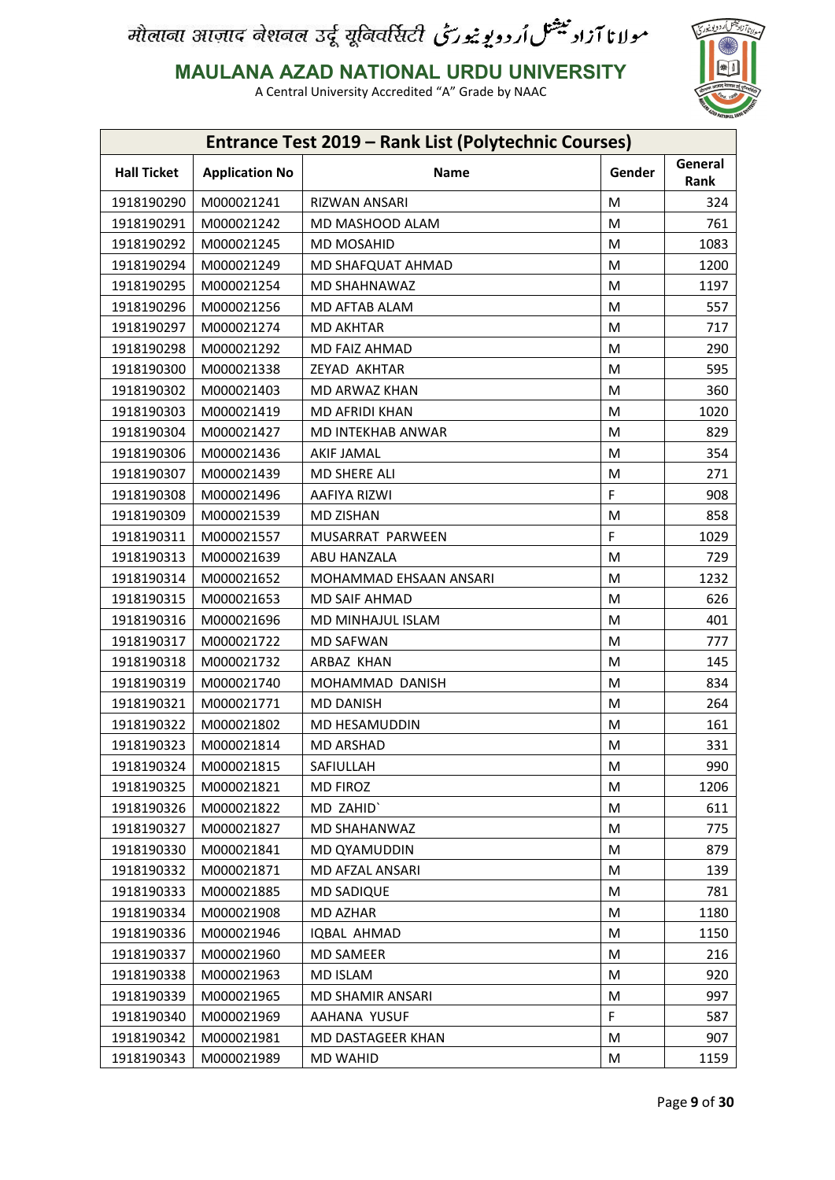

**MAULANA AZAD NATIONAL URDU UNIVERSITY**

| <b>Entrance Test 2019 - Rank List (Polytechnic Courses)</b> |                       |                         |        |                 |  |
|-------------------------------------------------------------|-----------------------|-------------------------|--------|-----------------|--|
| <b>Hall Ticket</b>                                          | <b>Application No</b> | <b>Name</b>             | Gender | General<br>Rank |  |
| 1918190290                                                  | M000021241            | <b>RIZWAN ANSARI</b>    | M      | 324             |  |
| 1918190291                                                  | M000021242            | MD MASHOOD ALAM         | M      | 761             |  |
| 1918190292                                                  | M000021245            | <b>MD MOSAHID</b>       | M      | 1083            |  |
| 1918190294                                                  | M000021249            | MD SHAFQUAT AHMAD       | M      | 1200            |  |
| 1918190295                                                  | M000021254            | MD SHAHNAWAZ            | M      | 1197            |  |
| 1918190296                                                  | M000021256            | MD AFTAB ALAM           | M      | 557             |  |
| 1918190297                                                  | M000021274            | <b>MD AKHTAR</b>        | M      | 717             |  |
| 1918190298                                                  | M000021292            | MD FAIZ AHMAD           | M      | 290             |  |
| 1918190300                                                  | M000021338            | ZEYAD AKHTAR            | M      | 595             |  |
| 1918190302                                                  | M000021403            | MD ARWAZ KHAN           | M      | 360             |  |
| 1918190303                                                  | M000021419            | MD AFRIDI KHAN          | M      | 1020            |  |
| 1918190304                                                  | M000021427            | MD INTEKHAB ANWAR       | M      | 829             |  |
| 1918190306                                                  | M000021436            | <b>AKIF JAMAL</b>       | M      | 354             |  |
| 1918190307                                                  | M000021439            | MD SHERE ALI            | M      | 271             |  |
| 1918190308                                                  | M000021496            | AAFIYA RIZWI            | F      | 908             |  |
| 1918190309                                                  | M000021539            | <b>MD ZISHAN</b>        | M      | 858             |  |
| 1918190311                                                  | M000021557            | MUSARRAT PARWEEN        | F      | 1029            |  |
| 1918190313                                                  | M000021639            | ABU HANZALA             | M      | 729             |  |
| 1918190314                                                  | M000021652            | MOHAMMAD EHSAAN ANSARI  | M      | 1232            |  |
| 1918190315                                                  | M000021653            | MD SAIF AHMAD           | M      | 626             |  |
| 1918190316                                                  | M000021696            | MD MINHAJUL ISLAM       | M      | 401             |  |
| 1918190317                                                  | M000021722            | <b>MD SAFWAN</b>        | M      | 777             |  |
| 1918190318                                                  | M000021732            | ARBAZ KHAN              | M      | 145             |  |
| 1918190319                                                  | M000021740            | MOHAMMAD DANISH         | M      | 834             |  |
| 1918190321                                                  | M000021771            | <b>MD DANISH</b>        | M      | 264             |  |
| 1918190322                                                  | M000021802            | MD HESAMUDDIN           | M      | 161             |  |
| 1918190323                                                  | M000021814            | MD ARSHAD               | M      | 331             |  |
| 1918190324                                                  | M000021815            | SAFIULLAH               | M      | 990             |  |
| 1918190325                                                  | M000021821            | MD FIROZ                | M      | 1206            |  |
| 1918190326                                                  | M000021822            | MD ZAHID'               | M      | 611             |  |
| 1918190327                                                  | M000021827            | MD SHAHANWAZ            | M      | 775             |  |
| 1918190330                                                  | M000021841            | MD QYAMUDDIN            | M      | 879             |  |
| 1918190332                                                  | M000021871            | MD AFZAL ANSARI         | M      | 139             |  |
| 1918190333                                                  | M000021885            | MD SADIQUE              | M      | 781             |  |
| 1918190334                                                  | M000021908            | MD AZHAR                | M      | 1180            |  |
| 1918190336                                                  | M000021946            | IQBAL AHMAD             | М      | 1150            |  |
| 1918190337                                                  | M000021960            | <b>MD SAMEER</b>        | M      | 216             |  |
| 1918190338                                                  | M000021963            | MD ISLAM                | M      | 920             |  |
| 1918190339                                                  | M000021965            | <b>MD SHAMIR ANSARI</b> | M      | 997             |  |
| 1918190340                                                  | M000021969            | AAHANA YUSUF            | F.     | 587             |  |
| 1918190342                                                  | M000021981            | MD DASTAGEER KHAN       | M      | 907             |  |
| 1918190343                                                  | M000021989            | <b>MD WAHID</b>         | M      | 1159            |  |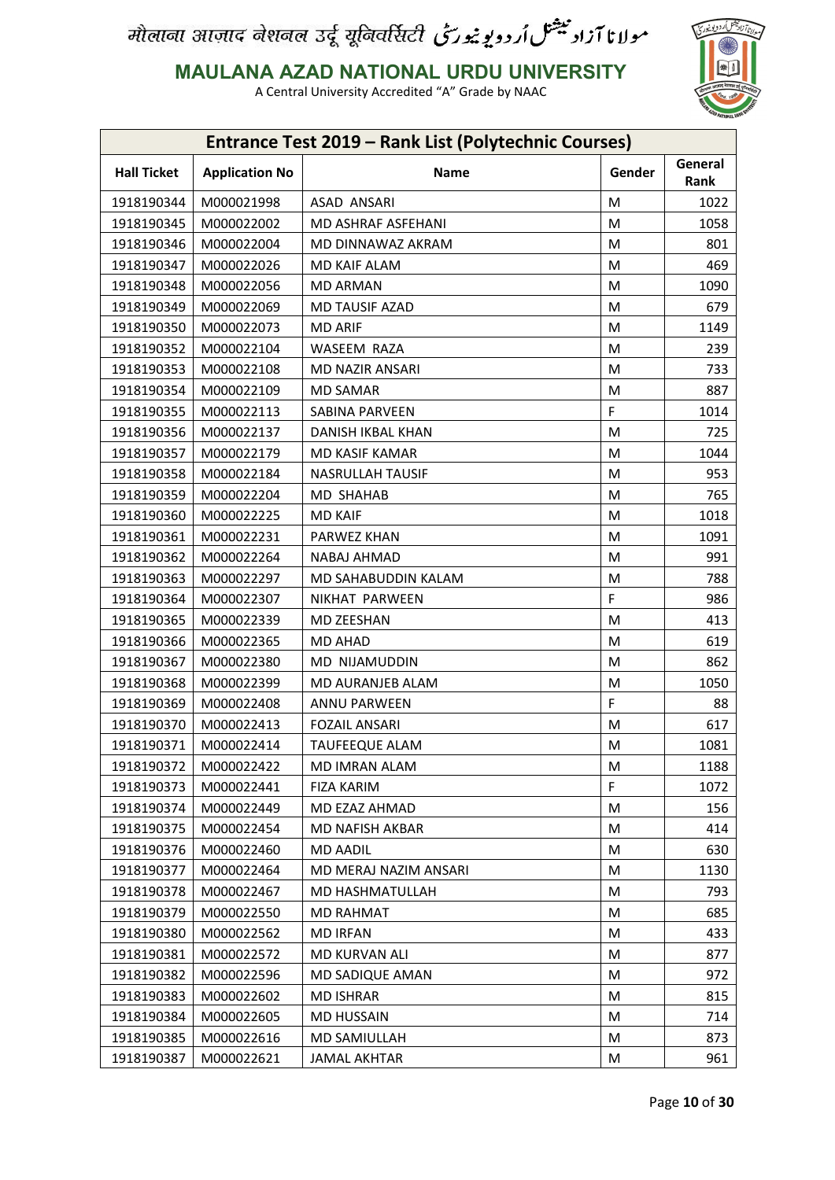

**MAULANA AZAD NATIONAL URDU UNIVERSITY**

| <b>Entrance Test 2019 - Rank List (Polytechnic Courses)</b> |                       |                         |        |                 |  |
|-------------------------------------------------------------|-----------------------|-------------------------|--------|-----------------|--|
| <b>Hall Ticket</b>                                          | <b>Application No</b> | <b>Name</b>             | Gender | General<br>Rank |  |
| 1918190344                                                  | M000021998            | ASAD ANSARI             | M      | 1022            |  |
| 1918190345                                                  | M000022002            | MD ASHRAF ASFEHANI      | M      | 1058            |  |
| 1918190346                                                  | M000022004            | MD DINNAWAZ AKRAM       | M      | 801             |  |
| 1918190347                                                  | M000022026            | MD KAIF ALAM            | M      | 469             |  |
| 1918190348                                                  | M000022056            | <b>MD ARMAN</b>         | M      | 1090            |  |
| 1918190349                                                  | M000022069            | MD TAUSIF AZAD          | M      | 679             |  |
| 1918190350                                                  | M000022073            | <b>MD ARIF</b>          | M      | 1149            |  |
| 1918190352                                                  | M000022104            | WASEEM RAZA             | M      | 239             |  |
| 1918190353                                                  | M000022108            | <b>MD NAZIR ANSARI</b>  | M      | 733             |  |
| 1918190354                                                  | M000022109            | <b>MD SAMAR</b>         | M      | 887             |  |
| 1918190355                                                  | M000022113            | SABINA PARVEEN          | F      | 1014            |  |
| 1918190356                                                  | M000022137            | DANISH IKBAL KHAN       | M      | 725             |  |
| 1918190357                                                  | M000022179            | MD KASIF KAMAR          | M      | 1044            |  |
| 1918190358                                                  | M000022184            | <b>NASRULLAH TAUSIF</b> | M      | 953             |  |
| 1918190359                                                  | M000022204            | <b>MD SHAHAB</b>        | M      | 765             |  |
| 1918190360                                                  | M000022225            | <b>MD KAIF</b>          | M      | 1018            |  |
| 1918190361                                                  | M000022231            | PARWEZ KHAN             | M      | 1091            |  |
| 1918190362                                                  | M000022264            | NABAJ AHMAD             | M      | 991             |  |
| 1918190363                                                  | M000022297            | MD SAHABUDDIN KALAM     | M      | 788             |  |
| 1918190364                                                  | M000022307            | NIKHAT PARWEEN          | F.     | 986             |  |
| 1918190365                                                  | M000022339            | MD ZEESHAN              | M      | 413             |  |
| 1918190366                                                  | M000022365            | MD AHAD                 | M      | 619             |  |
| 1918190367                                                  | M000022380            | MD NIJAMUDDIN           | M      | 862             |  |
| 1918190368                                                  | M000022399            | MD AURANJEB ALAM        | M      | 1050            |  |
| 1918190369                                                  | M000022408            | ANNU PARWEEN            | F      | 88              |  |
| 1918190370                                                  | M000022413            | <b>FOZAIL ANSARI</b>    | M      | 617             |  |
| 1918190371                                                  | M000022414            | <b>TAUFEEQUE ALAM</b>   | M      | 1081            |  |
| 1918190372                                                  | M000022422            | MD IMRAN ALAM           | M      | 1188            |  |
| 1918190373                                                  | M000022441            | <b>FIZA KARIM</b>       | F      | 1072            |  |
| 1918190374                                                  | M000022449            | MD EZAZ AHMAD           | M      | 156             |  |
| 1918190375                                                  | M000022454            | MD NAFISH AKBAR         | M      | 414             |  |
| 1918190376                                                  | M000022460            | <b>MD AADIL</b>         | M      | 630             |  |
| 1918190377                                                  | M000022464            | MD MERAJ NAZIM ANSARI   | М      | 1130            |  |
| 1918190378                                                  | M000022467            | MD HASHMATULLAH         | M      | 793             |  |
| 1918190379                                                  | M000022550            | MD RAHMAT               | М      | 685             |  |
| 1918190380                                                  | M000022562            | <b>MD IRFAN</b>         | М      | 433             |  |
| 1918190381                                                  | M000022572            | MD KURVAN ALI           | М      | 877             |  |
| 1918190382                                                  | M000022596            | MD SADIQUE AMAN         | М      | 972             |  |
| 1918190383                                                  | M000022602            | <b>MD ISHRAR</b>        | М      | 815             |  |
| 1918190384                                                  | M000022605            | <b>MD HUSSAIN</b>       | M      | 714             |  |
| 1918190385                                                  | M000022616            | MD SAMIULLAH            | М      | 873             |  |
| 1918190387                                                  | M000022621            | <b>JAMAL AKHTAR</b>     | M      | 961             |  |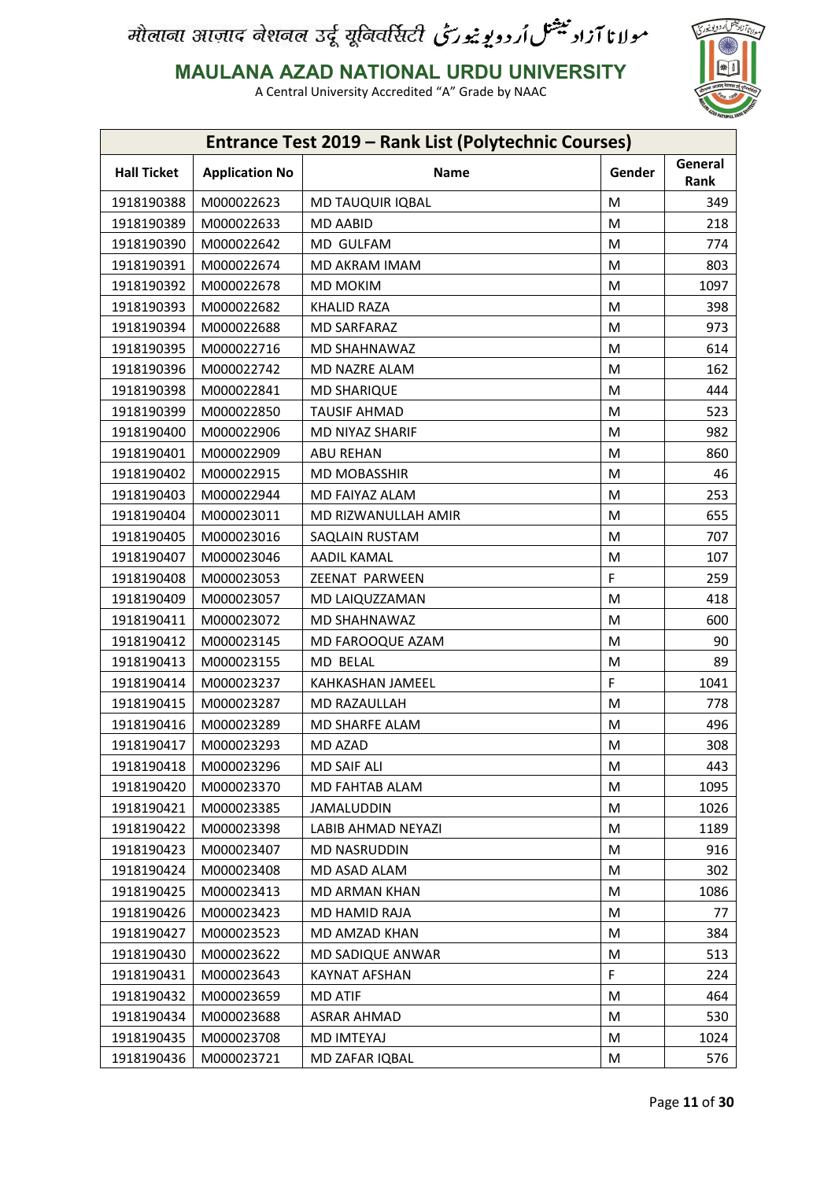

**MAULANA AZAD NATIONAL URDU UNIVERSITY**

|                    |                       | <b>Entrance Test 2019 - Rank List (Polytechnic Courses)</b> |        |                 |
|--------------------|-----------------------|-------------------------------------------------------------|--------|-----------------|
| <b>Hall Ticket</b> | <b>Application No</b> | Name                                                        | Gender | General<br>Rank |
| 1918190388         | M000022623            | <b>MD TAUQUIR IQBAL</b>                                     | M      | 349             |
| 1918190389         | M000022633            | <b>MD AABID</b>                                             | M      | 218             |
| 1918190390         | M000022642            | MD GULFAM                                                   | M      | 774             |
| 1918190391         | M000022674            | MD AKRAM IMAM                                               | M      | 803             |
| 1918190392         | M000022678            | MD MOKIM                                                    | M      | 1097            |
| 1918190393         | M000022682            | <b>KHALID RAZA</b>                                          | M      | 398             |
| 1918190394         | M000022688            | <b>MD SARFARAZ</b>                                          | M      | 973             |
| 1918190395         | M000022716            | MD SHAHNAWAZ                                                | M      | 614             |
| 1918190396         | M000022742            | MD NAZRE ALAM                                               | M      | 162             |
| 1918190398         | M000022841            | <b>MD SHARIQUE</b>                                          | M      | 444             |
| 1918190399         | M000022850            | <b>TAUSIF AHMAD</b>                                         | M      | 523             |
| 1918190400         | M000022906            | MD NIYAZ SHARIF                                             | M      | 982             |
| 1918190401         | M000022909            | <b>ABU REHAN</b>                                            | M      | 860             |
| 1918190402         | M000022915            | <b>MD MOBASSHIR</b>                                         | M      | 46              |
| 1918190403         | M000022944            | MD FAIYAZ ALAM                                              | M      | 253             |
| 1918190404         | M000023011            | MD RIZWANULLAH AMIR                                         | M      | 655             |
| 1918190405         | M000023016            | SAQLAIN RUSTAM                                              | M      | 707             |
| 1918190407         | M000023046            | AADIL KAMAL                                                 | M      | 107             |
| 1918190408         | M000023053            | ZEENAT PARWEEN                                              | F      | 259             |
| 1918190409         | M000023057            | MD LAIQUZZAMAN                                              | M      | 418             |
| 1918190411         | M000023072            | MD SHAHNAWAZ                                                | M      | 600             |
| 1918190412         | M000023145            | MD FAROOQUE AZAM                                            | M      | 90              |
| 1918190413         | M000023155            | MD BELAL                                                    | M      | 89              |
| 1918190414         | M000023237            | KAHKASHAN JAMEEL                                            | F      | 1041            |
| 1918190415         | M000023287            | MD RAZAULLAH                                                | M      | 778             |
| 1918190416         | M000023289            | MD SHARFE ALAM                                              | M      | 496             |
| 1918190417         | M000023293            | MD AZAD                                                     | M      | 308             |
| 1918190418         | M000023296            | MD SAIF ALI                                                 | M      | 443             |
| 1918190420         | M000023370            | MD FAHTAB ALAM                                              | M      | 1095            |
| 1918190421         | M000023385            | JAMALUDDIN                                                  | M      | 1026            |
| 1918190422         | M000023398            | LABIB AHMAD NEYAZI                                          | M      | 1189            |
| 1918190423         | M000023407            | MD NASRUDDIN                                                | M      | 916             |
| 1918190424         | M000023408            | MD ASAD ALAM                                                | M      | 302             |
| 1918190425         | M000023413            | <b>MD ARMAN KHAN</b>                                        | М      | 1086            |
| 1918190426         | M000023423            | MD HAMID RAJA                                               | М      | 77              |
| 1918190427         | M000023523            | MD AMZAD KHAN                                               |        | 384             |
| 1918190430         | M000023622            | MD SADIQUE ANWAR                                            | M      | 513             |
| 1918190431         | M000023643            | <b>KAYNAT AFSHAN</b>                                        | M<br>F | 224             |
|                    |                       |                                                             |        |                 |
| 1918190432         | M000023659            | <b>MD ATIF</b>                                              | М      | 464             |
| 1918190434         | M000023688            | <b>ASRAR AHMAD</b>                                          | M      | 530             |
| 1918190435         | M000023708            | MD IMTEYAJ                                                  | M      | 1024            |
| 1918190436         | M000023721            | MD ZAFAR IQBAL                                              | M      | 576             |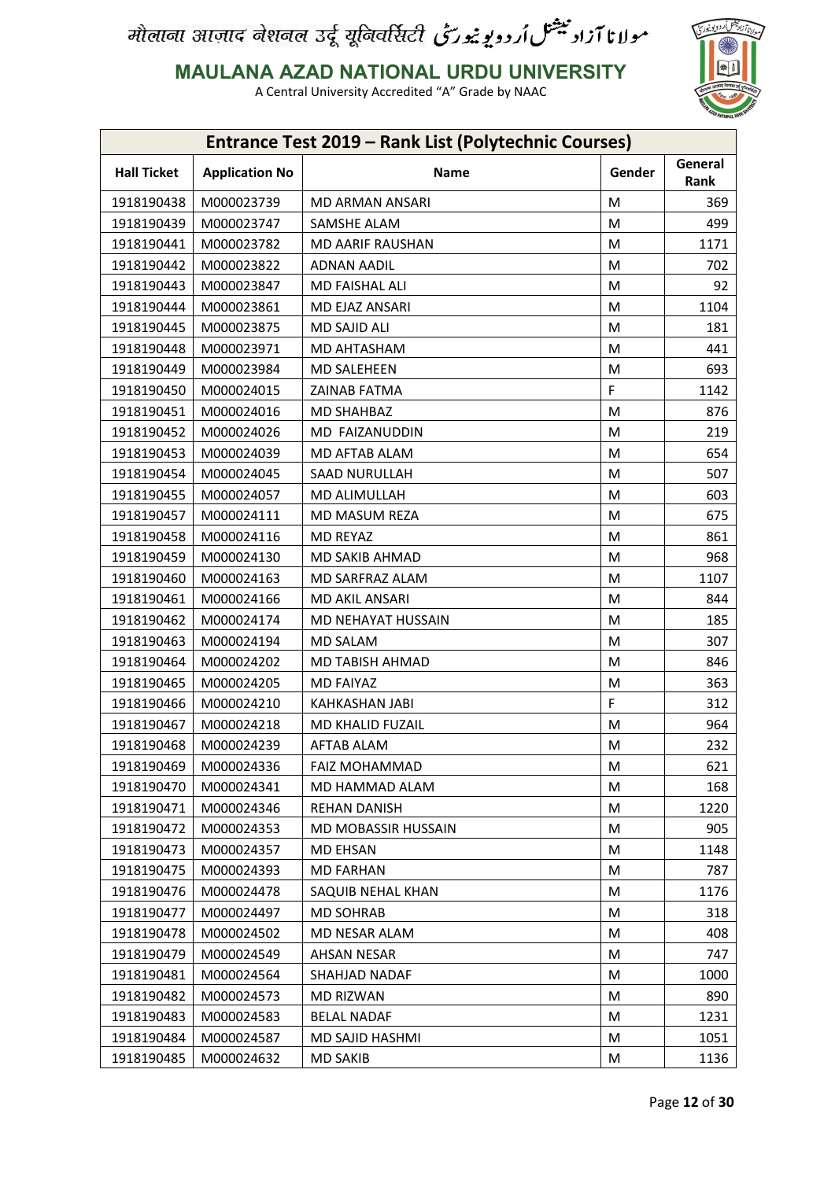

**MAULANA AZAD NATIONAL URDU UNIVERSITY**

| <b>Entrance Test 2019 - Rank List (Polytechnic Courses)</b> |                          |                       |        |                 |  |
|-------------------------------------------------------------|--------------------------|-----------------------|--------|-----------------|--|
| <b>Hall Ticket</b>                                          | <b>Application No</b>    | Name                  | Gender | General<br>Rank |  |
| 1918190438                                                  | M000023739               | MD ARMAN ANSARI       | M      | 369             |  |
| 1918190439                                                  | M000023747               | SAMSHE ALAM           | М      | 499             |  |
| 1918190441                                                  | M000023782               | MD AARIF RAUSHAN      | М      | 1171            |  |
| 1918190442                                                  | M000023822               | <b>ADNAN AADIL</b>    | M      | 702             |  |
| 1918190443                                                  | M000023847               | MD FAISHAL ALI        | M      | 92              |  |
| 1918190444                                                  | M000023861               | MD EJAZ ANSARI        | M      | 1104            |  |
| 1918190445                                                  | M000023875               | MD SAJID ALI          | M      | 181             |  |
| 1918190448                                                  | M000023971               | MD AHTASHAM           | M      | 441             |  |
| 1918190449                                                  | M000023984               | <b>MD SALEHEEN</b>    | M      | 693             |  |
| 1918190450                                                  | M000024015               | <b>ZAINAB FATMA</b>   | F      | 1142            |  |
| 1918190451                                                  | M000024016               | <b>MD SHAHBAZ</b>     | M      | 876             |  |
| 1918190452                                                  | M000024026               | MD FAIZANUDDIN        |        | 219             |  |
|                                                             |                          |                       | M      |                 |  |
| 1918190453                                                  | M000024039<br>M000024045 | MD AFTAB ALAM         | M      | 654             |  |
| 1918190454                                                  |                          | <b>SAAD NURULLAH</b>  | M      | 507             |  |
| 1918190455                                                  | M000024057               | MD ALIMULLAH          | M      | 603             |  |
| 1918190457                                                  | M000024111               | MD MASUM REZA         | M      | 675             |  |
| 1918190458                                                  | M000024116               | <b>MD REYAZ</b>       | M      | 861             |  |
| 1918190459                                                  | M000024130               | MD SAKIB AHMAD        | M      | 968             |  |
| 1918190460                                                  | M000024163               | MD SARFRAZ ALAM       | M      | 1107            |  |
| 1918190461                                                  | M000024166               | MD AKIL ANSARI        | M      | 844             |  |
| 1918190462                                                  | M000024174               | MD NEHAYAT HUSSAIN    | M      | 185             |  |
| 1918190463                                                  | M000024194               | MD SALAM              | M      | 307             |  |
| 1918190464                                                  | M000024202               | MD TABISH AHMAD       | M      | 846             |  |
| 1918190465                                                  | M000024205               | MD FAIYAZ             | М      | 363             |  |
| 1918190466                                                  | M000024210               | <b>KAHKASHAN JABI</b> | F      | 312             |  |
| 1918190467                                                  | M000024218               | MD KHALID FUZAIL      | М      | 964             |  |
| 1918190468                                                  | M000024239               | AFTAB ALAM            | M      | 232             |  |
| 1918190469                                                  | M000024336               | <b>FAIZ MOHAMMAD</b>  | М      | 621             |  |
| 1918190470                                                  | M000024341               | MD HAMMAD ALAM        | M      | 168             |  |
| 1918190471                                                  | M000024346               | <b>REHAN DANISH</b>   | М      | 1220            |  |
| 1918190472                                                  | M000024353               | MD MOBASSIR HUSSAIN   | M      | 905             |  |
| 1918190473                                                  | M000024357               | <b>MD EHSAN</b>       | M      | 1148            |  |
| 1918190475                                                  | M000024393               | <b>MD FARHAN</b>      | M      | 787             |  |
| 1918190476                                                  | M000024478               | SAQUIB NEHAL KHAN     | М      | 1176            |  |
| 1918190477                                                  | M000024497               | <b>MD SOHRAB</b>      | M      | 318             |  |
| 1918190478                                                  | M000024502               | MD NESAR ALAM         | М      | 408             |  |
| 1918190479                                                  | M000024549               | AHSAN NESAR           | M      | 747             |  |
| 1918190481                                                  | M000024564               | SHAHJAD NADAF         | М      | 1000            |  |
| 1918190482                                                  | M000024573               | MD RIZWAN             | М      | 890             |  |
| 1918190483                                                  | M000024583               | <b>BELAL NADAF</b>    | M      | 1231            |  |
| 1918190484                                                  | M000024587               | MD SAJID HASHMI       | M      | 1051            |  |
| 1918190485                                                  | M000024632               | MD SAKIB              | М      | 1136            |  |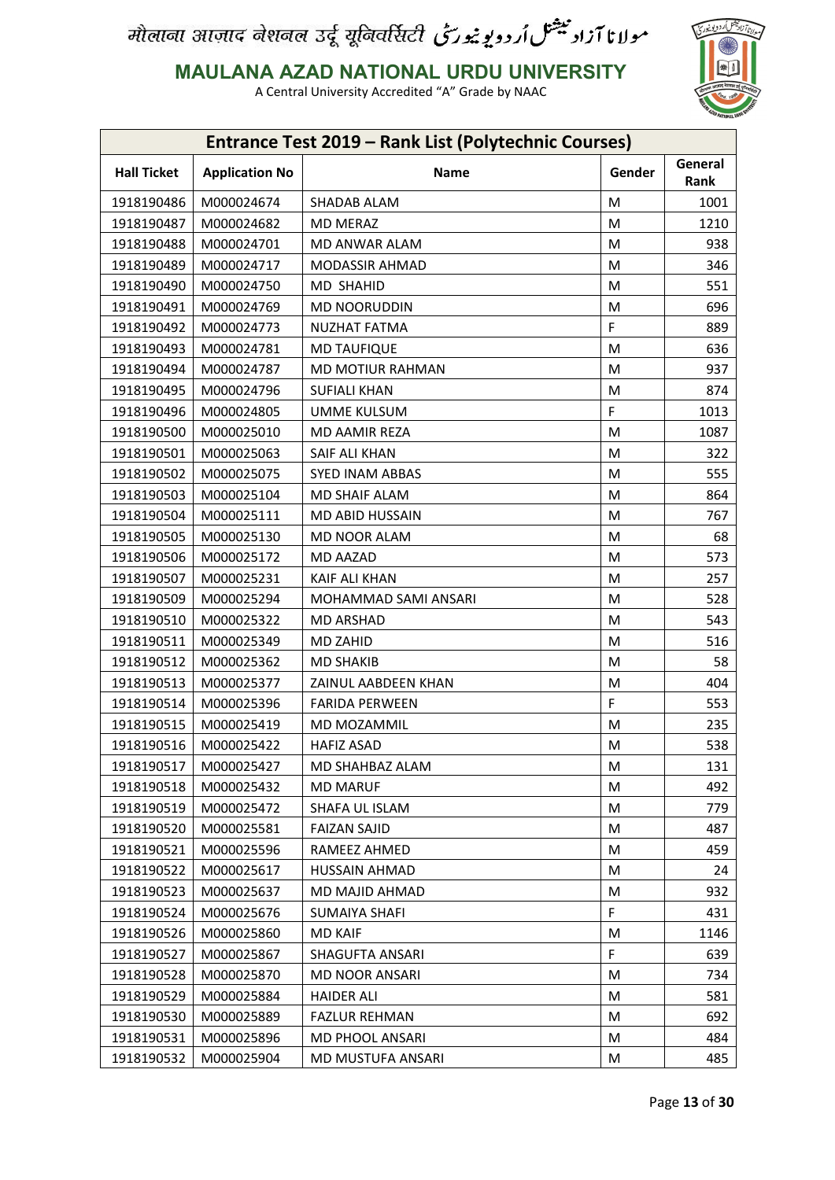

**MAULANA AZAD NATIONAL URDU UNIVERSITY**

| Entrance Test 2019 - Rank List (Polytechnic Courses) |                       |                        |        |                 |
|------------------------------------------------------|-----------------------|------------------------|--------|-----------------|
| <b>Hall Ticket</b>                                   | <b>Application No</b> | Name                   | Gender | General<br>Rank |
| 1918190486                                           | M000024674            | SHADAB ALAM            | M      | 1001            |
| 1918190487                                           | M000024682            | <b>MD MERAZ</b>        | M      | 1210            |
| 1918190488                                           | M000024701            | MD ANWAR ALAM          | M      | 938             |
| 1918190489                                           | M000024717            | MODASSIR AHMAD         | M      | 346             |
| 1918190490                                           | M000024750            | <b>MD SHAHID</b>       | M      | 551             |
| 1918190491                                           | M000024769            | <b>MD NOORUDDIN</b>    | M      | 696             |
| 1918190492                                           | M000024773            | <b>NUZHAT FATMA</b>    | F      | 889             |
| 1918190493                                           | M000024781            | <b>MD TAUFIQUE</b>     | M      | 636             |
| 1918190494                                           | M000024787            | MD MOTIUR RAHMAN       | M      | 937             |
| 1918190495                                           | M000024796            | <b>SUFIALI KHAN</b>    | M      | 874             |
| 1918190496                                           | M000024805            | UMME KULSUM            | F      | 1013            |
| 1918190500                                           | M000025010            | <b>MD AAMIR REZA</b>   | M      | 1087            |
| 1918190501                                           | M000025063            | SAIF ALI KHAN          | M      | 322             |
| 1918190502                                           | M000025075            | SYED INAM ABBAS        | M      | 555             |
| 1918190503                                           | M000025104            | <b>MD SHAIF ALAM</b>   | M      | 864             |
| 1918190504                                           | M000025111            | MD ABID HUSSAIN        | M      | 767             |
| 1918190505                                           | M000025130            | <b>MD NOOR ALAM</b>    | M      | 68              |
| 1918190506                                           | M000025172            | MD AAZAD               | M      | 573             |
| 1918190507                                           | M000025231            | <b>KAIF ALI KHAN</b>   | M      | 257             |
| 1918190509                                           | M000025294            | MOHAMMAD SAMI ANSARI   | M      | 528             |
| 1918190510                                           | M000025322            | <b>MD ARSHAD</b>       | M      | 543             |
| 1918190511                                           | M000025349            | MD ZAHID               | M      | 516             |
| 1918190512                                           | M000025362            | <b>MD SHAKIB</b>       | M      | 58              |
| 1918190513                                           | M000025377            | ZAINUL AABDEEN KHAN    | M      | 404             |
| 1918190514                                           | M000025396            | <b>FARIDA PERWEEN</b>  | F      | 553             |
| 1918190515                                           | M000025419            | MD MOZAMMIL            | M      | 235             |
| 1918190516                                           | M000025422            | <b>HAFIZ ASAD</b>      | M      | 538             |
| 1918190517                                           | M000025427            | MD SHAHBAZ ALAM        | M      | 131             |
| 1918190518                                           | M000025432            | <b>MD MARUF</b>        | M      | 492             |
| 1918190519                                           | M000025472            | SHAFA UL ISLAM         | М      | 779             |
| 1918190520                                           | M000025581            | <b>FAIZAN SAJID</b>    | M      | 487             |
| 1918190521                                           | M000025596            | RAMEEZ AHMED           | М      | 459             |
| 1918190522                                           | M000025617            | <b>HUSSAIN AHMAD</b>   | M      | 24              |
| 1918190523                                           | M000025637            | MD MAJID AHMAD         | М      | 932             |
| 1918190524                                           | M000025676            | <b>SUMAIYA SHAFI</b>   | F      | 431             |
| 1918190526                                           | M000025860            | <b>MD KAIF</b>         | M      | 1146            |
| 1918190527                                           | M000025867            | <b>SHAGUFTA ANSARI</b> | F      | 639             |
| 1918190528                                           | M000025870            | <b>MD NOOR ANSARI</b>  | M      | 734             |
| 1918190529                                           | M000025884            | <b>HAIDER ALI</b>      | М      | 581             |
| 1918190530                                           | M000025889            | <b>FAZLUR REHMAN</b>   | M      | 692             |
| 1918190531                                           | M000025896            | MD PHOOL ANSARI        | M      | 484             |
| 1918190532                                           | M000025904            | MD MUSTUFA ANSARI      | M      | 485             |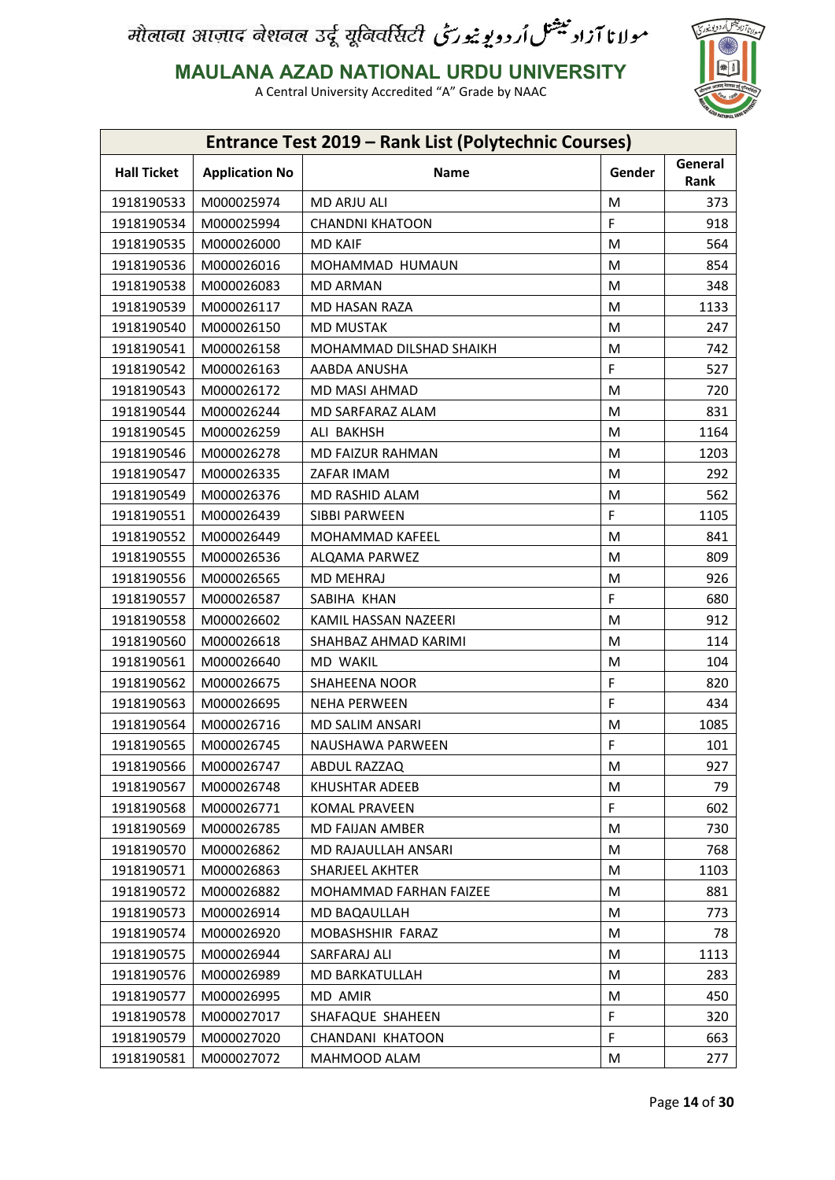

**MAULANA AZAD NATIONAL URDU UNIVERSITY**

|                    |                       | <b>Entrance Test 2019 - Rank List (Polytechnic Courses)</b> |        |                 |
|--------------------|-----------------------|-------------------------------------------------------------|--------|-----------------|
| <b>Hall Ticket</b> | <b>Application No</b> | <b>Name</b>                                                 | Gender | General<br>Rank |
| 1918190533         | M000025974            | <b>MD ARJU ALI</b>                                          | M      | 373             |
| 1918190534         | M000025994            | <b>CHANDNI KHATOON</b>                                      | F      | 918             |
| 1918190535         | M000026000            | <b>MD KAIF</b>                                              | M      | 564             |
| 1918190536         | M000026016            | MOHAMMAD HUMAUN                                             | М      | 854             |
| 1918190538         | M000026083            | <b>MD ARMAN</b>                                             | M      | 348             |
| 1918190539         | M000026117            | MD HASAN RAZA                                               | M      | 1133            |
| 1918190540         | M000026150            | <b>MD MUSTAK</b>                                            | M      | 247             |
| 1918190541         | M000026158            | MOHAMMAD DILSHAD SHAIKH                                     | M      | 742             |
| 1918190542         | M000026163            | AABDA ANUSHA                                                | F      | 527             |
| 1918190543         | M000026172            | MD MASI AHMAD                                               | M      | 720             |
| 1918190544         | M000026244            | MD SARFARAZ ALAM                                            | M      | 831             |
| 1918190545         | M000026259            | ALI BAKHSH                                                  | M      | 1164            |
| 1918190546         | M000026278            | MD FAIZUR RAHMAN                                            | M      | 1203            |
| 1918190547         | M000026335            | ZAFAR IMAM                                                  | M      | 292             |
| 1918190549         | M000026376            | MD RASHID ALAM                                              | M      | 562             |
| 1918190551         | M000026439            | SIBBI PARWEEN                                               | F      | 1105            |
| 1918190552         | M000026449            | MOHAMMAD KAFEEL                                             | M      | 841             |
| 1918190555         | M000026536            | ALQAMA PARWEZ                                               | M      | 809             |
| 1918190556         | M000026565            | MD MEHRAJ                                                   | M      | 926             |
| 1918190557         | M000026587            | SABIHA KHAN                                                 | F      | 680             |
| 1918190558         | M000026602            | KAMIL HASSAN NAZEERI                                        | M      | 912             |
| 1918190560         | M000026618            | SHAHBAZ AHMAD KARIMI                                        | M      | 114             |
| 1918190561         | M000026640            | MD WAKIL                                                    | M      | 104             |
| 1918190562         | M000026675            | <b>SHAHEENA NOOR</b>                                        | F      | 820             |
| 1918190563         | M000026695            | <b>NEHA PERWEEN</b>                                         | F      | 434             |
| 1918190564         | M000026716            | MD SALIM ANSARI                                             | M      | 1085            |
| 1918190565         | M000026745            | NAUSHAWA PARWEEN                                            | F      | 101             |
| 1918190566         | M000026747            | ABDUL RAZZAQ                                                | M      | 927             |
| 1918190567         | M000026748            | <b>KHUSHTAR ADEEB</b>                                       | M      | 79              |
| 1918190568         | M000026771            | <b>KOMAL PRAVEEN</b>                                        | F.     | 602             |
| 1918190569         | M000026785            | MD FAIJAN AMBER                                             | M      | 730             |
| 1918190570         | M000026862            | MD RAJAULLAH ANSARI                                         | Μ      | 768             |
| 1918190571         | M000026863            | SHARJEEL AKHTER                                             | M      | 1103            |
| 1918190572         | M000026882            | <b>MOHAMMAD FARHAN FAIZEE</b>                               | М      | 881             |
| 1918190573         | M000026914            | MD BAQAULLAH                                                | M      | 773             |
| 1918190574         | M000026920            | MOBASHSHIR FARAZ                                            | M      | 78              |
| 1918190575         | M000026944            | SARFARAJ ALI                                                | M      | 1113            |
| 1918190576         | M000026989            | MD BARKATULLAH                                              | M      | 283             |
| 1918190577         | M000026995            | MD AMIR                                                     | Μ      | 450             |
| 1918190578         | M000027017            | SHAFAQUE SHAHEEN                                            | F      | 320             |
| 1918190579         | M000027020            | CHANDANI KHATOON                                            | F      | 663             |
|                    | M000027072            | MAHMOOD ALAM                                                | M      | 277             |
| 1918190581         |                       |                                                             |        |                 |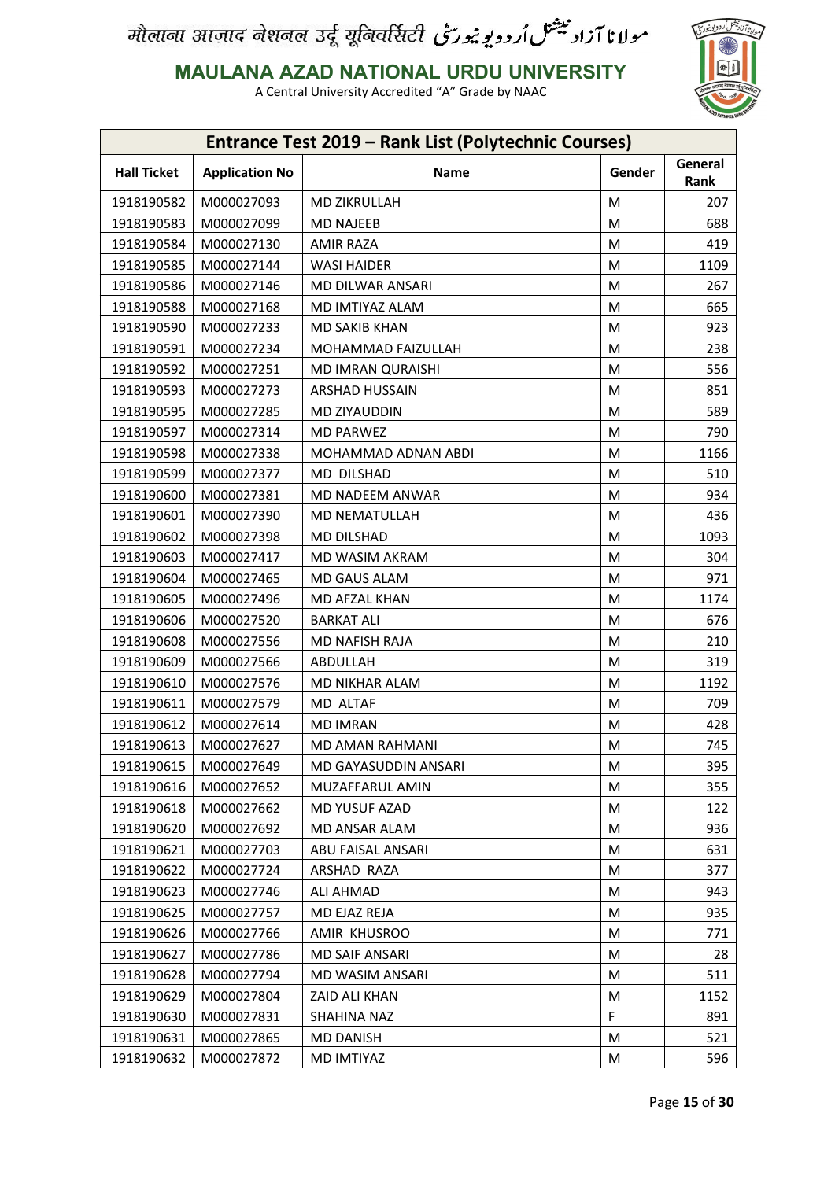

**MAULANA AZAD NATIONAL URDU UNIVERSITY**

|                    |                       | Entrance Test 2019 - Rank List (Polytechnic Courses) |        |                 |
|--------------------|-----------------------|------------------------------------------------------|--------|-----------------|
| <b>Hall Ticket</b> | <b>Application No</b> | Name                                                 | Gender | General<br>Rank |
| 1918190582         | M000027093            | <b>MD ZIKRULLAH</b>                                  | M      | 207             |
| 1918190583         | M000027099            | <b>MD NAJEEB</b>                                     | M      | 688             |
| 1918190584         | M000027130            | <b>AMIR RAZA</b>                                     | M      | 419             |
| 1918190585         | M000027144            | <b>WASI HAIDER</b>                                   | M      | 1109            |
| 1918190586         | M000027146            | MD DILWAR ANSARI                                     | M      | 267             |
| 1918190588         | M000027168            | MD IMTIYAZ ALAM                                      | M      | 665             |
| 1918190590         | M000027233            | <b>MD SAKIB KHAN</b>                                 | M      | 923             |
| 1918190591         | M000027234            | MOHAMMAD FAIZULLAH                                   | M      | 238             |
| 1918190592         | M000027251            | <b>MD IMRAN QURAISHI</b>                             | M      | 556             |
| 1918190593         | M000027273            | <b>ARSHAD HUSSAIN</b>                                | M      | 851             |
| 1918190595         | M000027285            | MD ZIYAUDDIN                                         | M      | 589             |
| 1918190597         | M000027314            | <b>MD PARWEZ</b>                                     | M      | 790             |
| 1918190598         | M000027338            | MOHAMMAD ADNAN ABDI                                  | M      | 1166            |
| 1918190599         | M000027377            | MD DILSHAD                                           | M      | 510             |
| 1918190600         | M000027381            | MD NADEEM ANWAR                                      | M      | 934             |
| 1918190601         | M000027390            | <b>MD NEMATULLAH</b>                                 | M      | 436             |
| 1918190602         | M000027398            | MD DILSHAD                                           | M      | 1093            |
| 1918190603         | M000027417            | MD WASIM AKRAM                                       | M      | 304             |
| 1918190604         | M000027465            | MD GAUS ALAM                                         | M      | 971             |
| 1918190605         | M000027496            | MD AFZAL KHAN                                        | M      | 1174            |
| 1918190606         | M000027520            | <b>BARKAT ALI</b>                                    | M      | 676             |
| 1918190608         | M000027556            | MD NAFISH RAJA                                       | M      | 210             |
| 1918190609         | M000027566            | ABDULLAH                                             | M      | 319             |
| 1918190610         | M000027576            | MD NIKHAR ALAM                                       | M      | 1192            |
| 1918190611         | M000027579            | MD ALTAF                                             | M      | 709             |
| 1918190612         | M000027614            | <b>MD IMRAN</b>                                      | M      | 428             |
| 1918190613         | M000027627            | MD AMAN RAHMANI                                      | M      | 745             |
| 1918190615         | M000027649            | MD GAYASUDDIN ANSARI                                 | M      | 395             |
| 1918190616         | M000027652            | MUZAFFARUL AMIN                                      | M      | 355             |
| 1918190618         | M000027662            | MD YUSUF AZAD                                        | M      | 122             |
| 1918190620         | M000027692            | MD ANSAR ALAM                                        | М      | 936             |
| 1918190621         | M000027703            | ABU FAISAL ANSARI                                    | M      | 631             |
| 1918190622         | M000027724            | ARSHAD RAZA                                          | M      | 377             |
| 1918190623         | M000027746            | <b>ALI AHMAD</b>                                     | M      | 943             |
| 1918190625         | M000027757            | MD EJAZ REJA                                         | M      | 935             |
| 1918190626         | M000027766            | AMIR KHUSROO                                         | M      | 771             |
| 1918190627         | M000027786            | <b>MD SAIF ANSARI</b>                                | M      | 28              |
| 1918190628         | M000027794            | MD WASIM ANSARI                                      | M      | 511             |
| 1918190629         | M000027804            | ZAID ALI KHAN                                        | M      | 1152            |
| 1918190630         | M000027831            | SHAHINA NAZ                                          | F      | 891             |
| 1918190631         | M000027865            | MD DANISH                                            | M      | 521             |
| 1918190632         | M000027872            | MD IMTIYAZ                                           | M      | 596             |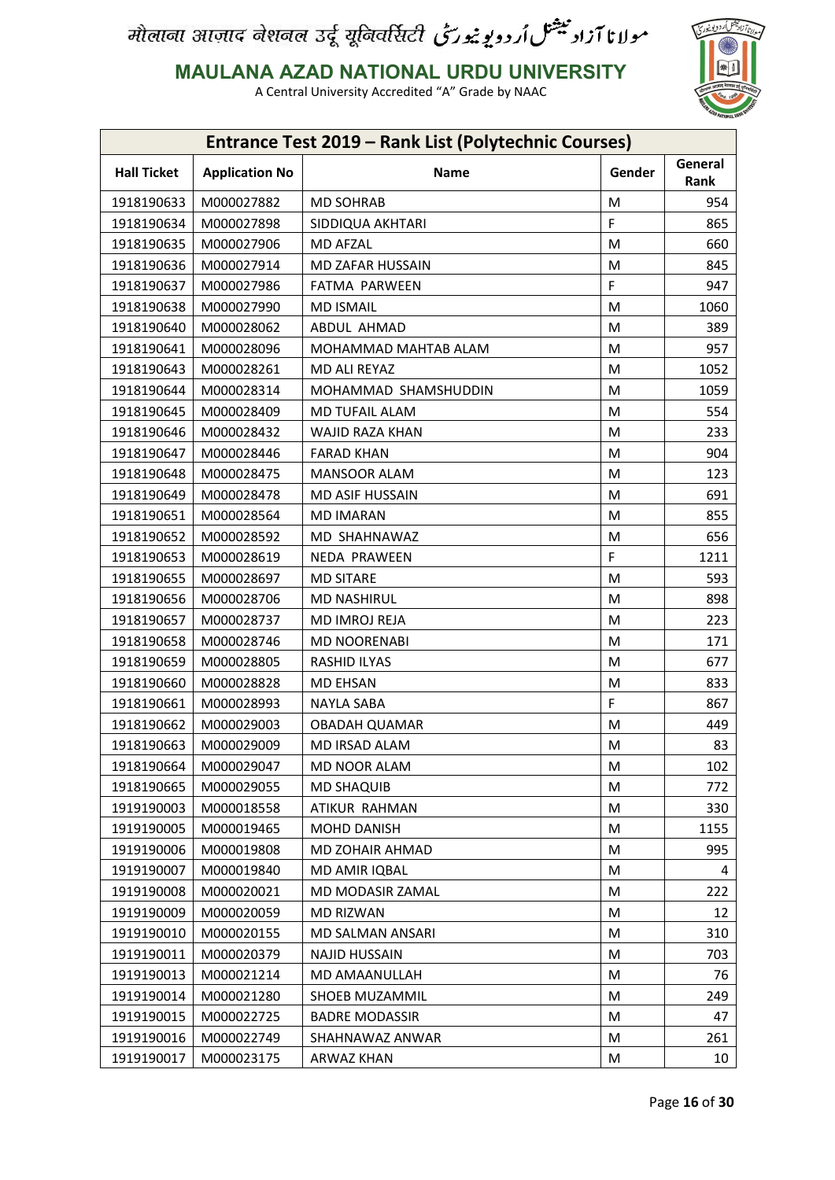

**MAULANA AZAD NATIONAL URDU UNIVERSITY**

| <b>Entrance Test 2019 - Rank List (Polytechnic Courses)</b>                      |      |  |  |  |
|----------------------------------------------------------------------------------|------|--|--|--|
| General<br><b>Hall Ticket</b><br><b>Application No</b><br>Name<br>Gender<br>Rank |      |  |  |  |
| M000027882<br><b>MD SOHRAB</b><br>M<br>1918190633                                | 954  |  |  |  |
| F<br>1918190634<br>M000027898<br>SIDDIQUA AKHTARI                                | 865  |  |  |  |
| 1918190635<br>M000027906<br><b>MD AFZAL</b><br>M                                 | 660  |  |  |  |
| 1918190636<br>M000027914<br>MD ZAFAR HUSSAIN<br>M                                | 845  |  |  |  |
| F<br>1918190637<br>M000027986<br><b>FATMA PARWEEN</b>                            | 947  |  |  |  |
| 1918190638<br>M000027990<br><b>MD ISMAIL</b><br>M                                | 1060 |  |  |  |
| M<br>1918190640<br>M000028062<br>ABDUL AHMAD                                     | 389  |  |  |  |
| 1918190641<br>M000028096<br>MOHAMMAD MAHTAB ALAM<br>M                            | 957  |  |  |  |
| M<br>1918190643<br>M000028261<br>MD ALI REYAZ                                    | 1052 |  |  |  |
| 1918190644<br>M000028314<br>MOHAMMAD SHAMSHUDDIN<br>M                            | 1059 |  |  |  |
| 1918190645<br>M<br>M000028409<br><b>MD TUFAIL ALAM</b>                           | 554  |  |  |  |
| 1918190646<br>M000028432<br>WAJID RAZA KHAN<br>М                                 | 233  |  |  |  |
| 1918190647<br><b>FARAD KHAN</b><br>M<br>M000028446                               | 904  |  |  |  |
| 1918190648<br>M000028475<br>MANSOOR ALAM<br>М                                    | 123  |  |  |  |
| 1918190649<br>M<br>M000028478<br><b>MD ASIF HUSSAIN</b>                          | 691  |  |  |  |
| 1918190651<br>M000028564<br><b>MD IMARAN</b><br>М                                | 855  |  |  |  |
| 1918190652<br>MD SHAHNAWAZ<br>M<br>M000028592                                    | 656  |  |  |  |
| F<br>1918190653<br>M000028619<br>NEDA PRAWEEN                                    | 1211 |  |  |  |
| 1918190655<br>M<br>M000028697<br><b>MD SITARE</b>                                | 593  |  |  |  |
| 1918190656<br>M000028706<br><b>MD NASHIRUL</b><br>М                              | 898  |  |  |  |
| 1918190657<br>M000028737<br>MD IMROJ REJA<br>M                                   | 223  |  |  |  |
| 1918190658<br>M000028746<br>MD NOORENABI<br>М                                    | 171  |  |  |  |
| 1918190659<br>M000028805<br>RASHID ILYAS<br>M                                    | 677  |  |  |  |
| 1918190660<br>M000028828<br><b>MD EHSAN</b><br>М                                 | 833  |  |  |  |
| F<br>1918190661<br>M000028993<br><b>NAYLA SABA</b>                               | 867  |  |  |  |
| 1918190662<br>M<br>M000029003<br><b>OBADAH QUAMAR</b>                            | 449  |  |  |  |
| 1918190663<br>M000029009<br>MD IRSAD ALAM<br>M                                   | 83   |  |  |  |
| 1918190664<br>M000029047<br>MD NOOR ALAM<br>М                                    | 102  |  |  |  |
| 1918190665<br>M000029055<br><b>MD SHAQUIB</b><br>M                               | 772  |  |  |  |
| 1919190003<br>M000018558<br>ATIKUR RAHMAN<br>М                                   | 330  |  |  |  |
| 1919190005<br>M000019465<br>MOHD DANISH<br>M                                     | 1155 |  |  |  |
| 1919190006<br>M000019808<br>MD ZOHAIR AHMAD<br>M                                 | 995  |  |  |  |
| 1919190007<br>M000019840<br>MD AMIR IQBAL<br>M                                   | 4    |  |  |  |
| 1919190008<br>M000020021<br>MD MODASIR ZAMAL<br>M                                | 222  |  |  |  |
| 1919190009<br>M000020059<br>MD RIZWAN<br>М                                       | 12   |  |  |  |
| 1919190010<br>M000020155<br>MD SALMAN ANSARI<br>M                                | 310  |  |  |  |
| 1919190011<br>M000020379<br><b>NAJID HUSSAIN</b><br>M                            | 703  |  |  |  |
| 1919190013<br>M000021214<br>MD AMAANULLAH<br>M                                   | 76   |  |  |  |
| 1919190014<br>M000021280<br>SHOEB MUZAMMIL<br>Μ                                  | 249  |  |  |  |
| 1919190015<br>M000022725<br><b>BADRE MODASSIR</b><br>M                           | 47   |  |  |  |
| 1919190016<br>M000022749<br>SHAHNAWAZ ANWAR<br>M                                 | 261  |  |  |  |
| 1919190017<br>M000023175<br>M<br>ARWAZ KHAN                                      | 10   |  |  |  |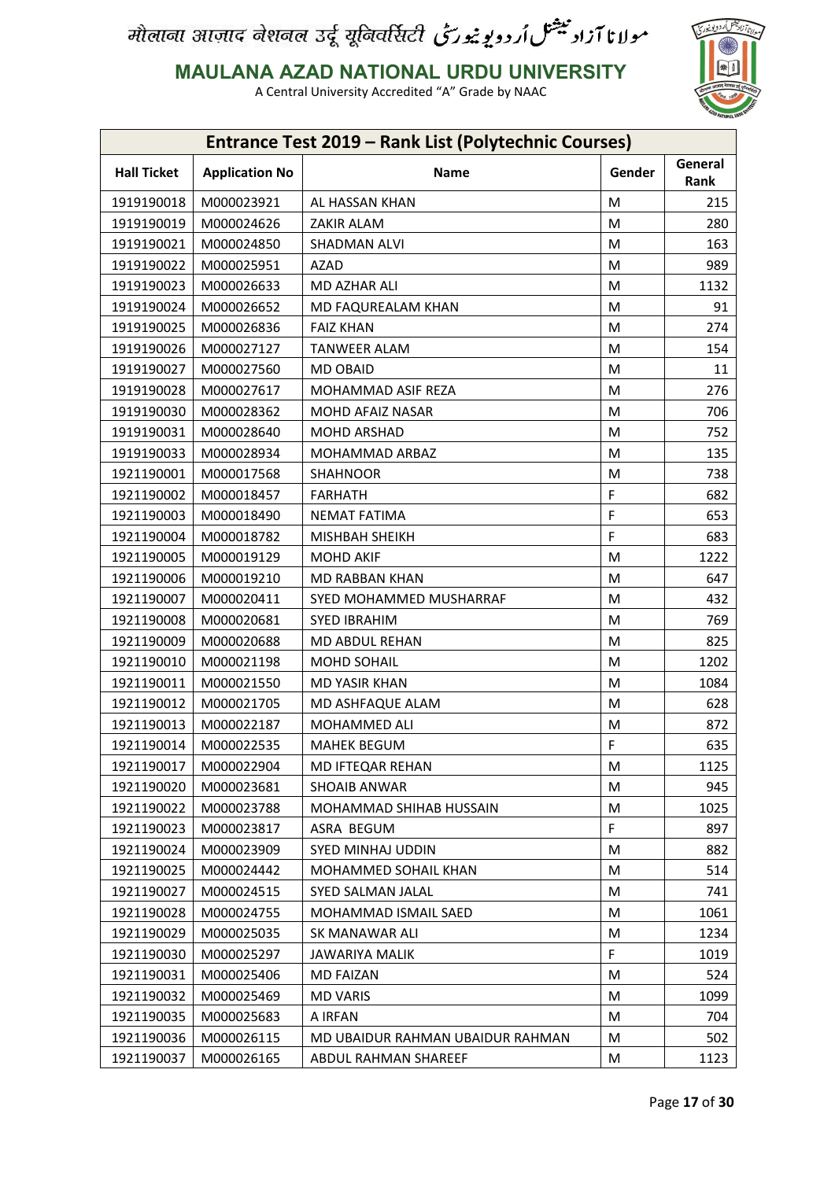

**MAULANA AZAD NATIONAL URDU UNIVERSITY**

| <b>Entrance Test 2019 - Rank List (Polytechnic Courses)</b> |                       |                                  |        |                 |
|-------------------------------------------------------------|-----------------------|----------------------------------|--------|-----------------|
| <b>Hall Ticket</b>                                          | <b>Application No</b> | Name                             | Gender | General<br>Rank |
| 1919190018                                                  | M000023921            | AL HASSAN KHAN                   | M      | 215             |
| 1919190019                                                  | M000024626            | ZAKIR ALAM                       | M      | 280             |
| 1919190021                                                  | M000024850            | SHADMAN ALVI                     | M      | 163             |
| 1919190022                                                  | M000025951            | <b>AZAD</b>                      | M      | 989             |
| 1919190023                                                  | M000026633            | MD AZHAR ALI                     | M      | 1132            |
| 1919190024                                                  | M000026652            | MD FAQUREALAM KHAN               | M      | 91              |
| 1919190025                                                  | M000026836            | <b>FAIZ KHAN</b>                 | M      | 274             |
| 1919190026                                                  | M000027127            | <b>TANWEER ALAM</b>              | M      | 154             |
| 1919190027                                                  | M000027560            | <b>MD OBAID</b>                  | M      | 11              |
| 1919190028                                                  | M000027617            | MOHAMMAD ASIF REZA               | M      | 276             |
| 1919190030                                                  | M000028362            | MOHD AFAIZ NASAR                 | M      | 706             |
| 1919190031                                                  | M000028640            | MOHD ARSHAD                      | M      | 752             |
| 1919190033                                                  | M000028934            | <b>MOHAMMAD ARBAZ</b>            | M      | 135             |
| 1921190001                                                  | M000017568            | <b>SHAHNOOR</b>                  | M      | 738             |
| 1921190002                                                  | M000018457            | <b>FARHATH</b>                   | F      | 682             |
| 1921190003                                                  | M000018490            | NEMAT FATIMA                     | F      | 653             |
| 1921190004                                                  | M000018782            | MISHBAH SHEIKH                   | F      | 683             |
| 1921190005                                                  | M000019129            | <b>MOHD AKIF</b>                 | M      | 1222            |
| 1921190006                                                  | M000019210            | MD RABBAN KHAN                   | M      | 647             |
| 1921190007                                                  | M000020411            | SYED MOHAMMED MUSHARRAF          | M      | 432             |
| 1921190008                                                  | M000020681            | <b>SYED IBRAHIM</b>              | M      | 769             |
| 1921190009                                                  | M000020688            | MD ABDUL REHAN                   | M      | 825             |
| 1921190010                                                  | M000021198            | MOHD SOHAIL                      | M      | 1202            |
| 1921190011                                                  | M000021550            | MD YASIR KHAN                    | M      | 1084            |
| 1921190012                                                  | M000021705            | MD ASHFAQUE ALAM                 | M      | 628             |
| 1921190013                                                  | M000022187            | MOHAMMED ALI                     | M      | 872             |
| 1921190014                                                  | M000022535            | <b>MAHEK BEGUM</b>               | F      | 635             |
| 1921190017                                                  | M000022904            | MD IFTEQAR REHAN                 | М      | 1125            |
| 1921190020                                                  | M000023681            | <b>SHOAIB ANWAR</b>              | M      | 945             |
| 1921190022                                                  | M000023788            | MOHAMMAD SHIHAB HUSSAIN          | M      | 1025            |
| 1921190023                                                  | M000023817            | ASRA BEGUM                       | F      | 897             |
| 1921190024                                                  | M000023909            | SYED MINHAJ UDDIN                | М      | 882             |
| 1921190025                                                  | M000024442            | MOHAMMED SOHAIL KHAN             | M      | 514             |
| 1921190027                                                  | M000024515            | <b>SYED SALMAN JALAL</b>         | M      | 741             |
| 1921190028                                                  | M000024755            | MOHAMMAD ISMAIL SAED             | M      | 1061            |
| 1921190029                                                  | M000025035            | SK MANAWAR ALI                   | M      | 1234            |
| 1921190030                                                  | M000025297            | <b>JAWARIYA MALIK</b>            | F      | 1019            |
| 1921190031                                                  | M000025406            | <b>MD FAIZAN</b>                 | M      | 524             |
| 1921190032                                                  | M000025469            | <b>MD VARIS</b>                  | М      | 1099            |
| 1921190035                                                  | M000025683            | A IRFAN                          | M      | 704             |
| 1921190036                                                  | M000026115            | MD UBAIDUR RAHMAN UBAIDUR RAHMAN | М      | 502             |
| 1921190037                                                  | M000026165            | ABDUL RAHMAN SHAREEF             | M      | 1123            |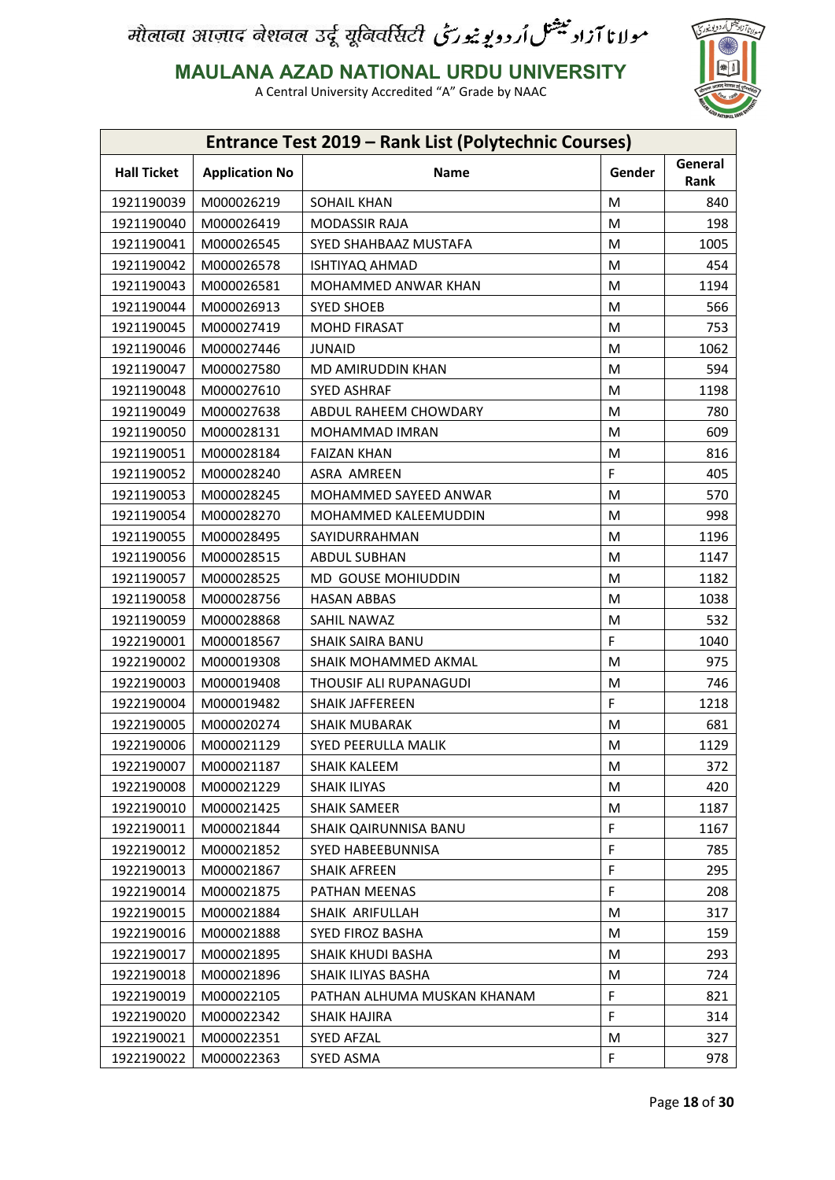

**MAULANA AZAD NATIONAL URDU UNIVERSITY**

| Entrance Test 2019 - Rank List (Polytechnic Courses) |                       |                             |        |                 |
|------------------------------------------------------|-----------------------|-----------------------------|--------|-----------------|
| <b>Hall Ticket</b>                                   | <b>Application No</b> | Name                        | Gender | General<br>Rank |
| 1921190039                                           | M000026219            | <b>SOHAIL KHAN</b>          | M      | 840             |
| 1921190040                                           | M000026419            | <b>MODASSIR RAJA</b>        | M      | 198             |
| 1921190041                                           | M000026545            | SYED SHAHBAAZ MUSTAFA       | M      | 1005            |
| 1921190042                                           | M000026578            | ISHTIYAQ AHMAD              | M      | 454             |
| 1921190043                                           | M000026581            | MOHAMMED ANWAR KHAN         | M      | 1194            |
| 1921190044                                           | M000026913            | <b>SYED SHOEB</b>           | M      | 566             |
| 1921190045                                           | M000027419            | <b>MOHD FIRASAT</b>         | M      | 753             |
| 1921190046                                           | M000027446            | <b>JUNAID</b>               | M      | 1062            |
| 1921190047                                           | M000027580            | MD AMIRUDDIN KHAN           | M      | 594             |
| 1921190048                                           | M000027610            | <b>SYED ASHRAF</b>          | M      | 1198            |
| 1921190049                                           | M000027638            | ABDUL RAHEEM CHOWDARY       | M      | 780             |
| 1921190050                                           | M000028131            | <b>MOHAMMAD IMRAN</b>       | M      | 609             |
| 1921190051                                           | M000028184            | <b>FAIZAN KHAN</b>          | M      | 816             |
| 1921190052                                           | M000028240            | ASRA AMREEN                 | F      | 405             |
| 1921190053                                           | M000028245            | MOHAMMED SAYEED ANWAR       | M      | 570             |
| 1921190054                                           | M000028270            | MOHAMMED KALEEMUDDIN        | M      | 998             |
| 1921190055                                           | M000028495            | SAYIDURRAHMAN               | M      | 1196            |
| 1921190056                                           | M000028515            | <b>ABDUL SUBHAN</b>         | M      | 1147            |
| 1921190057                                           | M000028525            | MD GOUSE MOHIUDDIN          | M      | 1182            |
| 1921190058                                           | M000028756            | <b>HASAN ABBAS</b>          | M      | 1038            |
| 1921190059                                           | M000028868            | SAHIL NAWAZ                 | M      | 532             |
| 1922190001                                           | M000018567            | <b>SHAIK SAIRA BANU</b>     | F      | 1040            |
| 1922190002                                           | M000019308            | SHAIK MOHAMMED AKMAL        | M      | 975             |
| 1922190003                                           | M000019408            | THOUSIF ALI RUPANAGUDI      | M      | 746             |
| 1922190004                                           | M000019482            | <b>SHAIK JAFFEREEN</b>      | F      | 1218            |
| 1922190005                                           | M000020274            | <b>SHAIK MUBARAK</b>        | M      | 681             |
| 1922190006                                           | M000021129            | SYED PEERULLA MALIK         | M      | 1129            |
| 1922190007                                           | M000021187            | SHAIK KALEEM                | M      | 372             |
| 1922190008                                           | M000021229            | <b>SHAIK ILIYAS</b>         | M      | 420             |
| 1922190010                                           | M000021425            | <b>SHAIK SAMEER</b>         | M      | 1187            |
| 1922190011                                           | M000021844            | SHAIK QAIRUNNISA BANU       | F      | 1167            |
| 1922190012                                           | M000021852            | SYED HABEEBUNNISA           | F      | 785             |
| 1922190013                                           | M000021867            | <b>SHAIK AFREEN</b>         | F      | 295             |
| 1922190014                                           | M000021875            | PATHAN MEENAS               | F      | 208             |
| 1922190015                                           | M000021884            | SHAIK ARIFULLAH             | M      | 317             |
| 1922190016                                           | M000021888            | <b>SYED FIROZ BASHA</b>     | M      | 159             |
| 1922190017                                           | M000021895            | SHAIK KHUDI BASHA           | M      | 293             |
| 1922190018                                           | M000021896            | SHAIK ILIYAS BASHA          | M      | 724             |
| 1922190019                                           | M000022105            | PATHAN ALHUMA MUSKAN KHANAM | F      | 821             |
| 1922190020                                           | M000022342            | <b>SHAIK HAJIRA</b>         | F      | 314             |
| 1922190021                                           | M000022351            | <b>SYED AFZAL</b>           | M      | 327             |
| 1922190022                                           | M000022363            | SYED ASMA                   | F      | 978             |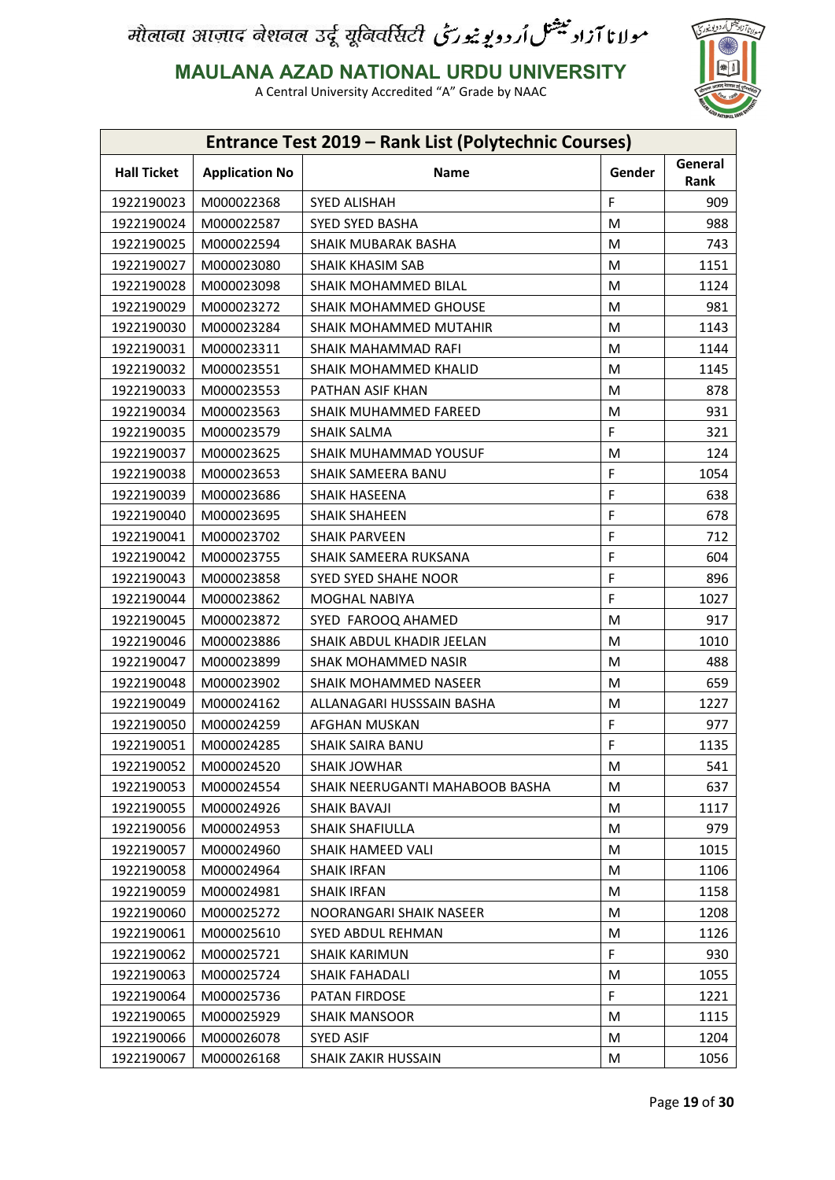

**MAULANA AZAD NATIONAL URDU UNIVERSITY**

| General<br><b>Hall Ticket</b><br><b>Application No</b><br>Name<br>Gender<br>Rank<br>F<br>1922190023<br>M000022368<br>SYED ALISHAH<br>909<br>1922190024<br>M000022587<br><b>SYED SYED BASHA</b><br>988<br>M<br>1922190025<br>M000022594<br>SHAIK MUBARAK BASHA<br>M<br>743<br>1922190027<br>M000023080<br><b>SHAIK KHASIM SAB</b><br>M<br>1151<br>M<br>1922190028<br>M000023098<br><b>SHAIK MOHAMMED BILAL</b><br>1124<br>981<br>1922190029<br>M000023272<br>SHAIK MOHAMMED GHOUSE<br>M<br>1922190030<br>M<br>1143<br>M000023284<br>SHAIK MOHAMMED MUTAHIR<br>1922190031<br>M000023311<br>SHAIK MAHAMMAD RAFI<br>1144<br>М<br>1922190032<br>М<br>1145<br>M000023551<br>SHAIK MOHAMMED KHALID<br>1922190033<br>PATHAN ASIF KHAN<br>878<br>M000023553<br>М<br>931<br>1922190034<br>M<br>M000023563<br><b>SHAIK MUHAMMED FAREED</b><br>F<br>1922190035<br>M000023579<br><b>SHAIK SALMA</b><br>321<br>124<br>1922190037<br><b>SHAIK MUHAMMAD YOUSUF</b><br>M<br>M000023625<br>F<br>1922190038<br>M000023653<br>1054<br>SHAIK SAMEERA BANU<br>F<br>638<br>1922190039<br>M000023686<br><b>SHAIK HASEENA</b><br>F<br>1922190040<br>M000023695<br><b>SHAIK SHAHEEN</b><br>678<br>F<br>1922190041<br>712<br>M000023702<br><b>SHAIK PARVEEN</b><br>F<br>1922190042<br>604<br>M000023755<br>SHAIK SAMEERA RUKSANA<br>F<br>896<br>1922190043<br>M000023858<br>SYED SYED SHAHE NOOR<br>F<br>1922190044<br>M000023862<br>MOGHAL NABIYA<br>1027<br>1922190045<br>M000023872<br>M<br>917<br>SYED FAROOQ AHAMED<br>1922190046<br>SHAIK ABDUL KHADIR JEELAN<br>M<br>1010<br>M000023886<br>1922190047<br>488<br>M000023899<br>SHAK MOHAMMED NASIR<br>M<br>1922190048<br>M000023902<br>M<br>659<br>SHAIK MOHAMMED NASEER<br>1922190049<br>M000024162<br>1227<br>ALLANAGARI HUSSSAIN BASHA<br>M<br>F<br>977<br>1922190050<br>M000024259<br>AFGHAN MUSKAN<br>F<br>1922190051<br>M000024285<br>1135<br><b>SHAIK SAIRA BANU</b><br>1922190052<br>M000024520<br><b>SHAIK JOWHAR</b><br>М<br>541<br>637<br>1922190053<br>M000024554<br>SHAIK NEERUGANTI MAHABOOB BASHA<br>M<br>1922190055<br>M000024926<br>M<br>1117<br>SHAIK BAVAJI<br>1922190056<br>M000024953<br><b>SHAIK SHAFIULLA</b><br>979<br>M<br>1922190057<br>M000024960<br>SHAIK HAMEED VALI<br>M<br>1015<br>1922190058<br>1106<br>M000024964<br><b>SHAIK IRFAN</b><br>M<br>1922190059<br>M000024981<br><b>SHAIK IRFAN</b><br>M<br>1158<br>1922190060<br>M000025272<br>NOORANGARI SHAIK NASEER<br>1208<br>М<br>1922190061<br>M000025610<br>M<br>1126<br><b>SYED ABDUL REHMAN</b><br>F<br>1922190062<br>930<br>M000025721<br><b>SHAIK KARIMUN</b><br>1922190063<br>M<br>1055<br>M000025724<br>SHAIK FAHADALI |
|---------------------------------------------------------------------------------------------------------------------------------------------------------------------------------------------------------------------------------------------------------------------------------------------------------------------------------------------------------------------------------------------------------------------------------------------------------------------------------------------------------------------------------------------------------------------------------------------------------------------------------------------------------------------------------------------------------------------------------------------------------------------------------------------------------------------------------------------------------------------------------------------------------------------------------------------------------------------------------------------------------------------------------------------------------------------------------------------------------------------------------------------------------------------------------------------------------------------------------------------------------------------------------------------------------------------------------------------------------------------------------------------------------------------------------------------------------------------------------------------------------------------------------------------------------------------------------------------------------------------------------------------------------------------------------------------------------------------------------------------------------------------------------------------------------------------------------------------------------------------------------------------------------------------------------------------------------------------------------------------------------------------------------------------------------------------------------------------------------------------------------------------------------------------------------------------------------------------------------------------------------------------------------------------------------------------------------------------------------------------------------------------------------------------------------------------------------------------------------------------------------------------------------------------------------------------------------------------------------------------------------------------|
|                                                                                                                                                                                                                                                                                                                                                                                                                                                                                                                                                                                                                                                                                                                                                                                                                                                                                                                                                                                                                                                                                                                                                                                                                                                                                                                                                                                                                                                                                                                                                                                                                                                                                                                                                                                                                                                                                                                                                                                                                                                                                                                                                                                                                                                                                                                                                                                                                                                                                                                                                                                                                                             |
|                                                                                                                                                                                                                                                                                                                                                                                                                                                                                                                                                                                                                                                                                                                                                                                                                                                                                                                                                                                                                                                                                                                                                                                                                                                                                                                                                                                                                                                                                                                                                                                                                                                                                                                                                                                                                                                                                                                                                                                                                                                                                                                                                                                                                                                                                                                                                                                                                                                                                                                                                                                                                                             |
|                                                                                                                                                                                                                                                                                                                                                                                                                                                                                                                                                                                                                                                                                                                                                                                                                                                                                                                                                                                                                                                                                                                                                                                                                                                                                                                                                                                                                                                                                                                                                                                                                                                                                                                                                                                                                                                                                                                                                                                                                                                                                                                                                                                                                                                                                                                                                                                                                                                                                                                                                                                                                                             |
|                                                                                                                                                                                                                                                                                                                                                                                                                                                                                                                                                                                                                                                                                                                                                                                                                                                                                                                                                                                                                                                                                                                                                                                                                                                                                                                                                                                                                                                                                                                                                                                                                                                                                                                                                                                                                                                                                                                                                                                                                                                                                                                                                                                                                                                                                                                                                                                                                                                                                                                                                                                                                                             |
|                                                                                                                                                                                                                                                                                                                                                                                                                                                                                                                                                                                                                                                                                                                                                                                                                                                                                                                                                                                                                                                                                                                                                                                                                                                                                                                                                                                                                                                                                                                                                                                                                                                                                                                                                                                                                                                                                                                                                                                                                                                                                                                                                                                                                                                                                                                                                                                                                                                                                                                                                                                                                                             |
|                                                                                                                                                                                                                                                                                                                                                                                                                                                                                                                                                                                                                                                                                                                                                                                                                                                                                                                                                                                                                                                                                                                                                                                                                                                                                                                                                                                                                                                                                                                                                                                                                                                                                                                                                                                                                                                                                                                                                                                                                                                                                                                                                                                                                                                                                                                                                                                                                                                                                                                                                                                                                                             |
|                                                                                                                                                                                                                                                                                                                                                                                                                                                                                                                                                                                                                                                                                                                                                                                                                                                                                                                                                                                                                                                                                                                                                                                                                                                                                                                                                                                                                                                                                                                                                                                                                                                                                                                                                                                                                                                                                                                                                                                                                                                                                                                                                                                                                                                                                                                                                                                                                                                                                                                                                                                                                                             |
|                                                                                                                                                                                                                                                                                                                                                                                                                                                                                                                                                                                                                                                                                                                                                                                                                                                                                                                                                                                                                                                                                                                                                                                                                                                                                                                                                                                                                                                                                                                                                                                                                                                                                                                                                                                                                                                                                                                                                                                                                                                                                                                                                                                                                                                                                                                                                                                                                                                                                                                                                                                                                                             |
|                                                                                                                                                                                                                                                                                                                                                                                                                                                                                                                                                                                                                                                                                                                                                                                                                                                                                                                                                                                                                                                                                                                                                                                                                                                                                                                                                                                                                                                                                                                                                                                                                                                                                                                                                                                                                                                                                                                                                                                                                                                                                                                                                                                                                                                                                                                                                                                                                                                                                                                                                                                                                                             |
|                                                                                                                                                                                                                                                                                                                                                                                                                                                                                                                                                                                                                                                                                                                                                                                                                                                                                                                                                                                                                                                                                                                                                                                                                                                                                                                                                                                                                                                                                                                                                                                                                                                                                                                                                                                                                                                                                                                                                                                                                                                                                                                                                                                                                                                                                                                                                                                                                                                                                                                                                                                                                                             |
|                                                                                                                                                                                                                                                                                                                                                                                                                                                                                                                                                                                                                                                                                                                                                                                                                                                                                                                                                                                                                                                                                                                                                                                                                                                                                                                                                                                                                                                                                                                                                                                                                                                                                                                                                                                                                                                                                                                                                                                                                                                                                                                                                                                                                                                                                                                                                                                                                                                                                                                                                                                                                                             |
|                                                                                                                                                                                                                                                                                                                                                                                                                                                                                                                                                                                                                                                                                                                                                                                                                                                                                                                                                                                                                                                                                                                                                                                                                                                                                                                                                                                                                                                                                                                                                                                                                                                                                                                                                                                                                                                                                                                                                                                                                                                                                                                                                                                                                                                                                                                                                                                                                                                                                                                                                                                                                                             |
|                                                                                                                                                                                                                                                                                                                                                                                                                                                                                                                                                                                                                                                                                                                                                                                                                                                                                                                                                                                                                                                                                                                                                                                                                                                                                                                                                                                                                                                                                                                                                                                                                                                                                                                                                                                                                                                                                                                                                                                                                                                                                                                                                                                                                                                                                                                                                                                                                                                                                                                                                                                                                                             |
|                                                                                                                                                                                                                                                                                                                                                                                                                                                                                                                                                                                                                                                                                                                                                                                                                                                                                                                                                                                                                                                                                                                                                                                                                                                                                                                                                                                                                                                                                                                                                                                                                                                                                                                                                                                                                                                                                                                                                                                                                                                                                                                                                                                                                                                                                                                                                                                                                                                                                                                                                                                                                                             |
|                                                                                                                                                                                                                                                                                                                                                                                                                                                                                                                                                                                                                                                                                                                                                                                                                                                                                                                                                                                                                                                                                                                                                                                                                                                                                                                                                                                                                                                                                                                                                                                                                                                                                                                                                                                                                                                                                                                                                                                                                                                                                                                                                                                                                                                                                                                                                                                                                                                                                                                                                                                                                                             |
|                                                                                                                                                                                                                                                                                                                                                                                                                                                                                                                                                                                                                                                                                                                                                                                                                                                                                                                                                                                                                                                                                                                                                                                                                                                                                                                                                                                                                                                                                                                                                                                                                                                                                                                                                                                                                                                                                                                                                                                                                                                                                                                                                                                                                                                                                                                                                                                                                                                                                                                                                                                                                                             |
|                                                                                                                                                                                                                                                                                                                                                                                                                                                                                                                                                                                                                                                                                                                                                                                                                                                                                                                                                                                                                                                                                                                                                                                                                                                                                                                                                                                                                                                                                                                                                                                                                                                                                                                                                                                                                                                                                                                                                                                                                                                                                                                                                                                                                                                                                                                                                                                                                                                                                                                                                                                                                                             |
|                                                                                                                                                                                                                                                                                                                                                                                                                                                                                                                                                                                                                                                                                                                                                                                                                                                                                                                                                                                                                                                                                                                                                                                                                                                                                                                                                                                                                                                                                                                                                                                                                                                                                                                                                                                                                                                                                                                                                                                                                                                                                                                                                                                                                                                                                                                                                                                                                                                                                                                                                                                                                                             |
|                                                                                                                                                                                                                                                                                                                                                                                                                                                                                                                                                                                                                                                                                                                                                                                                                                                                                                                                                                                                                                                                                                                                                                                                                                                                                                                                                                                                                                                                                                                                                                                                                                                                                                                                                                                                                                                                                                                                                                                                                                                                                                                                                                                                                                                                                                                                                                                                                                                                                                                                                                                                                                             |
|                                                                                                                                                                                                                                                                                                                                                                                                                                                                                                                                                                                                                                                                                                                                                                                                                                                                                                                                                                                                                                                                                                                                                                                                                                                                                                                                                                                                                                                                                                                                                                                                                                                                                                                                                                                                                                                                                                                                                                                                                                                                                                                                                                                                                                                                                                                                                                                                                                                                                                                                                                                                                                             |
|                                                                                                                                                                                                                                                                                                                                                                                                                                                                                                                                                                                                                                                                                                                                                                                                                                                                                                                                                                                                                                                                                                                                                                                                                                                                                                                                                                                                                                                                                                                                                                                                                                                                                                                                                                                                                                                                                                                                                                                                                                                                                                                                                                                                                                                                                                                                                                                                                                                                                                                                                                                                                                             |
|                                                                                                                                                                                                                                                                                                                                                                                                                                                                                                                                                                                                                                                                                                                                                                                                                                                                                                                                                                                                                                                                                                                                                                                                                                                                                                                                                                                                                                                                                                                                                                                                                                                                                                                                                                                                                                                                                                                                                                                                                                                                                                                                                                                                                                                                                                                                                                                                                                                                                                                                                                                                                                             |
|                                                                                                                                                                                                                                                                                                                                                                                                                                                                                                                                                                                                                                                                                                                                                                                                                                                                                                                                                                                                                                                                                                                                                                                                                                                                                                                                                                                                                                                                                                                                                                                                                                                                                                                                                                                                                                                                                                                                                                                                                                                                                                                                                                                                                                                                                                                                                                                                                                                                                                                                                                                                                                             |
|                                                                                                                                                                                                                                                                                                                                                                                                                                                                                                                                                                                                                                                                                                                                                                                                                                                                                                                                                                                                                                                                                                                                                                                                                                                                                                                                                                                                                                                                                                                                                                                                                                                                                                                                                                                                                                                                                                                                                                                                                                                                                                                                                                                                                                                                                                                                                                                                                                                                                                                                                                                                                                             |
|                                                                                                                                                                                                                                                                                                                                                                                                                                                                                                                                                                                                                                                                                                                                                                                                                                                                                                                                                                                                                                                                                                                                                                                                                                                                                                                                                                                                                                                                                                                                                                                                                                                                                                                                                                                                                                                                                                                                                                                                                                                                                                                                                                                                                                                                                                                                                                                                                                                                                                                                                                                                                                             |
|                                                                                                                                                                                                                                                                                                                                                                                                                                                                                                                                                                                                                                                                                                                                                                                                                                                                                                                                                                                                                                                                                                                                                                                                                                                                                                                                                                                                                                                                                                                                                                                                                                                                                                                                                                                                                                                                                                                                                                                                                                                                                                                                                                                                                                                                                                                                                                                                                                                                                                                                                                                                                                             |
|                                                                                                                                                                                                                                                                                                                                                                                                                                                                                                                                                                                                                                                                                                                                                                                                                                                                                                                                                                                                                                                                                                                                                                                                                                                                                                                                                                                                                                                                                                                                                                                                                                                                                                                                                                                                                                                                                                                                                                                                                                                                                                                                                                                                                                                                                                                                                                                                                                                                                                                                                                                                                                             |
|                                                                                                                                                                                                                                                                                                                                                                                                                                                                                                                                                                                                                                                                                                                                                                                                                                                                                                                                                                                                                                                                                                                                                                                                                                                                                                                                                                                                                                                                                                                                                                                                                                                                                                                                                                                                                                                                                                                                                                                                                                                                                                                                                                                                                                                                                                                                                                                                                                                                                                                                                                                                                                             |
|                                                                                                                                                                                                                                                                                                                                                                                                                                                                                                                                                                                                                                                                                                                                                                                                                                                                                                                                                                                                                                                                                                                                                                                                                                                                                                                                                                                                                                                                                                                                                                                                                                                                                                                                                                                                                                                                                                                                                                                                                                                                                                                                                                                                                                                                                                                                                                                                                                                                                                                                                                                                                                             |
|                                                                                                                                                                                                                                                                                                                                                                                                                                                                                                                                                                                                                                                                                                                                                                                                                                                                                                                                                                                                                                                                                                                                                                                                                                                                                                                                                                                                                                                                                                                                                                                                                                                                                                                                                                                                                                                                                                                                                                                                                                                                                                                                                                                                                                                                                                                                                                                                                                                                                                                                                                                                                                             |
|                                                                                                                                                                                                                                                                                                                                                                                                                                                                                                                                                                                                                                                                                                                                                                                                                                                                                                                                                                                                                                                                                                                                                                                                                                                                                                                                                                                                                                                                                                                                                                                                                                                                                                                                                                                                                                                                                                                                                                                                                                                                                                                                                                                                                                                                                                                                                                                                                                                                                                                                                                                                                                             |
|                                                                                                                                                                                                                                                                                                                                                                                                                                                                                                                                                                                                                                                                                                                                                                                                                                                                                                                                                                                                                                                                                                                                                                                                                                                                                                                                                                                                                                                                                                                                                                                                                                                                                                                                                                                                                                                                                                                                                                                                                                                                                                                                                                                                                                                                                                                                                                                                                                                                                                                                                                                                                                             |
|                                                                                                                                                                                                                                                                                                                                                                                                                                                                                                                                                                                                                                                                                                                                                                                                                                                                                                                                                                                                                                                                                                                                                                                                                                                                                                                                                                                                                                                                                                                                                                                                                                                                                                                                                                                                                                                                                                                                                                                                                                                                                                                                                                                                                                                                                                                                                                                                                                                                                                                                                                                                                                             |
|                                                                                                                                                                                                                                                                                                                                                                                                                                                                                                                                                                                                                                                                                                                                                                                                                                                                                                                                                                                                                                                                                                                                                                                                                                                                                                                                                                                                                                                                                                                                                                                                                                                                                                                                                                                                                                                                                                                                                                                                                                                                                                                                                                                                                                                                                                                                                                                                                                                                                                                                                                                                                                             |
|                                                                                                                                                                                                                                                                                                                                                                                                                                                                                                                                                                                                                                                                                                                                                                                                                                                                                                                                                                                                                                                                                                                                                                                                                                                                                                                                                                                                                                                                                                                                                                                                                                                                                                                                                                                                                                                                                                                                                                                                                                                                                                                                                                                                                                                                                                                                                                                                                                                                                                                                                                                                                                             |
|                                                                                                                                                                                                                                                                                                                                                                                                                                                                                                                                                                                                                                                                                                                                                                                                                                                                                                                                                                                                                                                                                                                                                                                                                                                                                                                                                                                                                                                                                                                                                                                                                                                                                                                                                                                                                                                                                                                                                                                                                                                                                                                                                                                                                                                                                                                                                                                                                                                                                                                                                                                                                                             |
|                                                                                                                                                                                                                                                                                                                                                                                                                                                                                                                                                                                                                                                                                                                                                                                                                                                                                                                                                                                                                                                                                                                                                                                                                                                                                                                                                                                                                                                                                                                                                                                                                                                                                                                                                                                                                                                                                                                                                                                                                                                                                                                                                                                                                                                                                                                                                                                                                                                                                                                                                                                                                                             |
|                                                                                                                                                                                                                                                                                                                                                                                                                                                                                                                                                                                                                                                                                                                                                                                                                                                                                                                                                                                                                                                                                                                                                                                                                                                                                                                                                                                                                                                                                                                                                                                                                                                                                                                                                                                                                                                                                                                                                                                                                                                                                                                                                                                                                                                                                                                                                                                                                                                                                                                                                                                                                                             |
|                                                                                                                                                                                                                                                                                                                                                                                                                                                                                                                                                                                                                                                                                                                                                                                                                                                                                                                                                                                                                                                                                                                                                                                                                                                                                                                                                                                                                                                                                                                                                                                                                                                                                                                                                                                                                                                                                                                                                                                                                                                                                                                                                                                                                                                                                                                                                                                                                                                                                                                                                                                                                                             |
| F.<br>1922190064<br>M000025736<br>PATAN FIRDOSE<br>1221                                                                                                                                                                                                                                                                                                                                                                                                                                                                                                                                                                                                                                                                                                                                                                                                                                                                                                                                                                                                                                                                                                                                                                                                                                                                                                                                                                                                                                                                                                                                                                                                                                                                                                                                                                                                                                                                                                                                                                                                                                                                                                                                                                                                                                                                                                                                                                                                                                                                                                                                                                                     |
| 1922190065<br>M<br>M000025929<br><b>SHAIK MANSOOR</b><br>1115                                                                                                                                                                                                                                                                                                                                                                                                                                                                                                                                                                                                                                                                                                                                                                                                                                                                                                                                                                                                                                                                                                                                                                                                                                                                                                                                                                                                                                                                                                                                                                                                                                                                                                                                                                                                                                                                                                                                                                                                                                                                                                                                                                                                                                                                                                                                                                                                                                                                                                                                                                               |
| 1922190066<br>M000026078<br>1204<br>SYED ASIF<br>M                                                                                                                                                                                                                                                                                                                                                                                                                                                                                                                                                                                                                                                                                                                                                                                                                                                                                                                                                                                                                                                                                                                                                                                                                                                                                                                                                                                                                                                                                                                                                                                                                                                                                                                                                                                                                                                                                                                                                                                                                                                                                                                                                                                                                                                                                                                                                                                                                                                                                                                                                                                          |
| 1922190067<br>1056<br>M000026168<br>SHAIK ZAKIR HUSSAIN<br>M                                                                                                                                                                                                                                                                                                                                                                                                                                                                                                                                                                                                                                                                                                                                                                                                                                                                                                                                                                                                                                                                                                                                                                                                                                                                                                                                                                                                                                                                                                                                                                                                                                                                                                                                                                                                                                                                                                                                                                                                                                                                                                                                                                                                                                                                                                                                                                                                                                                                                                                                                                                |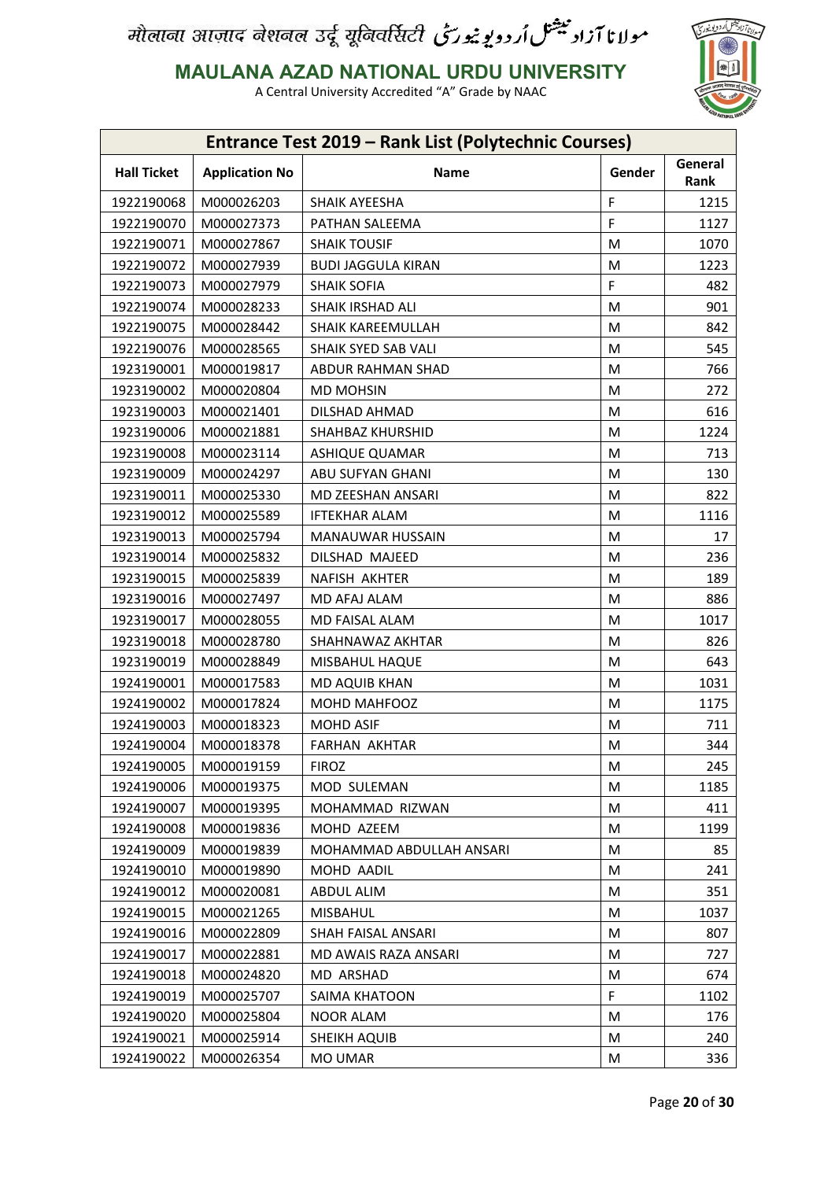

**MAULANA AZAD NATIONAL URDU UNIVERSITY**

|                    |                       | Entrance Test 2019 - Rank List (Polytechnic Courses) |        |                 |
|--------------------|-----------------------|------------------------------------------------------|--------|-----------------|
| <b>Hall Ticket</b> | <b>Application No</b> | Name                                                 | Gender | General<br>Rank |
| 1922190068         | M000026203            | SHAIK AYEESHA                                        | F      | 1215            |
| 1922190070         | M000027373            | PATHAN SALEEMA                                       | F      | 1127            |
| 1922190071         | M000027867            | <b>SHAIK TOUSIF</b>                                  | M      | 1070            |
| 1922190072         | M000027939            | <b>BUDI JAGGULA KIRAN</b>                            | M      | 1223            |
| 1922190073         | M000027979            | <b>SHAIK SOFIA</b>                                   | F.     | 482             |
| 1922190074         | M000028233            | SHAIK IRSHAD ALI                                     | M      | 901             |
| 1922190075         | M000028442            | SHAIK KAREEMULLAH                                    | M      | 842             |
| 1922190076         | M000028565            | SHAIK SYED SAB VALI                                  | M      | 545             |
| 1923190001         | M000019817            | ABDUR RAHMAN SHAD                                    | M      | 766             |
| 1923190002         | M000020804            | <b>MD MOHSIN</b>                                     | M      | 272             |
| 1923190003         | M000021401            | DILSHAD AHMAD                                        | M      | 616             |
| 1923190006         | M000021881            | <b>SHAHBAZ KHURSHID</b>                              | M      | 1224            |
| 1923190008         | M000023114            | ASHIQUE QUAMAR                                       | M      | 713             |
| 1923190009         | M000024297            | ABU SUFYAN GHANI                                     | M      | 130             |
| 1923190011         | M000025330            | MD ZEESHAN ANSARI                                    | M      | 822             |
| 1923190012         | M000025589            | <b>IFTEKHAR ALAM</b>                                 | M      | 1116            |
| 1923190013         | M000025794            | MANAUWAR HUSSAIN                                     | M      | 17              |
| 1923190014         | M000025832            | DILSHAD MAJEED                                       | M      | 236             |
| 1923190015         | M000025839            | NAFISH AKHTER                                        | M      | 189             |
| 1923190016         | M000027497            | MD AFAJ ALAM                                         | M      | 886             |
| 1923190017         | M000028055            | MD FAISAL ALAM                                       | M      | 1017            |
| 1923190018         | M000028780            | SHAHNAWAZ AKHTAR                                     | M      | 826             |
| 1923190019         | M000028849            | MISBAHUL HAQUE                                       | M      | 643             |
| 1924190001         | M000017583            | MD AQUIB KHAN                                        | M      | 1031            |
| 1924190002         | M000017824            | MOHD MAHFOOZ                                         | M      | 1175            |
| 1924190003         | M000018323            | <b>MOHD ASIF</b>                                     | M      | 711             |
| 1924190004         | M000018378            | <b>FARHAN AKHTAR</b>                                 | M      | 344             |
| 1924190005         | M000019159            | <b>FIROZ</b>                                         | M      | 245             |
| 1924190006         | M000019375            | MOD SULEMAN                                          | M      | 1185            |
| 1924190007         | M000019395            | MOHAMMAD RIZWAN                                      | M      | 411             |
| 1924190008         | M000019836            | MOHD AZEEM                                           | M      | 1199            |
| 1924190009         | M000019839            | MOHAMMAD ABDULLAH ANSARI                             | M      | 85              |
| 1924190010         | M000019890            | MOHD AADIL                                           | M      | 241             |
| 1924190012         | M000020081            | ABDUL ALIM                                           | M      | 351             |
| 1924190015         | M000021265            | <b>MISBAHUL</b>                                      | M      | 1037            |
| 1924190016         | M000022809            | SHAH FAISAL ANSARI                                   | M      | 807             |
| 1924190017         | M000022881            | MD AWAIS RAZA ANSARI                                 | M      | 727             |
| 1924190018         | M000024820            | MD ARSHAD                                            | M      | 674             |
| 1924190019         | M000025707            | SAIMA KHATOON                                        | F      | 1102            |
| 1924190020         | M000025804            | <b>NOOR ALAM</b>                                     | M      | 176             |
| 1924190021         | M000025914            | SHEIKH AQUIB                                         | M      | 240             |
| 1924190022         | M000026354            | <b>MO UMAR</b>                                       | M      | 336             |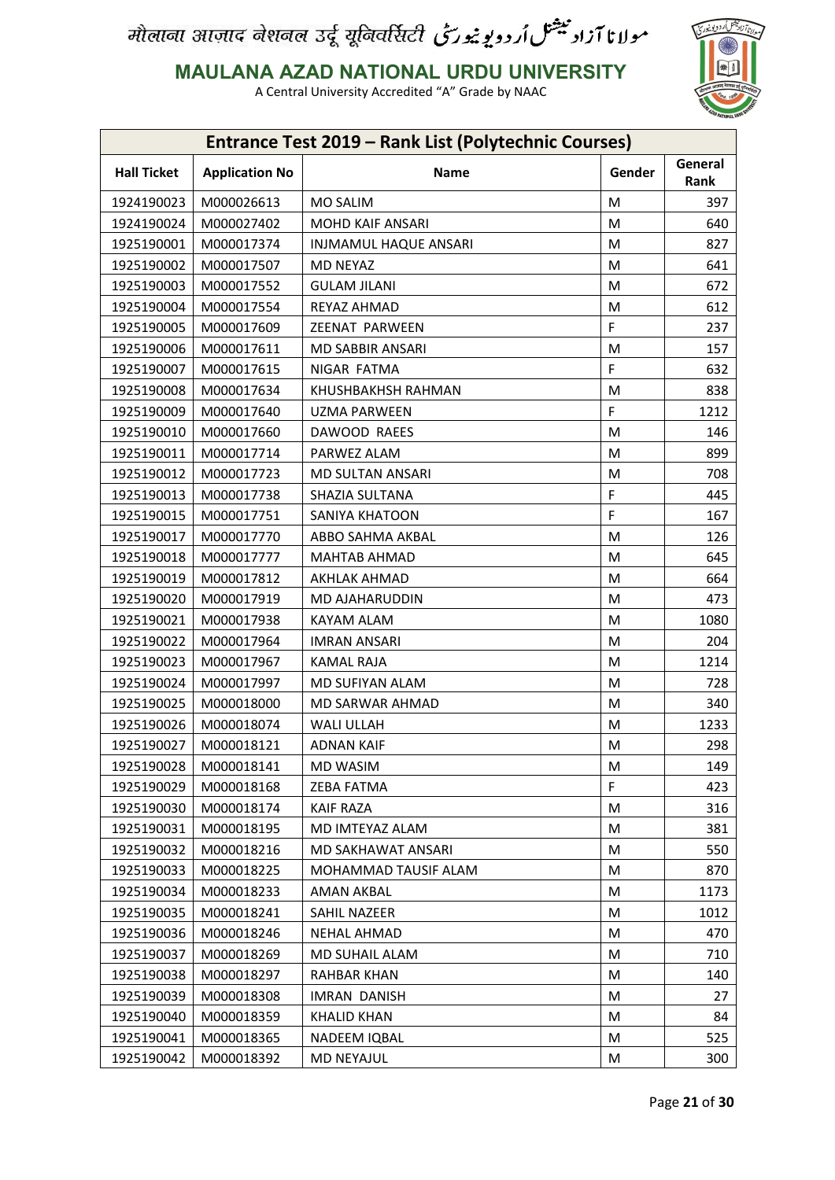

**MAULANA AZAD NATIONAL URDU UNIVERSITY**

| General<br><b>Hall Ticket</b><br><b>Application No</b><br>Name<br>Gender<br>Rank<br>1924190023<br>M000026613<br>MO SALIM<br>M<br>397<br>1924190024<br>M000027402<br>640<br><b>MOHD KAIF ANSARI</b><br>M<br>1925190001<br>M000017374<br><b>INJMAMUL HAQUE ANSARI</b><br>M<br>827<br>1925190002<br>M000017507<br><b>MD NEYAZ</b><br>M<br>641<br>1925190003<br>M000017552<br><b>GULAM JILANI</b><br>M<br>672<br>612<br>1925190004<br>M000017554<br>REYAZ AHMAD<br>M<br>F<br>1925190005<br>237<br>M000017609<br>ZEENAT PARWEEN<br>1925190006<br>M000017611<br><b>MD SABBIR ANSARI</b><br>M<br>157<br>F<br>1925190007<br>NIGAR FATMA<br>632<br>M000017615<br>1925190008<br>M000017634<br>838<br>KHUSHBAKHSH RAHMAN<br>M<br>F<br>1212<br>1925190009<br>M000017640<br>UZMA PARWEEN<br>1925190010<br>M000017660<br>DAWOOD RAEES<br>M<br>146<br>899<br>1925190011<br>M000017714<br>PARWEZ ALAM<br>M<br>1925190012<br>M000017723<br>M<br>708<br>MD SULTAN ANSARI<br>F<br>1925190013<br>M000017738<br>445<br>SHAZIA SULTANA<br>F<br>1925190015<br>M000017751<br>SANIYA KHATOON<br>167<br>1925190017<br>126<br>M000017770<br>ABBO SAHMA AKBAL<br>M |
|----------------------------------------------------------------------------------------------------------------------------------------------------------------------------------------------------------------------------------------------------------------------------------------------------------------------------------------------------------------------------------------------------------------------------------------------------------------------------------------------------------------------------------------------------------------------------------------------------------------------------------------------------------------------------------------------------------------------------------------------------------------------------------------------------------------------------------------------------------------------------------------------------------------------------------------------------------------------------------------------------------------------------------------------------------------------------------------------------------------------------------------|
|                                                                                                                                                                                                                                                                                                                                                                                                                                                                                                                                                                                                                                                                                                                                                                                                                                                                                                                                                                                                                                                                                                                                        |
|                                                                                                                                                                                                                                                                                                                                                                                                                                                                                                                                                                                                                                                                                                                                                                                                                                                                                                                                                                                                                                                                                                                                        |
|                                                                                                                                                                                                                                                                                                                                                                                                                                                                                                                                                                                                                                                                                                                                                                                                                                                                                                                                                                                                                                                                                                                                        |
|                                                                                                                                                                                                                                                                                                                                                                                                                                                                                                                                                                                                                                                                                                                                                                                                                                                                                                                                                                                                                                                                                                                                        |
|                                                                                                                                                                                                                                                                                                                                                                                                                                                                                                                                                                                                                                                                                                                                                                                                                                                                                                                                                                                                                                                                                                                                        |
|                                                                                                                                                                                                                                                                                                                                                                                                                                                                                                                                                                                                                                                                                                                                                                                                                                                                                                                                                                                                                                                                                                                                        |
|                                                                                                                                                                                                                                                                                                                                                                                                                                                                                                                                                                                                                                                                                                                                                                                                                                                                                                                                                                                                                                                                                                                                        |
|                                                                                                                                                                                                                                                                                                                                                                                                                                                                                                                                                                                                                                                                                                                                                                                                                                                                                                                                                                                                                                                                                                                                        |
|                                                                                                                                                                                                                                                                                                                                                                                                                                                                                                                                                                                                                                                                                                                                                                                                                                                                                                                                                                                                                                                                                                                                        |
|                                                                                                                                                                                                                                                                                                                                                                                                                                                                                                                                                                                                                                                                                                                                                                                                                                                                                                                                                                                                                                                                                                                                        |
|                                                                                                                                                                                                                                                                                                                                                                                                                                                                                                                                                                                                                                                                                                                                                                                                                                                                                                                                                                                                                                                                                                                                        |
|                                                                                                                                                                                                                                                                                                                                                                                                                                                                                                                                                                                                                                                                                                                                                                                                                                                                                                                                                                                                                                                                                                                                        |
|                                                                                                                                                                                                                                                                                                                                                                                                                                                                                                                                                                                                                                                                                                                                                                                                                                                                                                                                                                                                                                                                                                                                        |
|                                                                                                                                                                                                                                                                                                                                                                                                                                                                                                                                                                                                                                                                                                                                                                                                                                                                                                                                                                                                                                                                                                                                        |
|                                                                                                                                                                                                                                                                                                                                                                                                                                                                                                                                                                                                                                                                                                                                                                                                                                                                                                                                                                                                                                                                                                                                        |
|                                                                                                                                                                                                                                                                                                                                                                                                                                                                                                                                                                                                                                                                                                                                                                                                                                                                                                                                                                                                                                                                                                                                        |
|                                                                                                                                                                                                                                                                                                                                                                                                                                                                                                                                                                                                                                                                                                                                                                                                                                                                                                                                                                                                                                                                                                                                        |
|                                                                                                                                                                                                                                                                                                                                                                                                                                                                                                                                                                                                                                                                                                                                                                                                                                                                                                                                                                                                                                                                                                                                        |
| 1925190018<br>M000017777<br><b>MAHTAB AHMAD</b><br>M<br>645                                                                                                                                                                                                                                                                                                                                                                                                                                                                                                                                                                                                                                                                                                                                                                                                                                                                                                                                                                                                                                                                            |
| 1925190019<br>M000017812<br>AKHLAK AHMAD<br>M<br>664                                                                                                                                                                                                                                                                                                                                                                                                                                                                                                                                                                                                                                                                                                                                                                                                                                                                                                                                                                                                                                                                                   |
| 1925190020<br>M000017919<br>MD AJAHARUDDIN<br>M<br>473                                                                                                                                                                                                                                                                                                                                                                                                                                                                                                                                                                                                                                                                                                                                                                                                                                                                                                                                                                                                                                                                                 |
| 1925190021<br>1080<br>M000017938<br>KAYAM ALAM<br>M                                                                                                                                                                                                                                                                                                                                                                                                                                                                                                                                                                                                                                                                                                                                                                                                                                                                                                                                                                                                                                                                                    |
| 1925190022<br>M000017964<br>M<br>204<br><b>IMRAN ANSARI</b>                                                                                                                                                                                                                                                                                                                                                                                                                                                                                                                                                                                                                                                                                                                                                                                                                                                                                                                                                                                                                                                                            |
| 1925190023<br>1214<br>M000017967<br><b>KAMAL RAJA</b><br>M                                                                                                                                                                                                                                                                                                                                                                                                                                                                                                                                                                                                                                                                                                                                                                                                                                                                                                                                                                                                                                                                             |
| 1925190024<br>M000017997<br>MD SUFIYAN ALAM<br>M<br>728                                                                                                                                                                                                                                                                                                                                                                                                                                                                                                                                                                                                                                                                                                                                                                                                                                                                                                                                                                                                                                                                                |
| 1925190025<br>MD SARWAR AHMAD<br>M000018000<br>M<br>340                                                                                                                                                                                                                                                                                                                                                                                                                                                                                                                                                                                                                                                                                                                                                                                                                                                                                                                                                                                                                                                                                |
| 1925190026<br>M000018074<br><b>WALI ULLAH</b><br>M<br>1233                                                                                                                                                                                                                                                                                                                                                                                                                                                                                                                                                                                                                                                                                                                                                                                                                                                                                                                                                                                                                                                                             |
| 298<br>1925190027<br>M000018121<br><b>ADNAN KAIF</b><br>M                                                                                                                                                                                                                                                                                                                                                                                                                                                                                                                                                                                                                                                                                                                                                                                                                                                                                                                                                                                                                                                                              |
| 1925190028<br>M000018141<br>MD WASIM<br>M<br>149                                                                                                                                                                                                                                                                                                                                                                                                                                                                                                                                                                                                                                                                                                                                                                                                                                                                                                                                                                                                                                                                                       |
| F<br>1925190029<br>M000018168<br>423<br>ZEBA FATMA                                                                                                                                                                                                                                                                                                                                                                                                                                                                                                                                                                                                                                                                                                                                                                                                                                                                                                                                                                                                                                                                                     |
| 1925190030<br>M000018174<br><b>KAIF RAZA</b><br>M<br>316                                                                                                                                                                                                                                                                                                                                                                                                                                                                                                                                                                                                                                                                                                                                                                                                                                                                                                                                                                                                                                                                               |
| 1925190031<br>M000018195<br>MD IMTEYAZ ALAM<br>381<br>М                                                                                                                                                                                                                                                                                                                                                                                                                                                                                                                                                                                                                                                                                                                                                                                                                                                                                                                                                                                                                                                                                |
| 1925190032<br>M000018216<br>MD SAKHAWAT ANSARI<br>M<br>550                                                                                                                                                                                                                                                                                                                                                                                                                                                                                                                                                                                                                                                                                                                                                                                                                                                                                                                                                                                                                                                                             |
| 1925190033<br>M000018225<br>MOHAMMAD TAUSIF ALAM<br>M<br>870                                                                                                                                                                                                                                                                                                                                                                                                                                                                                                                                                                                                                                                                                                                                                                                                                                                                                                                                                                                                                                                                           |
| 1925190034<br>M000018233<br>M<br>1173<br>AMAN AKBAL                                                                                                                                                                                                                                                                                                                                                                                                                                                                                                                                                                                                                                                                                                                                                                                                                                                                                                                                                                                                                                                                                    |
| 1925190035<br>M000018241<br>SAHIL NAZEER<br>1012<br>М                                                                                                                                                                                                                                                                                                                                                                                                                                                                                                                                                                                                                                                                                                                                                                                                                                                                                                                                                                                                                                                                                  |
| 1925190036<br><b>NEHAL AHMAD</b><br>M<br>470<br>M000018246                                                                                                                                                                                                                                                                                                                                                                                                                                                                                                                                                                                                                                                                                                                                                                                                                                                                                                                                                                                                                                                                             |
| 1925190037<br>M000018269<br>MD SUHAIL ALAM<br>710<br>M                                                                                                                                                                                                                                                                                                                                                                                                                                                                                                                                                                                                                                                                                                                                                                                                                                                                                                                                                                                                                                                                                 |
| 1925190038<br>M<br>140<br>M000018297<br>RAHBAR KHAN                                                                                                                                                                                                                                                                                                                                                                                                                                                                                                                                                                                                                                                                                                                                                                                                                                                                                                                                                                                                                                                                                    |
| 1925190039<br>M000018308<br><b>IMRAN DANISH</b><br>27<br>M                                                                                                                                                                                                                                                                                                                                                                                                                                                                                                                                                                                                                                                                                                                                                                                                                                                                                                                                                                                                                                                                             |
| 1925190040<br>M000018359<br>KHALID KHAN<br>M<br>84                                                                                                                                                                                                                                                                                                                                                                                                                                                                                                                                                                                                                                                                                                                                                                                                                                                                                                                                                                                                                                                                                     |
| 1925190041<br>M000018365<br>525<br>NADEEM IQBAL<br>M                                                                                                                                                                                                                                                                                                                                                                                                                                                                                                                                                                                                                                                                                                                                                                                                                                                                                                                                                                                                                                                                                   |
| 1925190042<br>300<br>M000018392<br>MD NEYAJUL<br>M                                                                                                                                                                                                                                                                                                                                                                                                                                                                                                                                                                                                                                                                                                                                                                                                                                                                                                                                                                                                                                                                                     |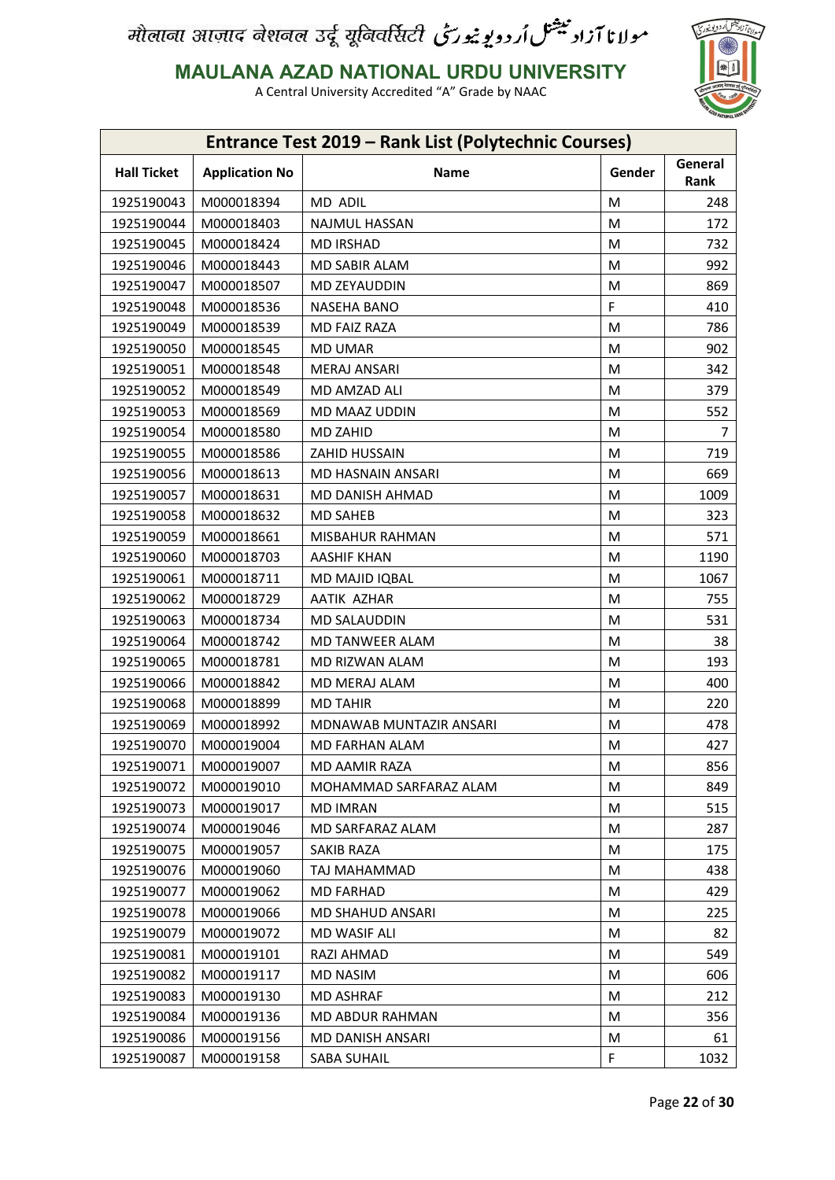

**MAULANA AZAD NATIONAL URDU UNIVERSITY**

|                    |                       | <b>Entrance Test 2019 - Rank List (Polytechnic Courses)</b> |        |                 |
|--------------------|-----------------------|-------------------------------------------------------------|--------|-----------------|
| <b>Hall Ticket</b> | <b>Application No</b> | Name                                                        | Gender | General<br>Rank |
| 1925190043         | M000018394            | MD ADIL                                                     | M      | 248             |
| 1925190044         | M000018403            | <b>NAJMUL HASSAN</b>                                        | M      | 172             |
| 1925190045         | M000018424            | <b>MD IRSHAD</b>                                            | M      | 732             |
| 1925190046         | M000018443            | <b>MD SABIR ALAM</b>                                        | м      | 992             |
| 1925190047         | M000018507            | MD ZEYAUDDIN                                                | M      | 869             |
| 1925190048         | M000018536            | NASEHA BANO                                                 | F      | 410             |
| 1925190049         | M000018539            | MD FAIZ RAZA                                                | M      | 786             |
| 1925190050         | M000018545            | <b>MD UMAR</b>                                              | М      | 902             |
| 1925190051         | M000018548            | <b>MERAJ ANSARI</b>                                         | M      | 342             |
| 1925190052         | M000018549            | MD AMZAD ALI                                                | M      | 379             |
| 1925190053         | M000018569            | MD MAAZ UDDIN                                               | M      | 552             |
| 1925190054         | M000018580            | MD ZAHID                                                    | M      | 7               |
| 1925190055         | M000018586            | <b>ZAHID HUSSAIN</b>                                        | M      | 719             |
| 1925190056         | M000018613            | MD HASNAIN ANSARI                                           | M      | 669             |
| 1925190057         | M000018631            | MD DANISH AHMAD                                             | M      | 1009            |
| 1925190058         | M000018632            | <b>MD SAHEB</b>                                             | M      | 323             |
| 1925190059         | M000018661            | <b>MISBAHUR RAHMAN</b>                                      | M      | 571             |
| 1925190060         | M000018703            | <b>AASHIF KHAN</b>                                          | м      | 1190            |
| 1925190061         | M000018711            | MD MAJID IQBAL                                              | M      | 1067            |
| 1925190062         | M000018729            | AATIK AZHAR                                                 | M      | 755             |
| 1925190063         | M000018734            | MD SALAUDDIN                                                | M      | 531             |
| 1925190064         | M000018742            | <b>MD TANWEER ALAM</b>                                      | M      | 38              |
| 1925190065         | M000018781            | MD RIZWAN ALAM                                              | M      | 193             |
| 1925190066         | M000018842            | MD MERAJ ALAM                                               | M      | 400             |
| 1925190068         | M000018899            | <b>MD TAHIR</b>                                             | M      | 220             |
| 1925190069         | M000018992            | MDNAWAB MUNTAZIR ANSARI                                     | M      | 478             |
| 1925190070         | M000019004            | MD FARHAN ALAM                                              | M      | 427             |
| 1925190071         | M000019007            | MD AAMIR RAZA                                               | M      | 856             |
| 1925190072         | M000019010            | MOHAMMAD SARFARAZ ALAM                                      | M      | 849             |
| 1925190073         | M000019017            | <b>MD IMRAN</b>                                             | M      | 515             |
| 1925190074         | M000019046            | MD SARFARAZ ALAM                                            | M      | 287             |
| 1925190075         | M000019057            | <b>SAKIB RAZA</b>                                           | M      | 175             |
| 1925190076         | M000019060            | TAJ MAHAMMAD                                                | M      | 438             |
| 1925190077         | M000019062            | MD FARHAD                                                   | M      | 429             |
| 1925190078         | M000019066            | <b>MD SHAHUD ANSARI</b>                                     | M      | 225             |
| 1925190079         | M000019072            | MD WASIF ALI                                                | M      | 82              |
| 1925190081         | M000019101            | RAZI AHMAD                                                  | M      | 549             |
| 1925190082         | M000019117            | MD NASIM                                                    | M      | 606             |
| 1925190083         | M000019130            | <b>MD ASHRAF</b>                                            | M      | 212             |
| 1925190084         | M000019136            | <b>MD ABDUR RAHMAN</b>                                      | M      | 356             |
| 1925190086         | M000019156            | MD DANISH ANSARI                                            | M      | 61              |
| 1925190087         | M000019158            | SABA SUHAIL                                                 | F.     | 1032            |
|                    |                       |                                                             |        |                 |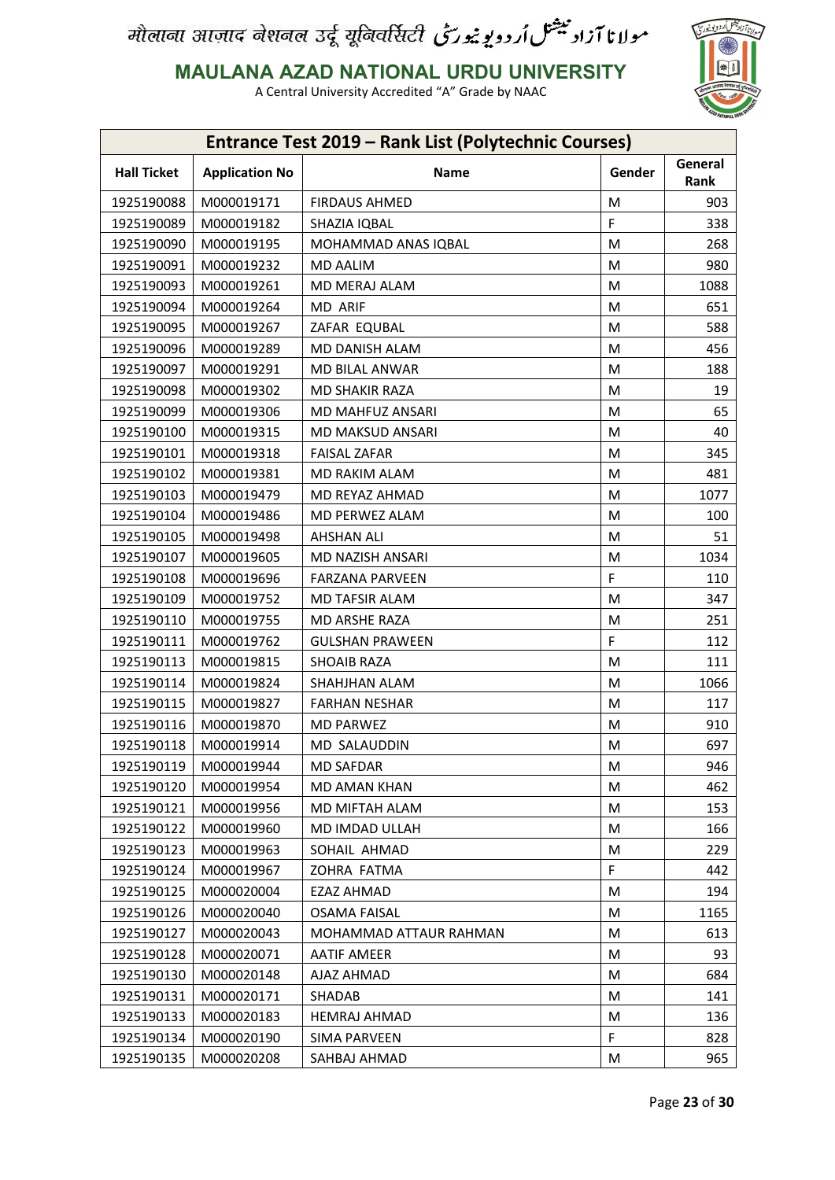

**MAULANA AZAD NATIONAL URDU UNIVERSITY**

| Entrance Test 2019 - Rank List (Polytechnic Courses) |                          |                             |        |                 |
|------------------------------------------------------|--------------------------|-----------------------------|--------|-----------------|
| <b>Hall Ticket</b>                                   | <b>Application No</b>    | <b>Name</b>                 | Gender | General<br>Rank |
| 1925190088                                           | M000019171               | <b>FIRDAUS AHMED</b>        | M      | 903             |
| 1925190089                                           | M000019182               | SHAZIA IQBAL                | F      | 338             |
| 1925190090                                           | M000019195               | MOHAMMAD ANAS IQBAL         | M      | 268             |
| 1925190091                                           | M000019232               | <b>MD AALIM</b>             | M      | 980             |
| 1925190093                                           | M000019261               | MD MERAJ ALAM               | M      | 1088            |
| 1925190094                                           | M000019264               | MD ARIF                     | M      | 651             |
| 1925190095                                           | M000019267               | ZAFAR EQUBAL                | M      | 588             |
| 1925190096                                           | M000019289               | MD DANISH ALAM              | M      | 456             |
| 1925190097                                           | M000019291               | MD BILAL ANWAR              | M      | 188             |
| 1925190098                                           | M000019302               | MD SHAKIR RAZA              | M      | 19              |
| 1925190099                                           | M000019306               | MD MAHFUZ ANSARI            | M      | 65              |
| 1925190100                                           | M000019315               | MD MAKSUD ANSARI            | M      | 40              |
| 1925190101                                           | M000019318               | <b>FAISAL ZAFAR</b>         | M      | 345             |
| 1925190102                                           | M000019381               | MD RAKIM ALAM               | M      | 481             |
| 1925190103                                           | M000019479               | MD REYAZ AHMAD              | M      | 1077            |
| 1925190104                                           | M000019486               | MD PERWEZ ALAM              | M      | 100             |
| 1925190105                                           | M000019498               | <b>AHSHAN ALI</b>           | M      | 51              |
| 1925190107                                           | M000019605               | MD NAZISH ANSARI            | M      | 1034            |
| 1925190108                                           | M000019696               | <b>FARZANA PARVEEN</b>      | F      | 110             |
| 1925190109                                           | M000019752               | MD TAFSIR ALAM              | M      | 347             |
| 1925190110                                           | M000019755               | MD ARSHE RAZA               | M      | 251             |
| 1925190111                                           | M000019762               | <b>GULSHAN PRAWEEN</b>      | F      | 112             |
| 1925190113                                           | M000019815               | <b>SHOAIB RAZA</b>          | M      | 111             |
| 1925190114                                           | M000019824               | SHAHJHAN ALAM               | M      | 1066            |
| 1925190115                                           | M000019827               | <b>FARHAN NESHAR</b>        | M      | 117             |
| 1925190116                                           | M000019870               | <b>MD PARWEZ</b>            | M      | 910             |
| 1925190118                                           | M000019914               | <b>MD SALAUDDIN</b>         | M      | 697             |
|                                                      |                          |                             |        |                 |
| 1925190119                                           | M000019944               | <b>MD SAFDAR</b>            | M      | 946<br>462      |
| 1925190120                                           | M000019954               | <b>MD AMAN KHAN</b>         | M      |                 |
| 1925190121<br>1925190122                             | M000019956<br>M000019960 | MD MIFTAH ALAM              | M      | 153<br>166      |
|                                                      |                          | MD IMDAD ULLAH              | M      |                 |
| 1925190123<br>1925190124                             | M000019963               | SOHAIL AHMAD<br>ZOHRA FATMA | M<br>F | 229<br>442      |
|                                                      | M000019967               |                             |        |                 |
| 1925190125                                           | M000020004               | EZAZ AHMAD                  | M      | 194             |
| 1925190126                                           | M000020040               | <b>OSAMA FAISAL</b>         | М      | 1165            |
| 1925190127                                           | M000020043               | MOHAMMAD ATTAUR RAHMAN      | M      | 613             |
| 1925190128                                           | M000020071               | <b>AATIF AMEER</b>          | М      | 93              |
| 1925190130                                           | M000020148               | AJAZ AHMAD                  | M      | 684             |
| 1925190131                                           | M000020171               | SHADAB                      | М      | 141             |
| 1925190133                                           | M000020183               | <b>HEMRAJ AHMAD</b>         | M      | 136             |
| 1925190134                                           | M000020190               | <b>SIMA PARVEEN</b>         | F      | 828             |
| 1925190135                                           | M000020208               | SAHBAJ AHMAD                | M      | 965             |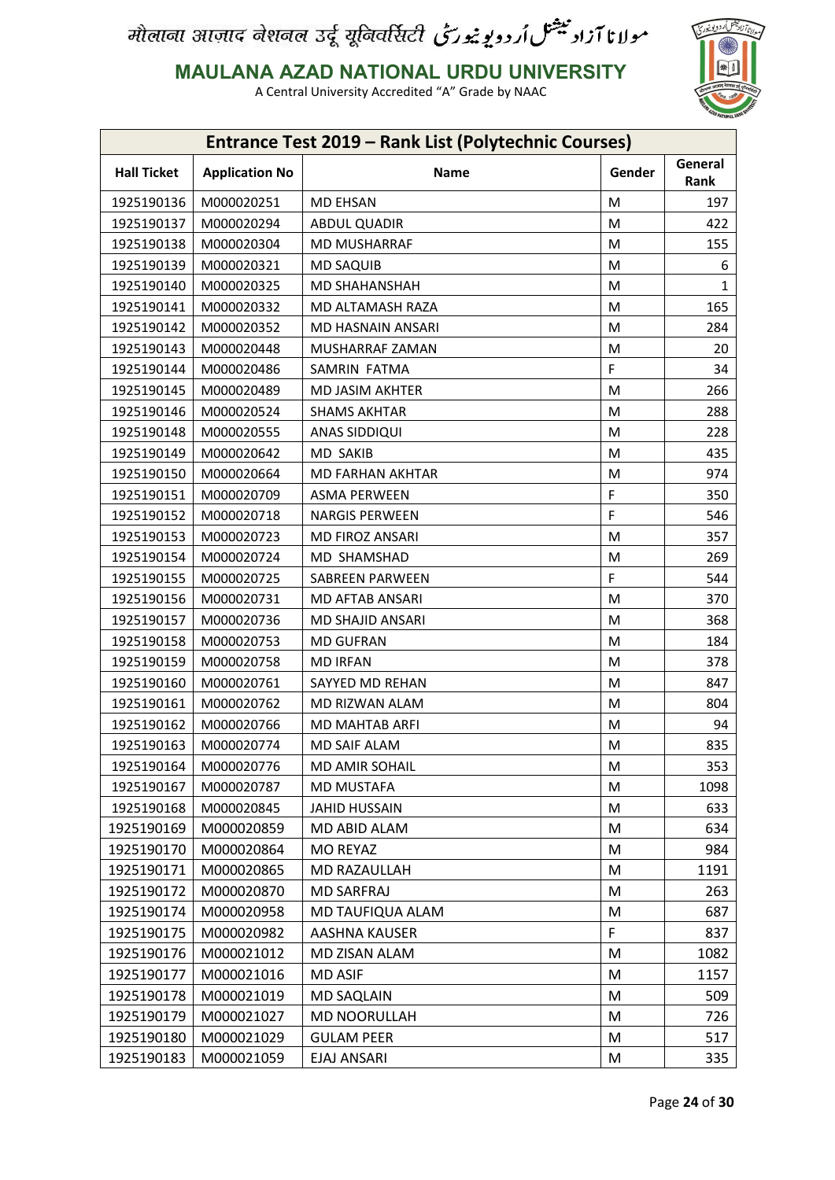

**MAULANA AZAD NATIONAL URDU UNIVERSITY**

|                    |                       | Entrance Test 2019 - Rank List (Polytechnic Courses) |        |                 |
|--------------------|-----------------------|------------------------------------------------------|--------|-----------------|
| <b>Hall Ticket</b> | <b>Application No</b> | Name                                                 | Gender | General<br>Rank |
| 1925190136         | M000020251            | <b>MD EHSAN</b>                                      | M      | 197             |
| 1925190137         | M000020294            | <b>ABDUL QUADIR</b>                                  | M      | 422             |
| 1925190138         | M000020304            | <b>MD MUSHARRAF</b>                                  | M      | 155             |
| 1925190139         | M000020321            | <b>MD SAQUIB</b>                                     | M      | 6               |
| 1925190140         | M000020325            | <b>MD SHAHANSHAH</b>                                 | M      | 1               |
| 1925190141         | M000020332            | MD ALTAMASH RAZA                                     | M      | 165             |
| 1925190142         | M000020352            | MD HASNAIN ANSARI                                    | M      | 284             |
| 1925190143         | M000020448            | MUSHARRAF ZAMAN                                      | M      | 20              |
| 1925190144         | M000020486            | SAMRIN FATMA                                         | F      | 34              |
| 1925190145         | M000020489            | MD JASIM AKHTER                                      | M      | 266             |
| 1925190146         | M000020524            | <b>SHAMS AKHTAR</b>                                  | M      | 288             |
| 1925190148         | M000020555            | ANAS SIDDIQUI                                        | M      | 228             |
| 1925190149         | M000020642            | <b>MD SAKIB</b>                                      | M      | 435             |
| 1925190150         | M000020664            | MD FARHAN AKHTAR                                     | M      | 974             |
| 1925190151         | M000020709            | <b>ASMA PERWEEN</b>                                  | F      | 350             |
| 1925190152         | M000020718            | <b>NARGIS PERWEEN</b>                                | F      | 546             |
| 1925190153         | M000020723            | MD FIROZ ANSARI                                      | M      | 357             |
| 1925190154         | M000020724            | MD SHAMSHAD                                          | M      | 269             |
| 1925190155         | M000020725            | <b>SABREEN PARWEEN</b>                               | F      | 544             |
| 1925190156         | M000020731            | MD AFTAB ANSARI                                      | M      | 370             |
| 1925190157         | M000020736            | MD SHAJID ANSARI                                     | M      | 368             |
| 1925190158         | M000020753            | <b>MD GUFRAN</b>                                     | M      | 184             |
| 1925190159         | M000020758            | <b>MD IRFAN</b>                                      | M      | 378             |
| 1925190160         | M000020761            | SAYYED MD REHAN                                      | M      | 847             |
| 1925190161         | M000020762            | MD RIZWAN ALAM                                       | M      | 804             |
| 1925190162         | M000020766            | MD MAHTAB ARFI                                       | M      | 94              |
| 1925190163         | M000020774            | <b>MD SAIF ALAM</b>                                  | M      | 835             |
| 1925190164         | M000020776            | MD AMIR SOHAIL                                       | M      | 353             |
| 1925190167         | M000020787            | <b>MD MUSTAFA</b>                                    | M      | 1098            |
| 1925190168         | M000020845            | <b>JAHID HUSSAIN</b>                                 | M      | 633             |
| 1925190169         | M000020859            | MD ABID ALAM                                         | M      | 634             |
| 1925190170         | M000020864            | <b>MO REYAZ</b>                                      | M      | 984             |
| 1925190171         | M000020865            | MD RAZAULLAH                                         | M      | 1191            |
| 1925190172         | M000020870            | <b>MD SARFRAJ</b>                                    | M      | 263             |
| 1925190174         | M000020958            | MD TAUFIQUA ALAM                                     | M      | 687             |
| 1925190175         | M000020982            | AASHNA KAUSER                                        | F      | 837             |
| 1925190176         | M000021012            | MD ZISAN ALAM                                        | M      | 1082            |
| 1925190177         | M000021016            | <b>MD ASIF</b>                                       | M      | 1157            |
| 1925190178         | M000021019            | <b>MD SAQLAIN</b>                                    | M      | 509             |
| 1925190179         | M000021027            | MD NOORULLAH                                         | M      | 726             |
| 1925190180         | M000021029            | <b>GULAM PEER</b>                                    | M      | 517             |
| 1925190183         | M000021059            | EJAJ ANSARI                                          | M      | 335             |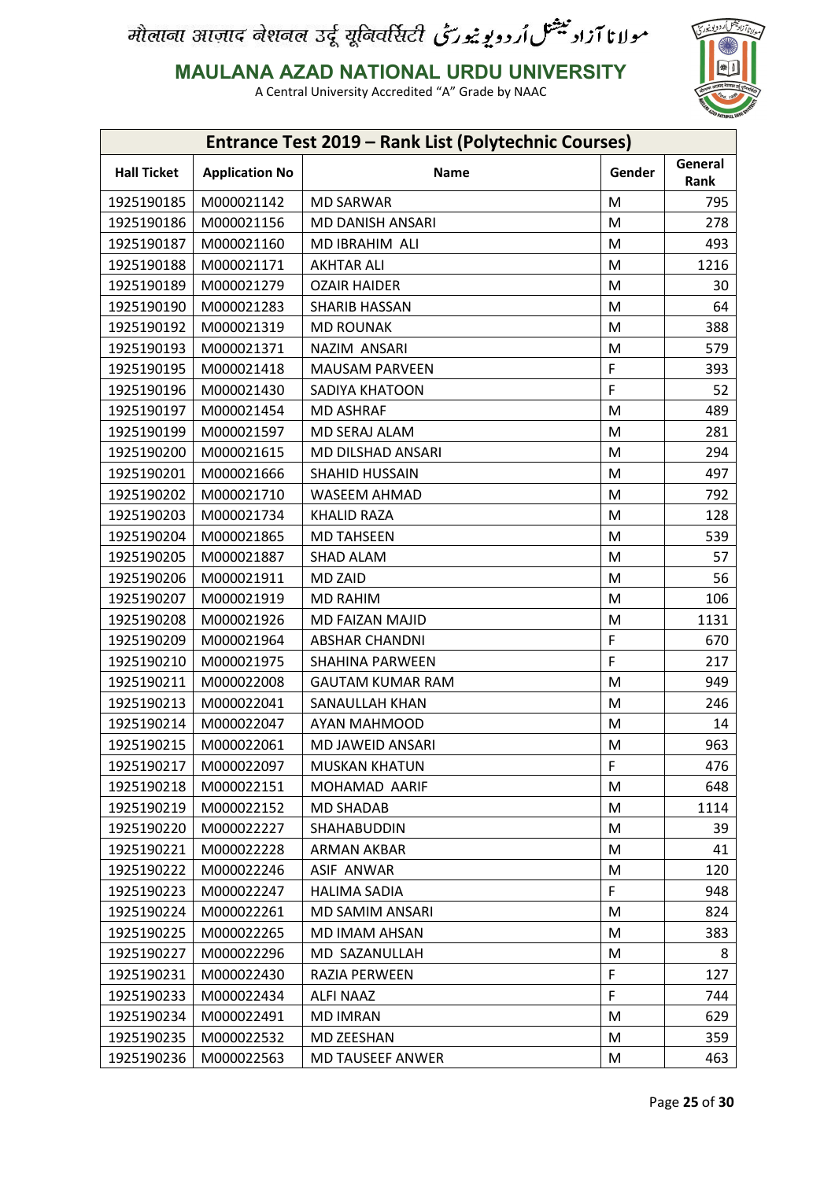

**MAULANA AZAD NATIONAL URDU UNIVERSITY**

| <b>Entrance Test 2019 - Rank List (Polytechnic Courses)</b> |                       |                         |        |                 |
|-------------------------------------------------------------|-----------------------|-------------------------|--------|-----------------|
| <b>Hall Ticket</b>                                          | <b>Application No</b> | Name                    | Gender | General<br>Rank |
| 1925190185                                                  | M000021142            | <b>MD SARWAR</b>        | M      | 795             |
| 1925190186                                                  | M000021156            | <b>MD DANISH ANSARI</b> | M      | 278             |
| 1925190187                                                  | M000021160            | MD IBRAHIM ALI          | M      | 493             |
| 1925190188                                                  | M000021171            | <b>AKHTAR ALI</b>       | M      | 1216            |
| 1925190189                                                  | M000021279            | <b>OZAIR HAIDER</b>     | M      | 30              |
| 1925190190                                                  | M000021283            | SHARIB HASSAN           | M      | 64              |
| 1925190192                                                  | M000021319            | <b>MD ROUNAK</b>        | M      | 388             |
| 1925190193                                                  | M000021371            | NAZIM ANSARI            | M      | 579             |
| 1925190195                                                  | M000021418            | <b>MAUSAM PARVEEN</b>   | F      | 393             |
| 1925190196                                                  | M000021430            | SADIYA KHATOON          | F      | 52              |
| 1925190197                                                  | M000021454            | <b>MD ASHRAF</b>        | M      | 489             |
| 1925190199                                                  | M000021597            | MD SERAJ ALAM           | M      | 281             |
| 1925190200                                                  | M000021615            | MD DILSHAD ANSARI       | M      | 294             |
| 1925190201                                                  | M000021666            | <b>SHAHID HUSSAIN</b>   | M      | 497             |
| 1925190202                                                  | M000021710            | WASEEM AHMAD            | M      | 792             |
| 1925190203                                                  | M000021734            | <b>KHALID RAZA</b>      | M      | 128             |
| 1925190204                                                  | M000021865            | <b>MD TAHSEEN</b>       | M      | 539             |
| 1925190205                                                  | M000021887            | SHAD ALAM               | M      | 57              |
| 1925190206                                                  | M000021911            | <b>MD ZAID</b>          | M      | 56              |
| 1925190207                                                  | M000021919            | <b>MD RAHIM</b>         | M      | 106             |
| 1925190208                                                  | M000021926            | MD FAIZAN MAJID         | M      | 1131            |
| 1925190209                                                  | M000021964            | <b>ABSHAR CHANDNI</b>   | F      | 670             |
| 1925190210                                                  | M000021975            | <b>SHAHINA PARWEEN</b>  | F      | 217             |
| 1925190211                                                  | M000022008            | <b>GAUTAM KUMAR RAM</b> | M      | 949             |
| 1925190213                                                  | M000022041            | SANAULLAH KHAN          | M      | 246             |
| 1925190214                                                  | M000022047            | AYAN MAHMOOD            | M      | 14              |
| 1925190215                                                  | M000022061            | MD JAWEID ANSARI        | M      | 963             |
| 1925190217                                                  | M000022097            | <b>MUSKAN KHATUN</b>    | F      | 476             |
| 1925190218                                                  | M000022151            | MOHAMAD AARIF           | M      | 648             |
| 1925190219                                                  | M000022152            | <b>MD SHADAB</b>        | M      | 1114            |
| 1925190220                                                  | M000022227            | SHAHABUDDIN             | M      | 39              |
| 1925190221                                                  | M000022228            | ARMAN AKBAR             | M      | 41              |
| 1925190222                                                  | M000022246            | <b>ASIF ANWAR</b>       | M      | 120             |
| 1925190223                                                  | M000022247            | <b>HALIMA SADIA</b>     | F      | 948             |
| 1925190224                                                  | M000022261            | MD SAMIM ANSARI         | M      | 824             |
| 1925190225                                                  | M000022265            | MD IMAM AHSAN           | M      | 383             |
| 1925190227                                                  | M000022296            | MD SAZANULLAH           | M      | 8               |
| 1925190231                                                  | M000022430            | RAZIA PERWEEN           | F      | 127             |
| 1925190233                                                  | M000022434            | ALFI NAAZ               | F      | 744             |
| 1925190234                                                  | M000022491            | <b>MD IMRAN</b>         | M      | 629             |
| 1925190235                                                  | M000022532            | MD ZEESHAN              | M      | 359             |
| 1925190236                                                  | M000022563            | MD TAUSEEF ANWER        | M      | 463             |
|                                                             |                       |                         |        |                 |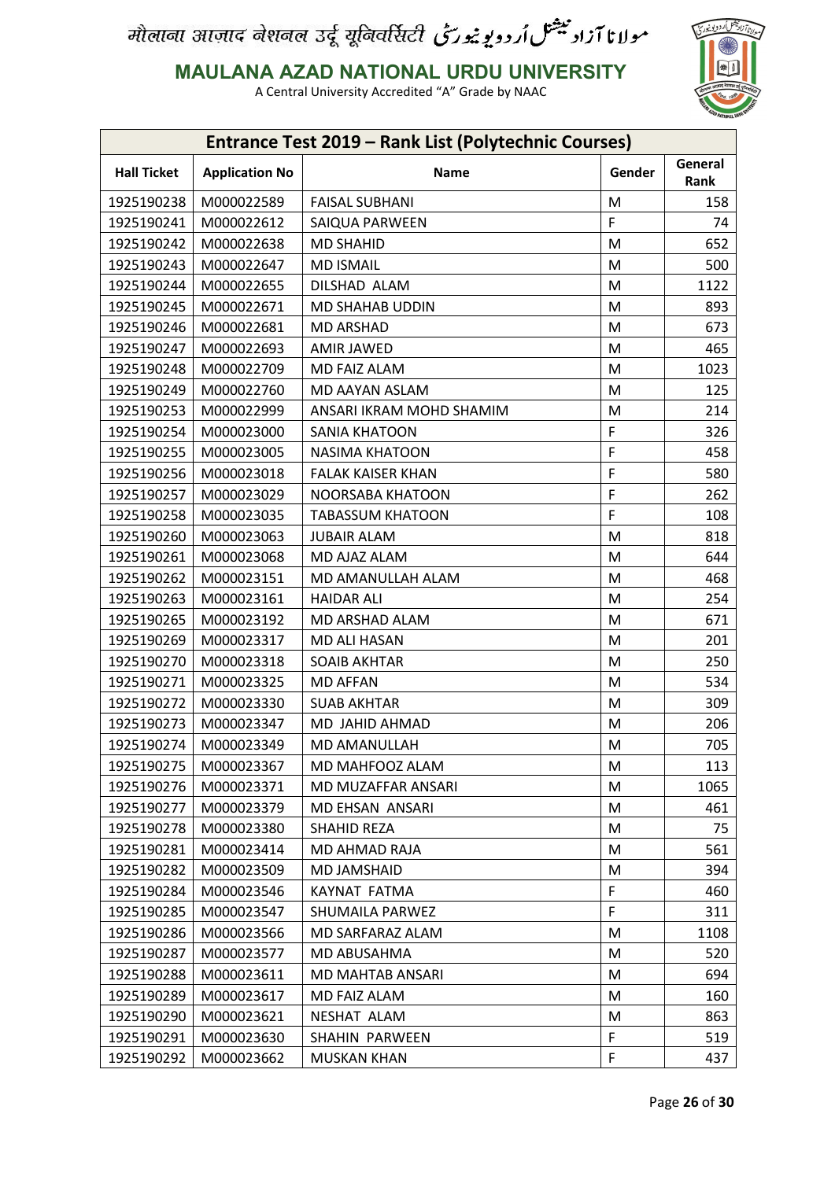

**MAULANA AZAD NATIONAL URDU UNIVERSITY**

| Entrance Test 2019 - Rank List (Polytechnic Courses) |                       |                          |        |                 |
|------------------------------------------------------|-----------------------|--------------------------|--------|-----------------|
| <b>Hall Ticket</b>                                   | <b>Application No</b> | Name                     | Gender | General<br>Rank |
| 1925190238                                           | M000022589            | <b>FAISAL SUBHANI</b>    | M      | 158             |
| 1925190241                                           | M000022612            | SAIQUA PARWEEN           | F      | 74              |
| 1925190242                                           | M000022638            | <b>MD SHAHID</b>         | M      | 652             |
| 1925190243                                           | M000022647            | <b>MD ISMAIL</b>         | M      | 500             |
| 1925190244                                           | M000022655            | DILSHAD ALAM             | M      | 1122            |
| 1925190245                                           | M000022671            | MD SHAHAB UDDIN          | M      | 893             |
| 1925190246                                           | M000022681            | <b>MD ARSHAD</b>         | M      | 673             |
| 1925190247                                           | M000022693            | <b>AMIR JAWED</b>        | M      | 465             |
| 1925190248                                           | M000022709            | MD FAIZ ALAM             | M      | 1023            |
| 1925190249                                           | M000022760            | MD AAYAN ASLAM           | M      | 125             |
| 1925190253                                           | M000022999            | ANSARI IKRAM MOHD SHAMIM | M      | 214             |
| 1925190254                                           | M000023000            | <b>SANIA KHATOON</b>     | F      | 326             |
| 1925190255                                           | M000023005            | <b>NASIMA KHATOON</b>    | F      | 458             |
| 1925190256                                           | M000023018            | <b>FALAK KAISER KHAN</b> | F      | 580             |
| 1925190257                                           | M000023029            | NOORSABA KHATOON         | F      | 262             |
| 1925190258                                           | M000023035            | <b>TABASSUM KHATOON</b>  | F      | 108             |
| 1925190260                                           | M000023063            | <b>JUBAIR ALAM</b>       | M      | 818             |
| 1925190261                                           | M000023068            | MD AJAZ ALAM             | M      | 644             |
| 1925190262                                           | M000023151            | MD AMANULLAH ALAM        | M      | 468             |
| 1925190263                                           | M000023161            | <b>HAIDAR ALI</b>        | M      | 254             |
| 1925190265                                           | M000023192            | MD ARSHAD ALAM           | M      | 671             |
| 1925190269                                           | M000023317            | <b>MD ALI HASAN</b>      | M      | 201             |
| 1925190270                                           | M000023318            | <b>SOAIB AKHTAR</b>      | M      | 250             |
| 1925190271                                           | M000023325            | <b>MD AFFAN</b>          | M      | 534             |
| 1925190272                                           | M000023330            | <b>SUAB AKHTAR</b>       | M      | 309             |
| 1925190273                                           | M000023347            | MD JAHID AHMAD           | M      | 206             |
| 1925190274                                           | M000023349            | MD AMANULLAH             | M      | 705             |
| 1925190275                                           | M000023367            | MD MAHFOOZ ALAM          | M      | 113             |
| 1925190276                                           | M000023371            | MD MUZAFFAR ANSARI       | M      | 1065            |
| 1925190277                                           | M000023379            | MD EHSAN ANSARI          | M      | 461             |
| 1925190278                                           | M000023380            | <b>SHAHID REZA</b>       | M      | 75              |
| 1925190281                                           | M000023414            | MD AHMAD RAJA            | M      | 561             |
| 1925190282                                           | M000023509            | MD JAMSHAID              | M      | 394             |
| 1925190284                                           | M000023546            | KAYNAT FATMA             | F      | 460             |
| 1925190285                                           | M000023547            | SHUMAILA PARWEZ          | F      | 311             |
| 1925190286                                           | M000023566            | MD SARFARAZ ALAM         | M      | 1108            |
| 1925190287                                           | M000023577            | MD ABUSAHMA              | M      | 520             |
| 1925190288                                           | M000023611            | MD MAHTAB ANSARI         | M      | 694             |
| 1925190289                                           | M000023617            | MD FAIZ ALAM             | M      | 160             |
| 1925190290                                           | M000023621            | NESHAT ALAM              | M      | 863             |
| 1925190291                                           | M000023630            | SHAHIN PARWEEN           | F      | 519             |
| 1925190292                                           | M000023662            | <b>MUSKAN KHAN</b>       | F      | 437             |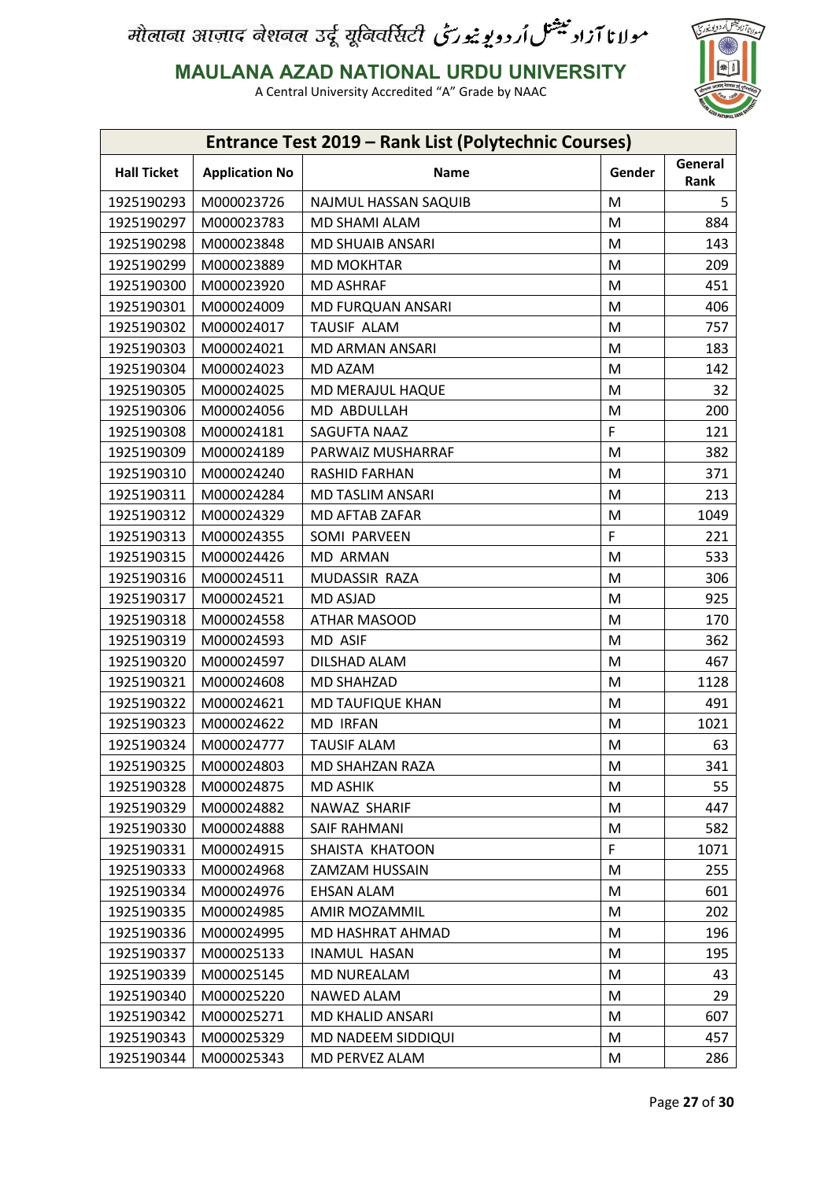

**MAULANA AZAD NATIONAL URDU UNIVERSITY**

| Entrance Test 2019 - Rank List (Polytechnic Courses) |                       |                      |        |                 |
|------------------------------------------------------|-----------------------|----------------------|--------|-----------------|
| <b>Hall Ticket</b>                                   | <b>Application No</b> | Name                 | Gender | General<br>Rank |
| 1925190293                                           | M000023726            | NAJMUL HASSAN SAQUIB | M      | 5               |
| 1925190297                                           | M000023783            | MD SHAMI ALAM        | M      | 884             |
| 1925190298                                           | M000023848            | MD SHUAIB ANSARI     | M      | 143             |
| 1925190299                                           | M000023889            | <b>MD MOKHTAR</b>    | M      | 209             |
| 1925190300                                           | M000023920            | <b>MD ASHRAF</b>     | M      | 451             |
| 1925190301                                           | M000024009            | MD FURQUAN ANSARI    | M      | 406             |
| 1925190302                                           | M000024017            | TAUSIF ALAM          | M      | 757             |
| 1925190303                                           | M000024021            | MD ARMAN ANSARI      | M      | 183             |
| 1925190304                                           | M000024023            | MD AZAM              | M      | 142             |
| 1925190305                                           | M000024025            | MD MERAJUL HAQUE     | M      | 32              |
| 1925190306                                           | M000024056            | MD ABDULLAH          | M      | 200             |
| 1925190308                                           | M000024181            | SAGUFTA NAAZ         | F      | 121             |
| 1925190309                                           | M000024189            | PARWAIZ MUSHARRAF    | M      | 382             |
| 1925190310                                           | M000024240            | <b>RASHID FARHAN</b> | M      | 371             |
| 1925190311                                           | M000024284            | MD TASLIM ANSARI     | M      | 213             |
| 1925190312                                           | M000024329            | MD AFTAB ZAFAR       | M      | 1049            |
| 1925190313                                           | M000024355            | SOMI PARVEEN         | F      | 221             |
| 1925190315                                           | M000024426            | <b>MD ARMAN</b>      | M      | 533             |
| 1925190316                                           | M000024511            | MUDASSIR RAZA        | M      | 306             |
| 1925190317                                           | M000024521            | <b>MD ASJAD</b>      | M      | 925             |
| 1925190318                                           | M000024558            | ATHAR MASOOD         | M      | 170             |
| 1925190319                                           | M000024593            | MD ASIF              | M      | 362             |
| 1925190320                                           | M000024597            | DILSHAD ALAM         | M      | 467             |
| 1925190321                                           | M000024608            | <b>MD SHAHZAD</b>    | M      | 1128            |
| 1925190322                                           | M000024621            | MD TAUFIQUE KHAN     | M      | 491             |
| 1925190323                                           | M000024622            | <b>MD IRFAN</b>      | M      | 1021            |
| 1925190324                                           | M000024777            | <b>TAUSIF ALAM</b>   | M      | 63              |
| 1925190325                                           | M000024803            | MD SHAHZAN RAZA      | M      | 341             |
| 1925190328                                           | M000024875            | <b>MD ASHIK</b>      | M      | 55              |
| 1925190329                                           | M000024882            | NAWAZ SHARIF         | M      | 447             |
| 1925190330                                           | M000024888            | SAIF RAHMANI         | M      | 582             |
| 1925190331                                           | M000024915            | SHAISTA KHATOON      | F      | 1071            |
| 1925190333                                           | M000024968            | ZAMZAM HUSSAIN       | M      | 255             |
| 1925190334                                           | M000024976            | <b>EHSAN ALAM</b>    | M      | 601             |
| 1925190335                                           | M000024985            | AMIR MOZAMMIL        | M      | 202             |
| 1925190336                                           | M000024995            | MD HASHRAT AHMAD     | M      | 196             |
| 1925190337                                           | M000025133            | <b>INAMUL HASAN</b>  | M      | 195             |
| 1925190339                                           | M000025145            | MD NUREALAM          | M      | 43              |
| 1925190340                                           | M000025220            | NAWED ALAM           | M      | 29              |
| 1925190342                                           | M000025271            | MD KHALID ANSARI     | M      | 607             |
| 1925190343                                           | M000025329            | MD NADEEM SIDDIQUI   | M      | 457             |
| 1925190344                                           | M000025343            | MD PERVEZ ALAM       | M      | 286             |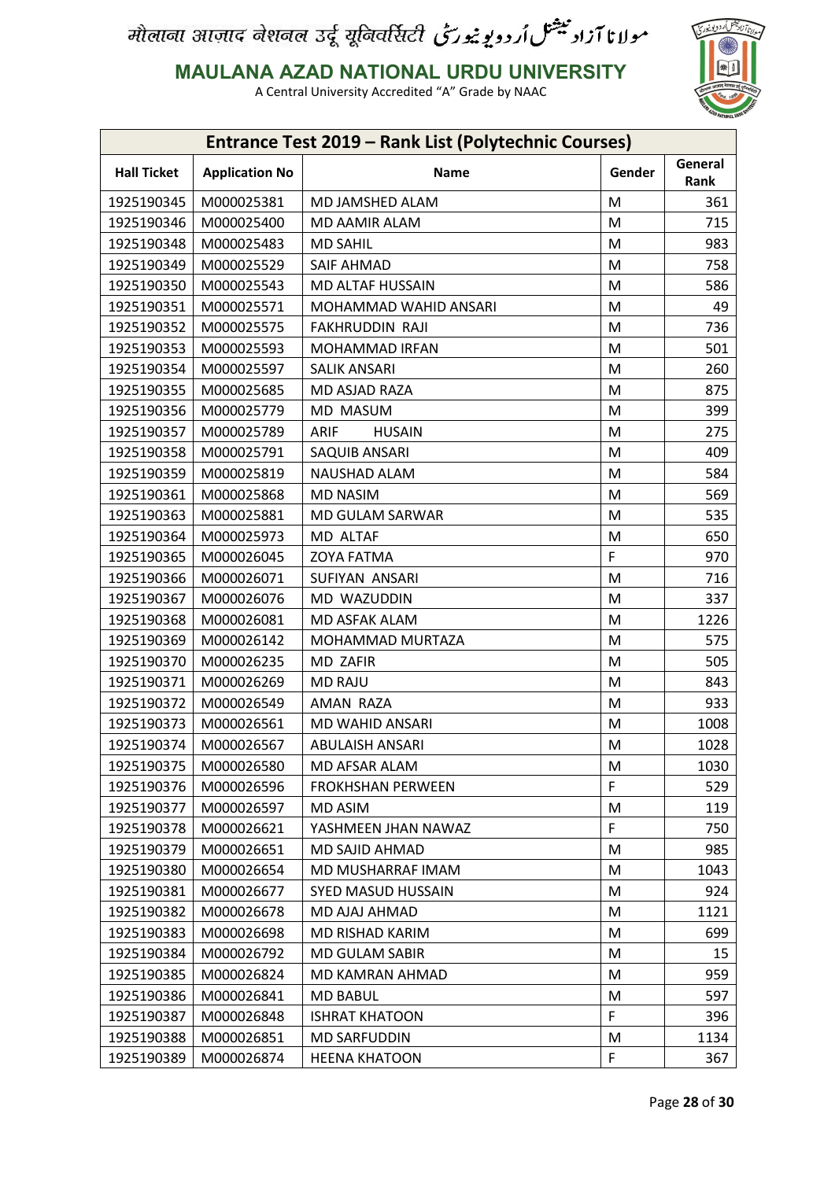

**MAULANA AZAD NATIONAL URDU UNIVERSITY**

| Entrance Test 2019 - Rank List (Polytechnic Courses) |                       |                              |        |                 |
|------------------------------------------------------|-----------------------|------------------------------|--------|-----------------|
| <b>Hall Ticket</b>                                   | <b>Application No</b> | Name                         | Gender | General<br>Rank |
| 1925190345                                           | M000025381            | MD JAMSHED ALAM              | M      | 361             |
| 1925190346                                           | M000025400            | MD AAMIR ALAM                | M      | 715             |
| 1925190348                                           | M000025483            | <b>MD SAHIL</b>              | M      | 983             |
| 1925190349                                           | M000025529            | <b>SAIF AHMAD</b>            | M      | 758             |
| 1925190350                                           | M000025543            | MD ALTAF HUSSAIN             | M      | 586             |
| 1925190351                                           | M000025571            | MOHAMMAD WAHID ANSARI        | M      | 49              |
| 1925190352                                           | M000025575            | FAKHRUDDIN RAJI              | M      | 736             |
| 1925190353                                           | M000025593            | MOHAMMAD IRFAN               | M      | 501             |
| 1925190354                                           | M000025597            | <b>SALIK ANSARI</b>          | M      | 260             |
| 1925190355                                           | M000025685            | MD ASJAD RAZA                | M      | 875             |
| 1925190356                                           | M000025779            | MD MASUM                     | M      | 399             |
| 1925190357                                           | M000025789            | <b>ARIF</b><br><b>HUSAIN</b> | M      | 275             |
| 1925190358                                           | M000025791            | SAQUIB ANSARI                | M      | 409             |
| 1925190359                                           | M000025819            | NAUSHAD ALAM                 | M      | 584             |
| 1925190361                                           | M000025868            | <b>MD NASIM</b>              | M      | 569             |
| 1925190363                                           | M000025881            | MD GULAM SARWAR              | M      | 535             |
| 1925190364                                           | M000025973            | MD ALTAF                     | M      | 650             |
| 1925190365                                           | M000026045            | <b>ZOYA FATMA</b>            | F      | 970             |
| 1925190366                                           | M000026071            | SUFIYAN ANSARI               | M      | 716             |
| 1925190367                                           | M000026076            | MD WAZUDDIN                  | M      | 337             |
| 1925190368                                           | M000026081            | MD ASFAK ALAM                | M      | 1226            |
| 1925190369                                           | M000026142            | MOHAMMAD MURTAZA             | M      | 575             |
| 1925190370                                           | M000026235            | MD ZAFIR                     | M      | 505             |
| 1925190371                                           | M000026269            | <b>MD RAJU</b>               | M      | 843             |
| 1925190372                                           | M000026549            | AMAN RAZA                    | M      | 933             |
| 1925190373                                           | M000026561            | MD WAHID ANSARI              | M      | 1008            |
| 1925190374                                           | M000026567            | <b>ABULAISH ANSARI</b>       | M      | 1028            |
| 1925190375                                           | M000026580            | MD AFSAR ALAM                | M      | 1030            |
| 1925190376                                           | M000026596            | <b>FROKHSHAN PERWEEN</b>     | F      | 529             |
| 1925190377                                           | M000026597            | <b>MD ASIM</b>               | M      | 119             |
| 1925190378                                           | M000026621            | YASHMEEN JHAN NAWAZ          | F      | 750             |
| 1925190379                                           | M000026651            | MD SAJID AHMAD               | M      | 985             |
| 1925190380                                           | M000026654            | MD MUSHARRAF IMAM            | M      | 1043            |
| 1925190381                                           | M000026677            | SYED MASUD HUSSAIN           | M      | 924             |
| 1925190382                                           | M000026678            | MD AJAJ AHMAD                | M      | 1121            |
| 1925190383                                           | M000026698            | MD RISHAD KARIM              | M      | 699             |
| 1925190384                                           | M000026792            | MD GULAM SABIR               | M      | 15              |
| 1925190385                                           | M000026824            | MD KAMRAN AHMAD              | M      | 959             |
| 1925190386                                           | M000026841            | <b>MD BABUL</b>              | M      | 597             |
| 1925190387                                           | M000026848            | <b>ISHRAT KHATOON</b>        | F      | 396             |
| 1925190388                                           | M000026851            | <b>MD SARFUDDIN</b>          | M      | 1134            |
| 1925190389                                           | M000026874            | <b>HEENA KHATOON</b>         | F      | 367             |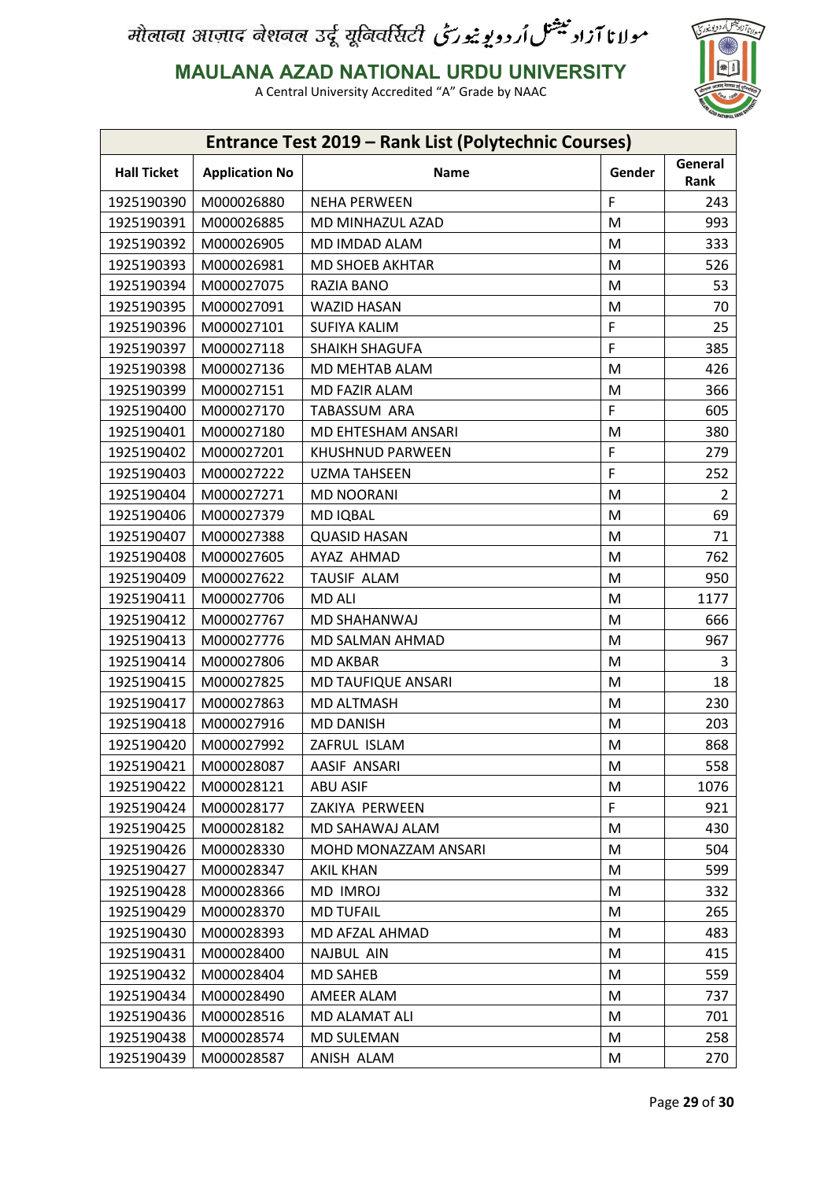

**MAULANA AZAD NATIONAL URDU UNIVERSITY**

| Entrance Test 2019 - Rank List (Polytechnic Courses) |                       |                           |        |                 |
|------------------------------------------------------|-----------------------|---------------------------|--------|-----------------|
| <b>Hall Ticket</b>                                   | <b>Application No</b> | Name                      | Gender | General<br>Rank |
| 1925190390                                           | M000026880            | <b>NEHA PERWEEN</b>       | F      | 243             |
| 1925190391                                           | M000026885            | MD MINHAZUL AZAD          | M      | 993             |
| 1925190392                                           | M000026905            | MD IMDAD ALAM             | M      | 333             |
| 1925190393                                           | M000026981            | <b>MD SHOEB AKHTAR</b>    | M      | 526             |
| 1925190394                                           | M000027075            | <b>RAZIA BANO</b>         | M      | 53              |
| 1925190395                                           | M000027091            | <b>WAZID HASAN</b>        | M      | 70              |
| 1925190396                                           | M000027101            | <b>SUFIYA KALIM</b>       | F      | 25              |
| 1925190397                                           | M000027118            | SHAIKH SHAGUFA            | F      | 385             |
| 1925190398                                           | M000027136            | MD MEHTAB ALAM            | M      | 426             |
| 1925190399                                           | M000027151            | MD FAZIR ALAM             | M      | 366             |
| 1925190400                                           | M000027170            | TABASSUM ARA              | F      | 605             |
| 1925190401                                           | M000027180            | MD EHTESHAM ANSARI        | M      | 380             |
| 1925190402                                           | M000027201            | KHUSHNUD PARWEEN          | F      | 279             |
| 1925190403                                           | M000027222            | <b>UZMA TAHSEEN</b>       | F      | 252             |
| 1925190404                                           | M000027271            | <b>MD NOORANI</b>         | M      | $\overline{2}$  |
| 1925190406                                           | M000027379            | <b>MD IQBAL</b>           | M      | 69              |
| 1925190407                                           | M000027388            | <b>QUASID HASAN</b>       | M      | 71              |
| 1925190408                                           | M000027605            | AYAZ AHMAD                | M      | 762             |
| 1925190409                                           | M000027622            | TAUSIF ALAM               | M      | 950             |
| 1925190411                                           | M000027706            | <b>MD ALI</b>             | M      | 1177            |
| 1925190412                                           | M000027767            | MD SHAHANWAJ              | M      | 666             |
| 1925190413                                           | M000027776            | MD SALMAN AHMAD           | M      | 967             |
| 1925190414                                           | M000027806            | <b>MD AKBAR</b>           | M      | 3               |
| 1925190415                                           | M000027825            | <b>MD TAUFIQUE ANSARI</b> | M      | 18              |
| 1925190417                                           | M000027863            | <b>MD ALTMASH</b>         | M      | 230             |
| 1925190418                                           | M000027916            | <b>MD DANISH</b>          | M      | 203             |
| 1925190420                                           | M000027992            | ZAFRUL ISLAM              | M      | 868             |
| 1925190421                                           | M000028087            | AASIF ANSARI              | M      | 558             |
| 1925190422                                           | M000028121            | <b>ABU ASIF</b>           | M      | 1076            |
| 1925190424                                           | M000028177            | ZAKIYA PERWEEN            | F      | 921             |
| 1925190425                                           | M000028182            | MD SAHAWAJ ALAM           | M      | 430             |
| 1925190426                                           | M000028330            | MOHD MONAZZAM ANSARI      | M      | 504             |
| 1925190427                                           | M000028347            | <b>AKIL KHAN</b>          | M      | 599             |
| 1925190428                                           | M000028366            | MD IMROJ                  | M      | 332             |
| 1925190429                                           | M000028370            | <b>MD TUFAIL</b>          | M      | 265             |
| 1925190430                                           | M000028393            | MD AFZAL AHMAD            | M      | 483             |
| 1925190431                                           | M000028400            | NAJBUL AIN                | M      | 415             |
| 1925190432                                           | M000028404            | <b>MD SAHEB</b>           | M      | 559             |
| 1925190434                                           | M000028490            | AMEER ALAM                | M      | 737             |
| 1925190436                                           | M000028516            | MD ALAMAT ALI             | M      | 701             |
| 1925190438                                           | M000028574            | <b>MD SULEMAN</b>         | M      | 258             |
| 1925190439                                           | M000028587            | ANISH ALAM                | M      | 270             |
|                                                      |                       |                           |        |                 |